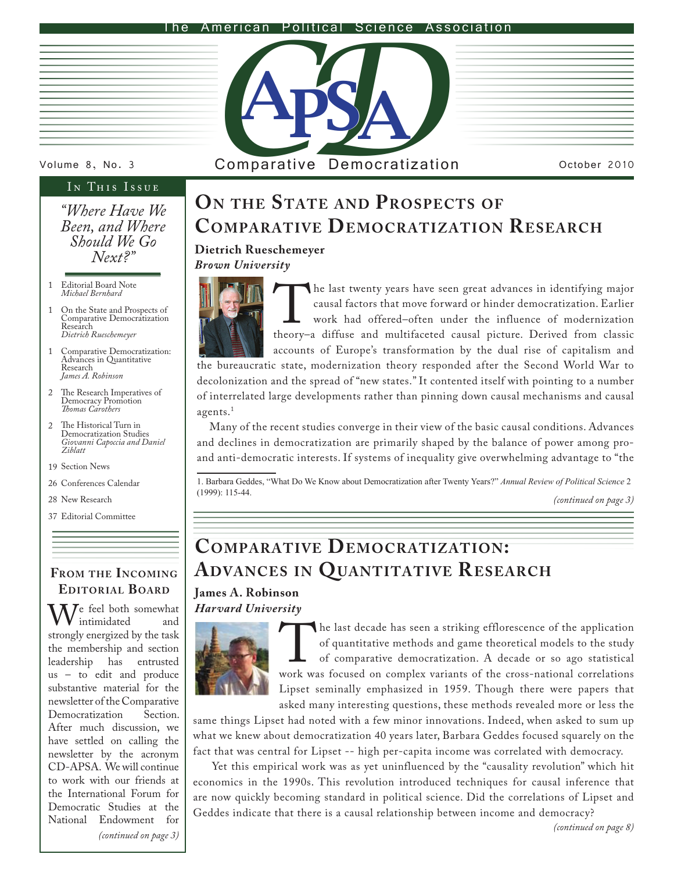#### American Political Science Association



## IN THIS ISSUE

*"Where Have We Been, and Where Should We Go Next?"*

- Editorial Board Note *Michael Bernhard* 1
- On the State and Prospects of Comparative Democratization Research *Dietrich Rueschemeyer* 1
- Comparative Democratization: 1 Advances in Quantitative Research *James A. Robinson*
- The Research Imperatives of Democracy Promotion *Thomas Carothers*  $\mathfrak{D}$
- The Historical Turn in Democratization Studies *Giovanni Capoccia and Daniel Ziblatt* 2
- 19 Section News
- 26 Conferences Calendar
- New Research 28
- Editorial Committee 37

## **From the Incoming Editor ial Board**

We feel both somewhat strongly energized by the task intimidated the membership and section leadership has entrusted us – to edit and produce substantive material for the newsletter of the Comparative<br>Democratization Section. Democratization After much discussion, we have settled on calling the newsletter by the acronym CD-APSA. We will continue to work with our friends at the International Forum for Democratic Studies at the National Endowment for



Volume 8, No. 3 Comparative Democratization Cotober 2010

# **On the State and Prospects of COMPARATIVE DEMOCRATIZATION RESEARCH**

## **Dietrich Rueschemeyer**

*Brown University*



The last twenty years have seen great advances in identifying major<br>
causal factors that move forward or hinder democratization. Earlier<br>
work had offered-often under the influence of modernization<br>
theory–a diffuse and mu causal factors that move forward or hinder democratization. Earlier work had offered–often under the influence of modernization accounts of Europe's transformation by the dual rise of capitalism and

the bureaucratic state, modernization theory responded after the Second World War to decolonization and the spread of "new states." It contented itself with pointing to a number of interrelated large developments rather than pinning down causal mechanisms and causal agents.<sup>1</sup>

 Many of the recent studies converge in their view of the basic causal conditions. Advances and declines in democratization are primarily shaped by the balance of power among proand anti-democratic interests. If systems of inequality give overwhelming advantage to "the

1. Barbara Geddes, "What Do We Know about Democratization after Twenty Years?" *Annual Review of Political Science* 2 (1999): 115-44.

*(continued on page 3)*

# **COMPARATIVE DEMOCRATIZATION: Advances in Quantitative Research**

## **James A. Robinson** *Harvard University*



The last decade has seen a striking efflorescence of the application of quantitative methods and game theoretical models to the study of comparative democratization. A decade or so ago statistical work was focused on compl of quantitative methods and game theoretical models to the study of comparative democratization. A decade or so ago statistical Lipset seminally emphasized in 1959. Though there were papers that asked many interesting questions, these methods revealed more or less the

same things Lipset had noted with a few minor innovations. Indeed, when asked to sum up what we knew about democratization 40 years later, Barbara Geddes focused squarely on the fact that was central for Lipset -- high per-capita income was correlated with democracy.

 Yet this empirical work was as yet uninfluenced by the "causality revolution" which hit economics in the 1990s. This revolution introduced techniques for causal inference that are now quickly becoming standard in political science. Did the correlations of Lipset and Geddes indicate that there is a causal relationship between income and democracy?

*(continued on page 3)*

*(continued on page 8)*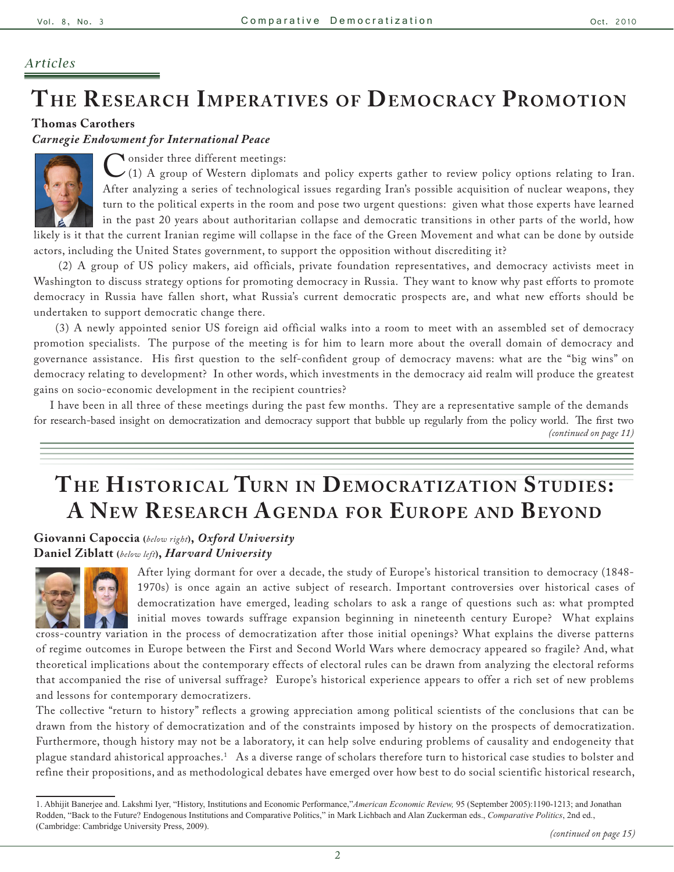## *Articles*

# **The Research Imperatives of Democrac y Promotion**

**Thomas Carothers** 

#### *Carnegie Endowment for International Peace*



Consider three different meetings:<br>
(1) A group of Western diplom:<br>
After analyzing a series of technologi (1) A group of Western diplomats and policy experts gather to review policy options relating to Iran. After analyzing a series of technological issues regarding Iran's possible acquisition of nuclear weapons, they turn to the political experts in the room and pose two urgent questions: given what those experts have learned in the past 20 years about authoritarian collapse and democratic transitions in other parts of the world, how

likely is it that the current Iranian regime will collapse in the face of the Green Movement and what can be done by outside actors, including the United States government, to support the opposition without discrediting it?

 (2) A group of US policy makers, aid officials, private foundation representatives, and democracy activists meet in Washington to discuss strategy options for promoting democracy in Russia. They want to know why past efforts to promote democracy in Russia have fallen short, what Russia's current democratic prospects are, and what new efforts should be undertaken to support democratic change there.

 (3) A newly appointed senior US foreign aid official walks into a room to meet with an assembled set of democracy promotion specialists. The purpose of the meeting is for him to learn more about the overall domain of democracy and governance assistance. His first question to the self-confident group of democracy mavens: what are the "big wins" on democracy relating to development? In other words, which investments in the democracy aid realm will produce the greatest gains on socio-economic development in the recipient countries?

 I have been in all three of these meetings during the past few months. They are a representative sample of the demands for research-based insight on democratization and democracy support that bubble up regularly from the policy world. The first two *(continued on page 11)*

# THE HISTORICAL TURN IN DEMOCRATIZATION STUDIES: A **NEW RESEARCH AGENDA FOR EUROPE AND BEYOND**

**Giovanni Capoccia (***below right***),** *Oxford University* **Daniel Ziblatt (***below left***),** *Harvard University*



After lying dormant for over a decade, the study of Europe's historical transition to democracy (1848- 1970s) is once again an active subject of research. Important controversies over historical cases of democratization have emerged, leading scholars to ask a range of questions such as: what prompted initial moves towards suffrage expansion beginning in nineteenth century Europe? What explains

cross-country variation in the process of democratization after those initial openings? What explains the diverse patterns of regime outcomes in Europe between the First and Second World Wars where democracy appeared so fragile? And, what theoretical implications about the contemporary effects of electoral rules can be drawn from analyzing the electoral reforms that accompanied the rise of universal suffrage? Europe's historical experience appears to offer a rich set of new problems and lessons for contemporary democratizers.

The collective "return to history" reflects a growing appreciation among political scientists of the conclusions that can be drawn from the history of democratization and of the constraints imposed by history on the prospects of democratization. Furthermore, though history may not be a laboratory, it can help solve enduring problems of causality and endogeneity that plague standard ahistorical approaches.1 As a diverse range of scholars therefore turn to historical case studies to bolster and refine their propositions, and as methodological debates have emerged over how best to do social scientific historical research,

<sup>1.</sup> Abhijit Banerjee and. Lakshmi Iyer, "History, Institutions and Economic Performance,"*American Economic Review,* 95 (September 2005):1190-1213; and Jonathan Rodden, "Back to the Future? Endogenous Institutions and Comparative Politics," in Mark Lichbach and Alan Zuckerman eds., *Comparative Politics*, 2nd ed., (Cambridge: Cambridge University Press, 2009).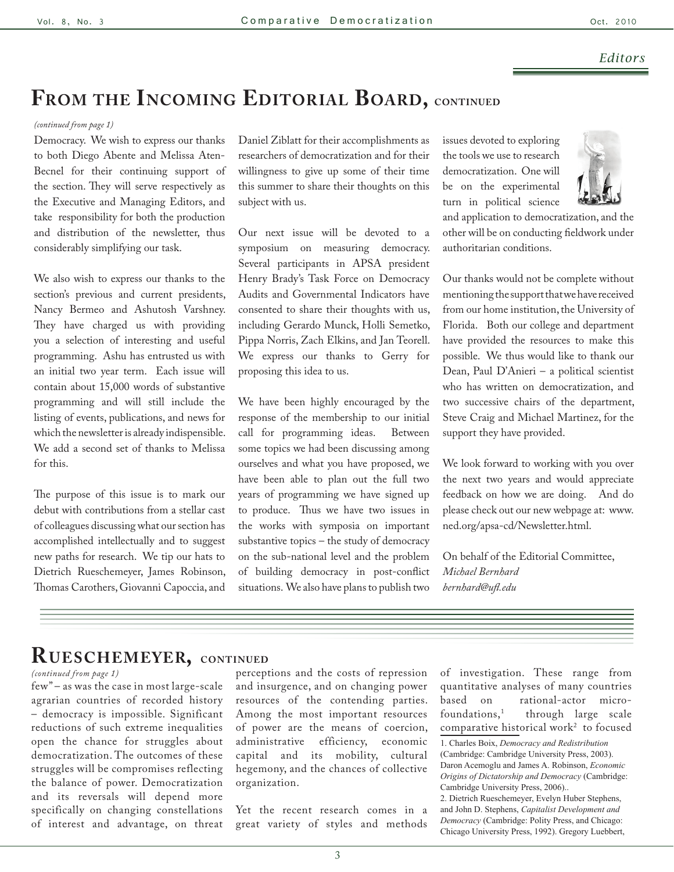#### *Editors*

# **From the Incoming Editorial Board, continued**

#### *(continued from page 1)*

Democracy. We wish to express our thanks to both Diego Abente and Melissa Aten-Becnel for their continuing support of the section. They will serve respectively as the Executive and Managing Editors, and take responsibility for both the production and distribution of the newsletter, thus considerably simplifying our task.

We also wish to express our thanks to the section's previous and current presidents, Nancy Bermeo and Ashutosh Varshney. They have charged us with providing you a selection of interesting and useful programming. Ashu has entrusted us with an initial two year term. Each issue will contain about 15,000 words of substantive programming and will still include the listing of events, publications, and news for which the newsletter is already indispensible. We add a second set of thanks to Melissa for this.

The purpose of this issue is to mark our debut with contributions from a stellar cast of colleagues discussing what our section has accomplished intellectually and to suggest new paths for research. We tip our hats to Dietrich Rueschemeyer, James Robinson, Thomas Carothers, Giovanni Capoccia, and Daniel Ziblatt for their accomplishments as researchers of democratization and for their willingness to give up some of their time this summer to share their thoughts on this subject with us.

Our next issue will be devoted to a symposium on measuring democracy. Several participants in APSA president Henry Brady's Task Force on Democracy Audits and Governmental Indicators have consented to share their thoughts with us, including Gerardo Munck, Holli Semetko, Pippa Norris, Zach Elkins, and Jan Teorell. We express our thanks to Gerry for proposing this idea to us.

We have been highly encouraged by the response of the membership to our initial call for programming ideas. Between some topics we had been discussing among ourselves and what you have proposed, we have been able to plan out the full two years of programming we have signed up to produce. Thus we have two issues in the works with symposia on important substantive topics – the study of democracy on the sub-national level and the problem of building democracy in post-conflict situations. We also have plans to publish two issues devoted to exploring the tools we use to research democratization. One will be on the experimental turn in political science



and application to democratization, and the other will be on conducting fieldwork under authoritarian conditions.

Our thanks would not be complete without mentioning the support that we have received from our home institution, the University of Florida. Both our college and department have provided the resources to make this possible. We thus would like to thank our Dean, Paul D'Anieri – a political scientist who has written on democratization, and two successive chairs of the department, Steve Craig and Michael Martinez, for the support they have provided.

We look forward to working with you over the next two years and would appreciate feedback on how we are doing. And do please check out our new webpage at: [www.](www.ned.org/apsa-cd/Newsletter.html) [ned.org/apsa-cd/Newsletter.html](www.ned.org/apsa-cd/Newsletter.html).

On behalf of the Editorial Committee, *Michael Bernhard bernhard@ufl.edu*

## **Rueschemeyer, continued**

#### *(continued from page 1)*

few" – as was the case in most large-scale agrarian countries of recorded history – democracy is impossible. Significant reductions of such extreme inequalities open the chance for struggles about democratization. The outcomes of these struggles will be compromises reflecting the balance of power. Democratization and its reversals will depend more specifically on changing constellations of interest and advantage, on threat perceptions and the costs of repression and insurgence, and on changing power resources of the contending parties. Among the most important resources of power are the means of coercion, administrative efficiency, economic capital and its mobility, cultural hegemony, and the chances of collective organization.

Yet the recent research comes in a great variety of styles and methods of investigation. These range from quantitative analyses of many countries based on rational-actor microfoundations,<sup>1</sup> through large scale comparative historical work<sup>2</sup> to focused

2. Dietrich Rueschemeyer, Evelyn Huber Stephens, and John D. Stephens, *Capitalist Development and Democracy* (Cambridge: Polity Press, and Chicago: Chicago University Press, 1992). Gregory Luebbert,

<sup>1.</sup> Charles Boix, *Democracy and Redistribution* (Cambridge: Cambridge University Press, 2003). Daron Acemoglu and James A. Robinson, *Economic Origins of Dictatorship and Democracy* (Cambridge: Cambridge University Press, 2006)..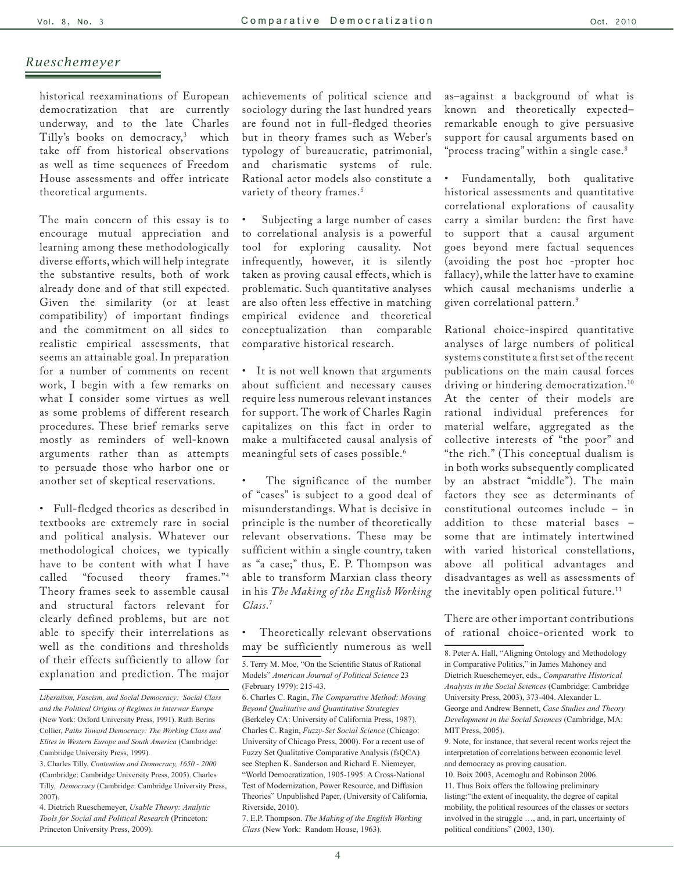historical reexaminations of European democratization that are currently underway, and to the late Charles Tilly's books on democracy,<sup>3</sup> which take off from historical observations as well as time sequences of Freedom House assessments and offer intricate theoretical arguments.

The main concern of this essay is to encourage mutual appreciation and learning among these methodologically diverse efforts, which will help integrate the substantive results, both of work already done and of that still expected. Given the similarity (or at least compatibility) of important findings and the commitment on all sides to realistic empirical assessments, that seems an attainable goal. In preparation for a number of comments on recent work, I begin with a few remarks on what I consider some virtues as well as some problems of different research procedures. These brief remarks serve mostly as reminders of well-known arguments rather than as attempts to persuade those who harbor one or another set of skeptical reservations.

• Full-fledged theories as described in textbooks are extremely rare in social and political analysis. Whatever our methodological choices, we typically have to be content with what I have called "focused theory frames."4 Theory frames seek to assemble causal and structural factors relevant for clearly defined problems, but are not able to specify their interrelations as well as the conditions and thresholds of their effects sufficiently to allow for explanation and prediction. The major

4. Dietrich Rueschemeyer, *Usable Theory: Analytic Tools for Social and Political Research* (Princeton: Princeton University Press, 2009).

achievements of political science and sociology during the last hundred years are found not in full-fledged theories but in theory frames such as Weber's typology of bureaucratic, patrimonial, and charismatic systems of rule. Rational actor models also constitute a variety of theory frames.<sup>5</sup>

Subjecting a large number of cases to correlational analysis is a powerful tool for exploring causality. Not infrequently, however, it is silently taken as proving causal effects, which is problematic. Such quantitative analyses are also often less effective in matching empirical evidence and theoretical conceptualization than comparable comparative historical research.

It is not well known that arguments about sufficient and necessary causes require less numerous relevant instances for support. The work of Charles Ragin capitalizes on this fact in order to make a multifaceted causal analysis of meaningful sets of cases possible.6

The significance of the number of "cases" is subject to a good deal of misunderstandings. What is decisive in principle is the number of theoretically relevant observations. These may be sufficient within a single country, taken as "a case;" thus, E. P. Thompson was able to transform Marxian class theory in his *The Making of the English Working Class*. 7

Theoretically relevant observations may be sufficiently numerous as well

7. E.P. Thompson. *The Making of the English Working Class* (New York: Random House, 1963).

as–against a background of what is known and theoretically expected– remarkable enough to give persuasive support for causal arguments based on "process tracing" within a single case.8

• Fundamentally, both qualitative historical assessments and quantitative correlational explorations of causality carry a similar burden: the first have to support that a causal argument goes beyond mere factual sequences (avoiding the post hoc -propter hoc fallacy), while the latter have to examine which causal mechanisms underlie a given correlational pattern.9

Rational choice-inspired quantitative analyses of large numbers of political systems constitute a first set of the recent publications on the main causal forces driving or hindering democratization.<sup>10</sup> At the center of their models are rational individual preferences for material welfare, aggregated as the collective interests of "the poor" and "the rich." (This conceptual dualism is in both works subsequently complicated by an abstract "middle"). The main factors they see as determinants of constitutional outcomes include – in addition to these material bases – some that are intimately intertwined with varied historical constellations, above all political advantages and disadvantages as well as assessments of the inevitably open political future.<sup>11</sup>

There are other important contributions of rational choice-oriented work to

*Liberalism, Fascism, and Social Democracy: Social Class and the Political Origins of Regimes in Interwar Europe*  (New York: Oxford University Press, 1991). Ruth Berins Collier, *Paths Toward Democracy: The Working Class and Elites in Western Europe and South America* (Cambridge: Cambridge University Press, 1999).

<sup>3.</sup> Charles Tilly, *Contention and Democracy, 1650 - 2000* (Cambridge: Cambridge University Press, 2005). Charles Tilly, *Democracy* (Cambridge: Cambridge University Press, 2007).

<sup>5.</sup> Terry M. Moe, "On the Scientific Status of Rational Models" *American Journal of Political Science* 23 (February 1979): 215-43.

<sup>6.</sup> Charles C. Ragin, *The Comparative Method: Moving Beyond Qualitative and Quantitative Strategies* (Berkeley CA: University of California Press, 1987). Charles C. Ragin, *Fuzzy-Set Social Science* (Chicago: University of Chicago Press, 2000). For a recent use of Fuzzy Set Qualitative Comparative Analysis (fsQCA) see Stephen K. Sanderson and Richard E. Niemeyer, "World Democratization, 1905-1995: A Cross-National Test of Modernization, Power Resource, and Diffusion Theories" Unpublished Paper, (University of California, Riverside, 2010).

<sup>8.</sup> Peter A. Hall, "Aligning Ontology and Methodology in Comparative Politics," in James Mahoney and Dietrich Rueschemeyer, eds., *Comparative Historical Analysis in the Social Sciences* (Cambridge: Cambridge University Press, 2003), 373-404. Alexander L. George and Andrew Bennett, *Case Studies and Theory Development in the Social Sciences* (Cambridge, MA: MIT Press, 2005).

<sup>9.</sup> Note, for instance, that several recent works reject the interpretation of correlations between economic level and democracy as proving causation.

<sup>10.</sup> Boix 2003, Acemoglu and Robinson 2006. 11. Thus Boix offers the following preliminary listing:"the extent of inequality, the degree of capital mobility, the political resources of the classes or sectors involved in the struggle …, and, in part, uncertainty of political conditions" (2003, 130).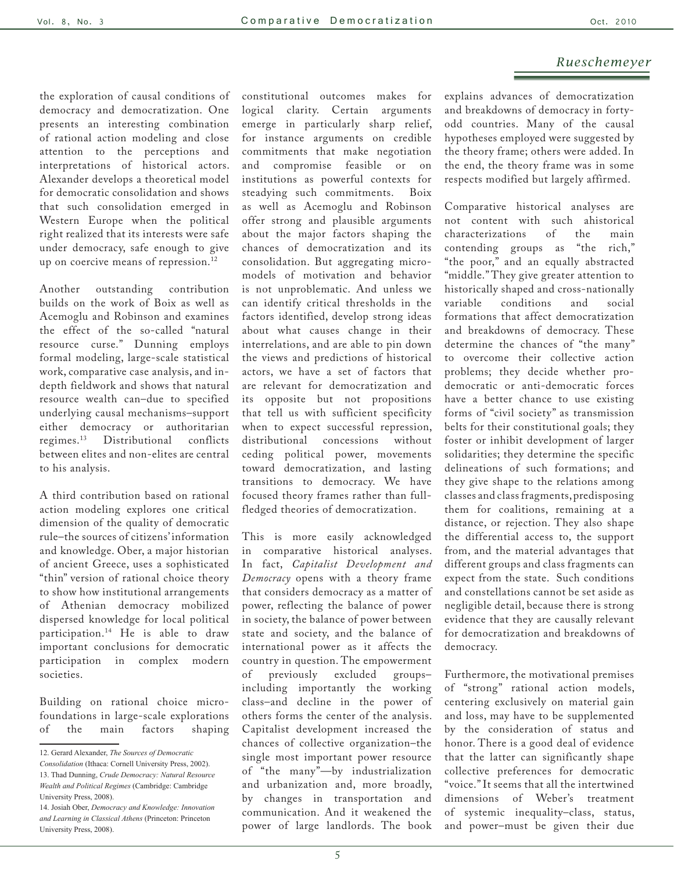the exploration of causal conditions of democracy and democratization. One presents an interesting combination of rational action modeling and close attention to the perceptions and interpretations of historical actors. Alexander develops a theoretical model for democratic consolidation and shows that such consolidation emerged in Western Europe when the political right realized that its interests were safe under democracy, safe enough to give up on coercive means of repression.<sup>12</sup>

Another outstanding contribution builds on the work of Boix as well as Acemoglu and Robinson and examines the effect of the so-called "natural resource curse." Dunning employs formal modeling, large-scale statistical work, comparative case analysis, and indepth fieldwork and shows that natural resource wealth can–due to specified underlying causal mechanisms–support either democracy or authoritarian regimes.13 Distributional conflicts between elites and non-elites are central to his analysis.

A third contribution based on rational action modeling explores one critical dimension of the quality of democratic rule–the sources of citizens' information and knowledge. Ober, a major historian of ancient Greece, uses a sophisticated "thin" version of rational choice theory to show how institutional arrangements of Athenian democracy mobilized dispersed knowledge for local political participation.14 He is able to draw important conclusions for democratic participation in complex modern societies.

Building on rational choice microfoundations in large-scale explorations of the main factors shaping constitutional outcomes makes for logical clarity. Certain arguments emerge in particularly sharp relief, for instance arguments on credible commitments that make negotiation and compromise feasible or on institutions as powerful contexts for steadying such commitments. Boix as well as Acemoglu and Robinson offer strong and plausible arguments about the major factors shaping the chances of democratization and its consolidation. But aggregating micromodels of motivation and behavior is not unproblematic. And unless we can identify critical thresholds in the factors identified, develop strong ideas about what causes change in their interrelations, and are able to pin down the views and predictions of historical actors, we have a set of factors that are relevant for democratization and its opposite but not propositions that tell us with sufficient specificity when to expect successful repression,<br>distributional concessions without distributional concessions ceding political power, movements toward democratization, and lasting transitions to democracy. We have focused theory frames rather than fullfledged theories of democratization.

This is more easily acknowledged in comparative historical analyses. In fact, *Capitalist Development and Democracy* opens with a theory frame that considers democracy as a matter of power, reflecting the balance of power in society, the balance of power between state and society, and the balance of international power as it affects the country in question. The empowerment of previously excluded groups– including importantly the working class–and decline in the power of others forms the center of the analysis. Capitalist development increased the chances of collective organization–the single most important power resource of "the many"—by industrialization and urbanization and, more broadly, by changes in transportation and communication. And it weakened the power of large landlords. The book explains advances of democratization and breakdowns of democracy in fortyodd countries. Many of the causal hypotheses employed were suggested by the theory frame; others were added. In the end, the theory frame was in some respects modified but largely affirmed.

Comparative historical analyses are not content with such ahistorical characterizations of the main contending groups as "the rich," "the poor," and an equally abstracted "middle." They give greater attention to historically shaped and cross-nationally variable conditions and social formations that affect democratization and breakdowns of democracy. These determine the chances of "the many" to overcome their collective action problems; they decide whether prodemocratic or anti-democratic forces have a better chance to use existing forms of "civil society" as transmission belts for their constitutional goals; they foster or inhibit development of larger solidarities; they determine the specific delineations of such formations; and they give shape to the relations among classes and class fragments, predisposing them for coalitions, remaining at a distance, or rejection. They also shape the differential access to, the support from, and the material advantages that different groups and class fragments can expect from the state. Such conditions and constellations cannot be set aside as negligible detail, because there is strong evidence that they are causally relevant for democratization and breakdowns of democracy.

Furthermore, the motivational premises of "strong" rational action models, centering exclusively on material gain and loss, may have to be supplemented by the consideration of status and honor. There is a good deal of evidence that the latter can significantly shape collective preferences for democratic "voice." It seems that all the intertwined dimensions of Weber's treatment of systemic inequality–class, status, and power–must be given their due

<sup>12.</sup> Gerard Alexander, *The Sources of Democratic* 

*Consolidation* (Ithaca: Cornell University Press, 2002). 13. Thad Dunning, *Crude Democracy: Natural Resource Wealth and Political Regimes* (Cambridge: Cambridge University Press, 2008).

<sup>14.</sup> Josiah Ober, *Democracy and Knowledge: Innovation and Learning in Classical Athens* (Princeton: Princeton University Press, 2008).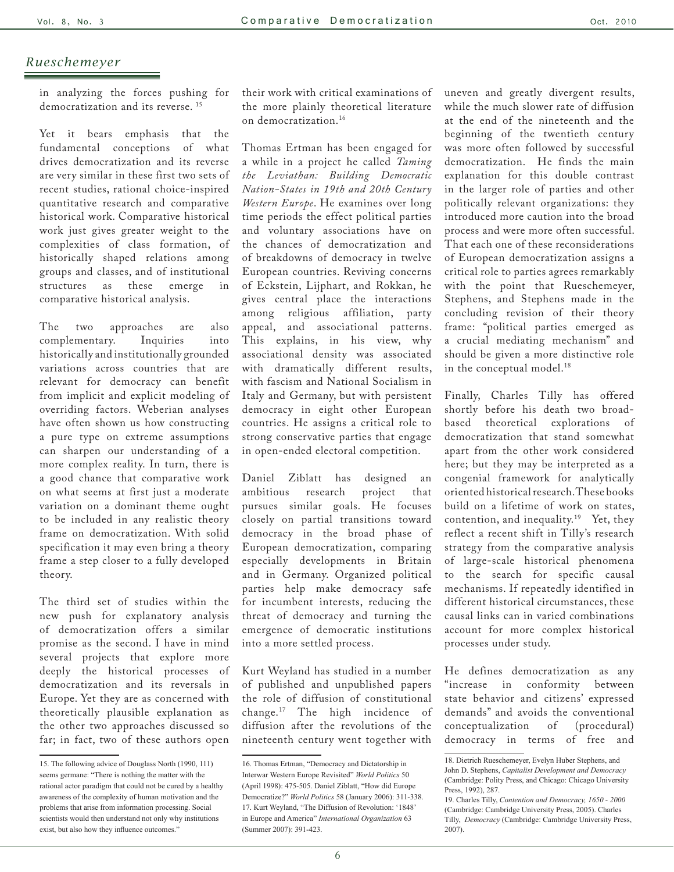in analyzing the forces pushing for democratization and its reverse. 15

Yet it bears emphasis that the fundamental conceptions of what drives democratization and its reverse are very similar in these first two sets of recent studies, rational choice-inspired quantitative research and comparative historical work. Comparative historical work just gives greater weight to the complexities of class formation, of historically shaped relations among groups and classes, and of institutional structures as these emerge in comparative historical analysis.

The two approaches are also complementary. Inquiries into historically and institutionally grounded variations across countries that are relevant for democracy can benefit from implicit and explicit modeling of overriding factors. Weberian analyses have often shown us how constructing a pure type on extreme assumptions can sharpen our understanding of a more complex reality. In turn, there is a good chance that comparative work on what seems at first just a moderate variation on a dominant theme ought to be included in any realistic theory frame on democratization. With solid specification it may even bring a theory frame a step closer to a fully developed theory.

The third set of studies within the new push for explanatory analysis of democratization offers a similar promise as the second. I have in mind several projects that explore more deeply the historical processes of democratization and its reversals in Europe. Yet they are as concerned with theoretically plausible explanation as the other two approaches discussed so far; in fact, two of these authors open

their work with critical examinations of the more plainly theoretical literature on democratization.16

Thomas Ertman has been engaged for a while in a project he called *Taming the Leviathan: Building Democratic Nation-States in 19th and 20th Century Western Europe*. He examines over long time periods the effect political parties and voluntary associations have on the chances of democratization and of breakdowns of democracy in twelve European countries. Reviving concerns of Eckstein, Lijphart, and Rokkan, he gives central place the interactions among religious affiliation, party appeal, and associational patterns. This explains, in his view, why associational density was associated with dramatically different results, with fascism and National Socialism in Italy and Germany, but with persistent democracy in eight other European countries. He assigns a critical role to strong conservative parties that engage in open-ended electoral competition.

Daniel Ziblatt has designed an ambitious research project that pursues similar goals. He focuses closely on partial transitions toward democracy in the broad phase of European democratization, comparing especially developments in Britain and in Germany. Organized political parties help make democracy safe for incumbent interests, reducing the threat of democracy and turning the emergence of democratic institutions into a more settled process.

Kurt Weyland has studied in a number of published and unpublished papers the role of diffusion of constitutional change.17 The high incidence of diffusion after the revolutions of the nineteenth century went together with

uneven and greatly divergent results, while the much slower rate of diffusion at the end of the nineteenth and the beginning of the twentieth century was more often followed by successful democratization. He finds the main explanation for this double contrast in the larger role of parties and other politically relevant organizations: they introduced more caution into the broad process and were more often successful. That each one of these reconsiderations of European democratization assigns a critical role to parties agrees remarkably with the point that Rueschemeyer, Stephens, and Stephens made in the concluding revision of their theory frame: "political parties emerged as a crucial mediating mechanism" and should be given a more distinctive role in the conceptual model.<sup>18</sup>

Finally, Charles Tilly has offered shortly before his death two broadbased theoretical explorations of democratization that stand somewhat apart from the other work considered here; but they may be interpreted as a congenial framework for analytically oriented historical research. These books build on a lifetime of work on states, contention, and inequality.<sup>19</sup> Yet, they reflect a recent shift in Tilly's research strategy from the comparative analysis of large-scale historical phenomena to the search for specific causal mechanisms. If repeatedly identified in different historical circumstances, these causal links can in varied combinations account for more complex historical processes under study.

He defines democratization as any "increase in conformity between state behavior and citizens' expressed demands" and avoids the conventional<br>conceptualization of (procedural) conceptualization democracy in terms of free and

<sup>15.</sup> The following advice of Douglass North (1990, 111) seems germane: "There is nothing the matter with the rational actor paradigm that could not be cured by a healthy awareness of the complexity of human motivation and the problems that arise from information processing. Social scientists would then understand not only why institutions exist, but also how they influence outcomes."

<sup>16.</sup> Thomas Ertman, "Democracy and Dictatorship in Interwar Western Europe Revisited" *World Politics* 50 (April 1998): 475-505. Daniel Ziblatt, "How did Europe Democratize?" *World Politics* 58 (January 2006): 311-338. 17. Kurt Weyland, "The Diffusion of Revolution: '1848' in Europe and America" *International Organization* 63 (Summer 2007): 391-423.

<sup>18.</sup> Dietrich Rueschemeyer, Evelyn Huber Stephens, and John D. Stephens, *Capitalist Development and Democracy* (Cambridge: Polity Press, and Chicago: Chicago University Press, 1992), 287.

<sup>19.</sup> Charles Tilly, *Contention and Democracy, 1650 - 2000* (Cambridge: Cambridge University Press, 2005). Charles Tilly, *Democracy* (Cambridge: Cambridge University Press, 2007).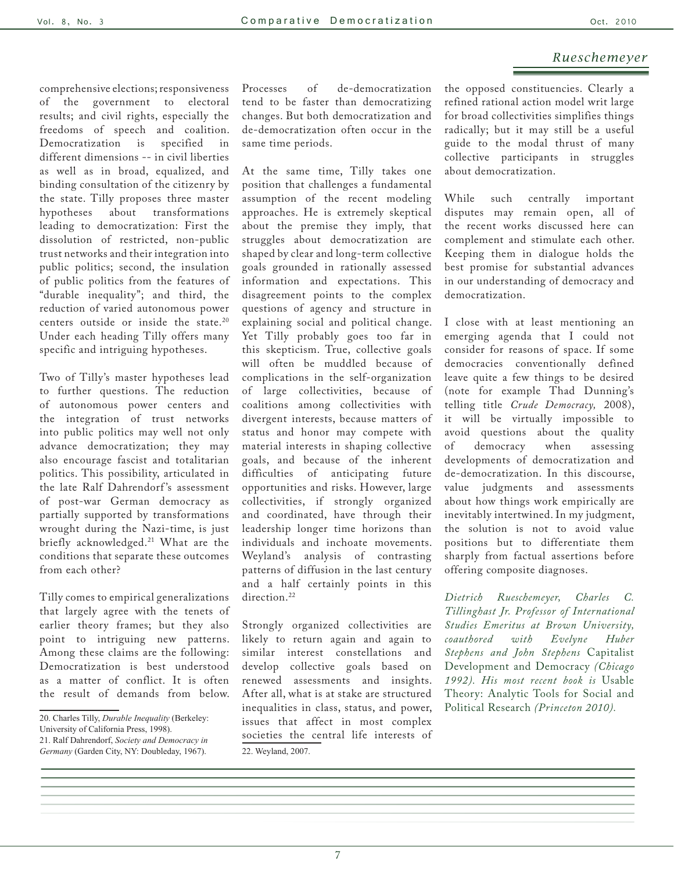comprehensive elections; responsiveness of the government to electoral results; and civil rights, especially the freedoms of speech and coalition. Democratization is specified in different dimensions -- in civil liberties as well as in broad, equalized, and binding consultation of the citizenry by the state. Tilly proposes three master<br>hypotheses about transformations transformations leading to democratization: First the dissolution of restricted, non-public trust networks and their integration into public politics; second, the insulation of public politics from the features of "durable inequality"; and third, the reduction of varied autonomous power centers outside or inside the state.<sup>20</sup> Under each heading Tilly offers many specific and intriguing hypotheses.

Two of Tilly's master hypotheses lead to further questions. The reduction of autonomous power centers and the integration of trust networks into public politics may well not only advance democratization; they may also encourage fascist and totalitarian politics. This possibility, articulated in the late Ralf Dahrendorf 's assessment of post-war German democracy as partially supported by transformations wrought during the Nazi-time, is just briefly acknowledged.<sup>21</sup> What are the conditions that separate these outcomes from each other?

Tilly comes to empirical generalizations that largely agree with the tenets of earlier theory frames; but they also point to intriguing new patterns. Among these claims are the following: Democratization is best understood as a matter of conflict. It is often the result of demands from below.

Processes of de-democratization tend to be faster than democratizing changes. But both democratization and de-democratization often occur in the same time periods.

At the same time, Tilly takes one position that challenges a fundamental assumption of the recent modeling approaches. He is extremely skeptical about the premise they imply, that struggles about democratization are shaped by clear and long-term collective goals grounded in rationally assessed information and expectations. This disagreement points to the complex questions of agency and structure in explaining social and political change. Yet Tilly probably goes too far in this skepticism. True, collective goals will often be muddled because of complications in the self-organization of large collectivities, because of coalitions among collectivities with divergent interests, because matters of status and honor may compete with material interests in shaping collective goals, and because of the inherent difficulties of anticipating future opportunities and risks. However, large collectivities, if strongly organized and coordinated, have through their leadership longer time horizons than individuals and inchoate movements. Weyland's analysis of contrasting patterns of diffusion in the last century and a half certainly points in this direction.<sup>22</sup>

Strongly organized collectivities are likely to return again and again to similar interest constellations and develop collective goals based on renewed assessments and insights. After all, what is at stake are structured inequalities in class, status, and power, issues that affect in most complex societies the central life interests of 22. Weyland, 2007.

the opposed constituencies. Clearly a refined rational action model writ large for broad collectivities simplifies things radically; but it may still be a useful guide to the modal thrust of many collective participants in struggles about democratization.

While such centrally important disputes may remain open, all of the recent works discussed here can complement and stimulate each other. Keeping them in dialogue holds the best promise for substantial advances in our understanding of democracy and democratization.

I close with at least mentioning an emerging agenda that I could not consider for reasons of space. If some democracies conventionally defined leave quite a few things to be desired (note for example Thad Dunning's telling title *Crude Democracy,* 2008), it will be virtually impossible to avoid questions about the quality of democracy when assessing developments of democratization and de-democratization. In this discourse, value judgments and assessments about how things work empirically are inevitably intertwined. In my judgment, the solution is not to avoid value positions but to differentiate them sharply from factual assertions before offering composite diagnoses.

*Dietrich Rueschemeyer, Charles C. Tillinghast Jr. Professor of International Studies Emeritus at Brown University, coauthored with Evelyne Huber Stephens and John Stephens* Capitalist Development and Democracy *(Chicago 1992). His most recent book is* Usable Theory: Analytic Tools for Social and Political Research *(Princeton 2010).* 

<sup>20.</sup> Charles Tilly, *Durable Inequality* (Berkeley:

University of California Press, 1998).

<sup>21.</sup> Ralf Dahrendorf, *Society and Democracy in Germany* (Garden City, NY: Doubleday, 1967).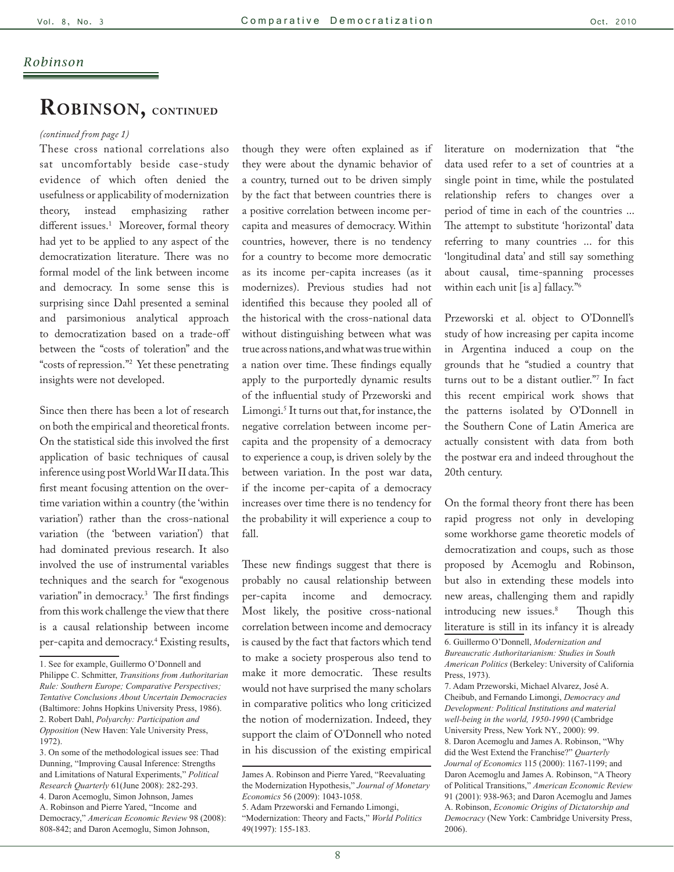## **Robinson, continued**

#### *(continued from page 1)*

These cross national correlations also sat uncomfortably beside case-study evidence of which often denied the usefulness or applicability of modernization theory, instead emphasizing rather different issues.<sup>1</sup> Moreover, formal theory had yet to be applied to any aspect of the democratization literature. There was no formal model of the link between income and democracy. In some sense this is surprising since Dahl presented a seminal and parsimonious analytical approach to democratization based on a trade-off between the "costs of toleration" and the "costs of repression."2 Yet these penetrating insights were not developed.

Since then there has been a lot of research on both the empirical and theoretical fronts. On the statistical side this involved the first application of basic techniques of causal inference using post World War II data. This first meant focusing attention on the overtime variation within a country (the 'within variation') rather than the cross-national variation (the 'between variation') that had dominated previous research. It also involved the use of instrumental variables techniques and the search for "exogenous variation" in democracy.3 The first findings from this work challenge the view that there is a causal relationship between income per-capita and democracy.4 Existing results,

A. Robinson and Pierre Yared, "Income and Democracy," *American Economic Review* 98 (2008): 808-842; and Daron Acemoglu, Simon Johnson,

though they were often explained as if they were about the dynamic behavior of a country, turned out to be driven simply by the fact that between countries there is a positive correlation between income percapita and measures of democracy. Within countries, however, there is no tendency for a country to become more democratic as its income per-capita increases (as it modernizes). Previous studies had not identified this because they pooled all of the historical with the cross-national data without distinguishing between what was true across nations, and what was true within a nation over time. These findings equally apply to the purportedly dynamic results of the influential study of Przeworski and Limongi.5 It turns out that, for instance, the negative correlation between income percapita and the propensity of a democracy to experience a coup, is driven solely by the between variation. In the post war data, if the income per-capita of a democracy increases over time there is no tendency for the probability it will experience a coup to fall.

These new findings suggest that there is probably no causal relationship between per-capita income and democracy. Most likely, the positive cross-national correlation between income and democracy is caused by the fact that factors which tend to make a society prosperous also tend to make it more democratic. These results would not have surprised the many scholars in comparative politics who long criticized the notion of modernization. Indeed, they support the claim of O'Donnell who noted in his discussion of the existing empirical literature on modernization that "the data used refer to a set of countries at a single point in time, while the postulated relationship refers to changes over a period of time in each of the countries ... The attempt to substitute 'horizontal' data referring to many countries ... for this 'longitudinal data' and still say something about causal, time-spanning processes within each unit [is a] fallacy."6

Przeworski et al. object to O'Donnell's study of how increasing per capita income in Argentina induced a coup on the grounds that he "studied a country that turns out to be a distant outlier."7 In fact this recent empirical work shows that the patterns isolated by O'Donnell in the Southern Cone of Latin America are actually consistent with data from both the postwar era and indeed throughout the 20th century.

On the formal theory front there has been rapid progress not only in developing some workhorse game theoretic models of democratization and coups, such as those proposed by Acemoglu and Robinson, but also in extending these models into new areas, challenging them and rapidly introducing new issues.<sup>8</sup> Though this literature is still in its infancy it is already 6. Guillermo O'Donnell, *Modernization and Bureaucratic Authoritarianism: Studies in South American Politics* (Berkeley: University of California Press, 1973).

7. Adam Przeworski, Michael Alvarez, José A. Cheibub, and Fernando Limongi, *Democracy and Development: Political Institutions and material well-being in the world, 1950-1990* (Cambridge University Press, New York NY., 2000): 99. 8. Daron Acemoglu and James A. Robinson, "Why did the West Extend the Franchise?" *Quarterly Journal of Economics* 115 (2000): 1167-1199; and Daron Acemoglu and James A. Robinson, "A Theory of Political Transitions," *American Economic Review* 91 (2001): 938-963; and Daron Acemoglu and James A. Robinson, *Economic Origins of Dictatorship and Democracy* (New York: Cambridge University Press, 2006).

<sup>1.</sup> See for example, Guillermo O'Donnell and Philippe C. Schmitter, *Transitions from Authoritarian Rule: Southern Europe; Comparative Perspectives; Tentative Conclusions About Uncertain Democracies* (Baltimore: Johns Hopkins University Press, 1986). 2. Robert Dahl, *Polyarchy: Participation and Opposition* (New Haven: Yale University Press, 1972).

<sup>3.</sup> On some of the methodological issues see: Thad Dunning, "Improving Causal Inference: Strengths and Limitations of Natural Experiments," *Political Research Quarterly* 61(June 2008): 282-293. 4. Daron Acemoglu, Simon Johnson, James

James A. Robinson and Pierre Yared, "Reevaluating the Modernization Hypothesis," *Journal of Monetary Economics* 56 (2009): 1043-1058. 5. Adam Przeworski and Fernando Limongi, "Modernization: Theory and Facts," *World Politics* 49(1997): 155-183.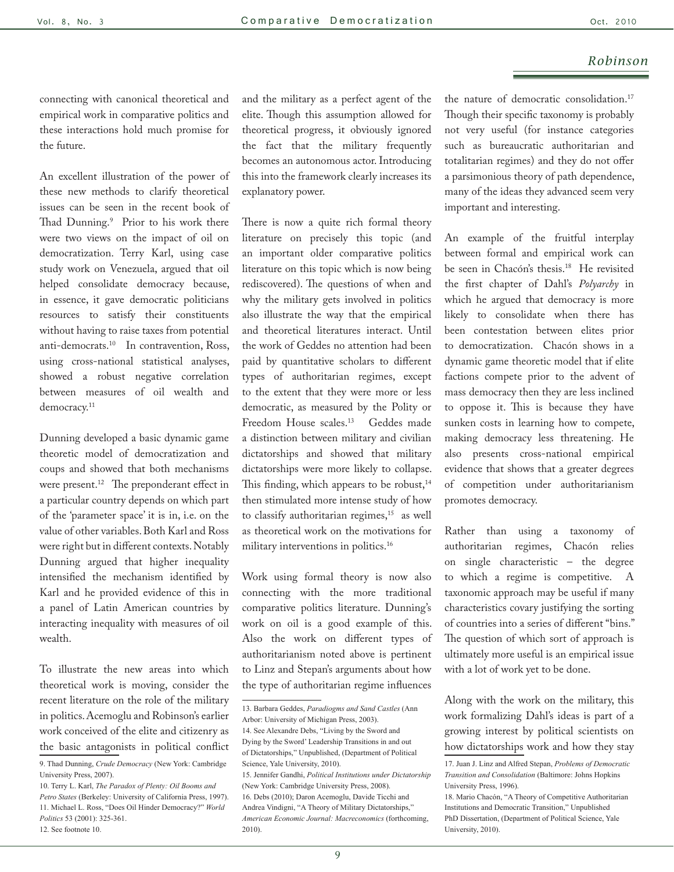connecting with canonical theoretical and empirical work in comparative politics and these interactions hold much promise for the future.

An excellent illustration of the power of these new methods to clarify theoretical issues can be seen in the recent book of Thad Dunning.9 Prior to his work there were two views on the impact of oil on democratization. Terry Karl, using case study work on Venezuela, argued that oil helped consolidate democracy because, in essence, it gave democratic politicians resources to satisfy their constituents without having to raise taxes from potential anti-democrats.10 In contravention, Ross, using cross-national statistical analyses, showed a robust negative correlation between measures of oil wealth and democracy.<sup>11</sup>

Dunning developed a basic dynamic game theoretic model of democratization and coups and showed that both mechanisms were present.<sup>12</sup> The preponderant effect in a particular country depends on which part of the 'parameter space' it is in, i.e. on the value of other variables. Both Karl and Ross were right but in different contexts. Notably Dunning argued that higher inequality intensified the mechanism identified by Karl and he provided evidence of this in a panel of Latin American countries by interacting inequality with measures of oil wealth.

To illustrate the new areas into which theoretical work is moving, consider the recent literature on the role of the military in politics. Acemoglu and Robinson's earlier work conceived of the elite and citizenry as the basic antagonists in political conflict

and the military as a perfect agent of the elite. Though this assumption allowed for theoretical progress, it obviously ignored the fact that the military frequently becomes an autonomous actor. Introducing this into the framework clearly increases its explanatory power.

There is now a quite rich formal theory literature on precisely this topic (and an important older comparative politics literature on this topic which is now being rediscovered). The questions of when and why the military gets involved in politics also illustrate the way that the empirical and theoretical literatures interact. Until the work of Geddes no attention had been paid by quantitative scholars to different types of authoritarian regimes, except to the extent that they were more or less democratic, as measured by the Polity or Freedom House scales.<sup>13</sup> Geddes made a distinction between military and civilian dictatorships and showed that military dictatorships were more likely to collapse. This finding, which appears to be robust, $14$ then stimulated more intense study of how to classify authoritarian regimes,<sup>15</sup> as well as theoretical work on the motivations for military interventions in politics.16

Work using formal theory is now also connecting with the more traditional comparative politics literature. Dunning's work on oil is a good example of this. Also the work on different types of authoritarianism noted above is pertinent to Linz and Stepan's arguments about how the type of authoritarian regime influences the nature of democratic consolidation.17 Though their specific taxonomy is probably not very useful (for instance categories such as bureaucratic authoritarian and totalitarian regimes) and they do not offer a parsimonious theory of path dependence, many of the ideas they advanced seem very important and interesting.

An example of the fruitful interplay between formal and empirical work can be seen in Chacón's thesis.18 He revisited the first chapter of Dahl's *Polyarchy* in which he argued that democracy is more likely to consolidate when there has been contestation between elites prior to democratization. Chacón shows in a dynamic game theoretic model that if elite factions compete prior to the advent of mass democracy then they are less inclined to oppose it. This is because they have sunken costs in learning how to compete, making democracy less threatening. He also presents cross-national empirical evidence that shows that a greater degrees of competition under authoritarianism promotes democracy.

Rather than using a taxonomy of authoritarian regimes, Chacón relies on single characteristic – the degree to which a regime is competitive. A taxonomic approach may be useful if many characteristics covary justifying the sorting of countries into a series of different "bins." The question of which sort of approach is ultimately more useful is an empirical issue with a lot of work yet to be done.

Along with the work on the military, this work formalizing Dahl's ideas is part of a growing interest by political scientists on how dictatorships work and how they stay

<sup>9.</sup> Thad Dunning, *Crude Democracy* (New York: Cambridge University Press, 2007).

<sup>10.</sup> Terry L. Karl, *The Paradox of Plenty: Oil Booms and Petro States* (Berkeley: University of California Press, 1997). 11. Michael L. Ross, "Does Oil Hinder Democracy?" *World Politics* 53 (2001): 325-361. 12. See footnote 10.

<sup>13.</sup> Barbara Geddes, *Paradiogms and Sand Castles* (Ann Arbor: University of Michigan Press, 2003). 14. See Alexandre Debs, "Living by the Sword and Dying by the Sword' Leadership Transitions in and out of Dictatorships," Unpublished, (Department of Political Science, Yale University, 2010). 15. Jennifer Gandhi, *Political Institutions under Dictatorship* (New York: Cambridge University Press, 2008). 16. Debs (2010); Daron Acemoglu, Davide Ticchi and Andrea Vindigni, "A Theory of Military Dictatorships," *American Economic Journal: Macreconomics* (forthcoming, 2010).

<sup>17.</sup> Juan J. Linz and Alfred Stepan, *Problems of Democratic Transition and Consolidation* (Baltimore: Johns Hopkins University Press, 1996).

<sup>18.</sup> Mario Chacón, "A Theory of Competitive Authoritarian Institutions and Democratic Transition," Unpublished PhD Dissertation, (Department of Political Science, Yale University, 2010).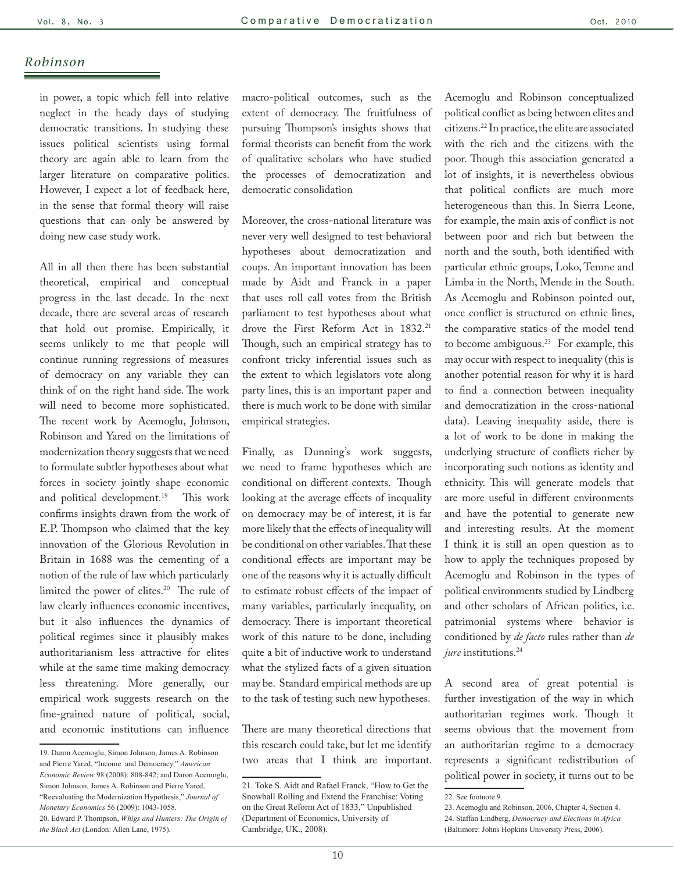in power, a topic which fell into relative neglect in the heady days of studying democratic transitions. In studying these issues political scientists using formal theory are again able to learn from the larger literature on comparative politics. However, I expect a lot of feedback here, in the sense that formal theory will raise questions that can only be answered by doing new case study work.

All in all then there has been substantial theoretical, empirical and conceptual progress in the last decade. In the next decade, there are several areas of research that hold out promise. Empirically, it seems unlikely to me that people will continue running regressions of measures of democracy on any variable they can think of on the right hand side. The work will need to become more sophisticated. The recent work by Acemoglu, Johnson, Robinson and Yared on the limitations of modernization theory suggests that we need to formulate subtler hypotheses about what forces in society jointly shape economic and political development.<sup>19</sup> This work confirms insights drawn from the work of E.P. Thompson who claimed that the key innovation of the Glorious Revolution in Britain in 1688 was the cementing of a notion of the rule of law which particularly limited the power of elites.20 The rule of law clearly influences economic incentives, but it also influences the dynamics of political regimes since it plausibly makes authoritarianism less attractive for elites while at the same time making democracy less threatening. More generally, our empirical work suggests research on the fine-grained nature of political, social, and economic institutions can influence

macro-political outcomes, such as the extent of democracy. The fruitfulness of pursuing Thompson's insights shows that formal theorists can benefit from the work of qualitative scholars who have studied the processes of democratization and democratic consolidation

Moreover, the cross-national literature was never very well designed to test behavioral hypotheses about democratization and coups. An important innovation has been made by Aidt and Franck in a paper that uses roll call votes from the British parliament to test hypotheses about what drove the First Reform Act in 1832.<sup>21</sup> Though, such an empirical strategy has to confront tricky inferential issues such as the extent to which legislators vote along party lines, this is an important paper and there is much work to be done with similar empirical strategies.

Finally, as Dunning's work suggests, we need to frame hypotheses which are conditional on different contexts. Though looking at the average effects of inequality on democracy may be of interest, it is far more likely that the effects of inequality will be conditional on other variables. That these conditional effects are important may be one of the reasons why it is actually difficult to estimate robust effects of the impact of many variables, particularly inequality, on democracy. There is important theoretical work of this nature to be done, including quite a bit of inductive work to understand what the stylized facts of a given situation may be. Standard empirical methods are up to the task of testing such new hypotheses.

There are many theoretical directions that this research could take, but let me identify two areas that I think are important.

Acemoglu and Robinson conceptualized political conflict as being between elites and citizens.22 In practice, the elite are associated with the rich and the citizens with the poor. Though this association generated a lot of insights, it is nevertheless obvious that political conflicts are much more heterogeneous than this. In Sierra Leone, for example, the main axis of conflict is not between poor and rich but between the north and the south, both identified with particular ethnic groups, Loko, Temne and Limba in the North, Mende in the South. As Acemoglu and Robinson pointed out, once conflict is structured on ethnic lines, the comparative statics of the model tend to become ambiguous.<sup>23</sup> For example, this may occur with respect to inequality (this is another potential reason for why it is hard to find a connection between inequality and democratization in the cross-national data). Leaving inequality aside, there is a lot of work to be done in making the underlying structure of conflicts richer by incorporating such notions as identity and ethnicity. This will generate models that are more useful in different environments and have the potential to generate new and interesting results. At the moment I think it is still an open question as to how to apply the techniques proposed by Acemoglu and Robinson in the types of political environments studied by Lindberg and other scholars of African politics, i.e. patrimonial systems where behavior is conditioned by *de facto* rules rather than *de jure* institutions.<sup>24</sup>

A second area of great potential is further investigation of the way in which authoritarian regimes work. Though it seems obvious that the movement from an authoritarian regime to a democracy represents a significant redistribution of political power in society, it turns out to be

<sup>19.</sup> Daron Acemoglu, Simon Johnson, James A. Robinson and Pierre Yared, "Income and Democracy," *American Economic Review* 98 (2008): 808-842; and Daron Acemoglu, Simon Johnson, James A. Robinson and Pierre Yared, "Reevaluating the Modernization Hypothesis," *Journal of Monetary Economics* 56 (2009): 1043-1058. 20. Edward P. Thompson, *Whigs and Hunters: The Origin of the Black Act* (London: Allen Lane, 1975).

<sup>21.</sup> Toke S. Aidt and Rafael Franck, "How to Get the Snowball Rolling and Extend the Franchise: Voting on the Great Reform Act of 1833," Unpublished (Department of Economics, University of Cambridge, UK., 2008).

<sup>22.</sup> See footnote 9.

<sup>23.</sup> Acemoglu and Robinson, 2006, Chapter 4, Section 4. 24. Staffan Lindberg, *Democracy and Elections in Africa*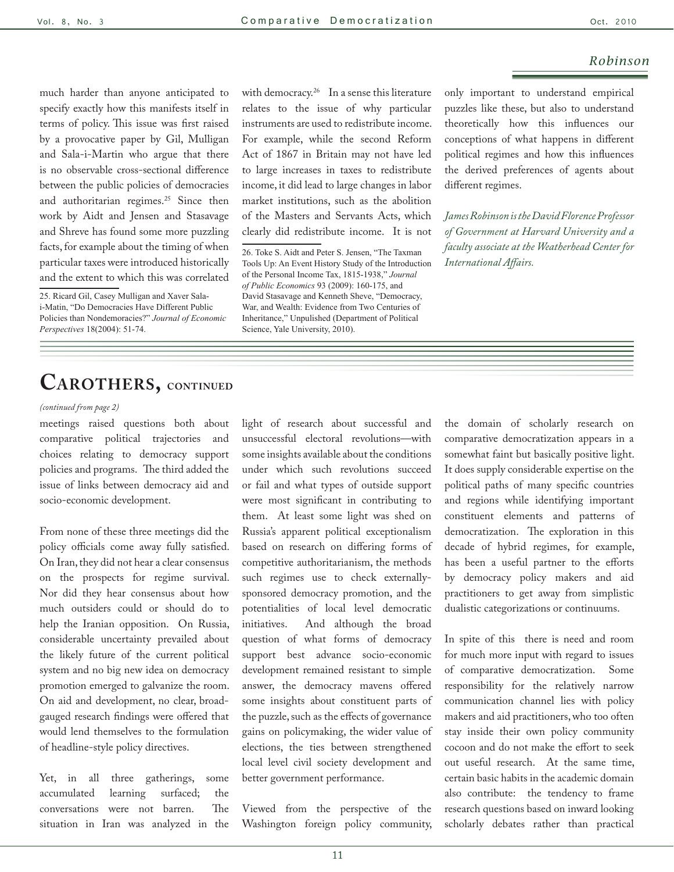much harder than anyone anticipated to specify exactly how this manifests itself in terms of policy. This issue was first raised by a provocative paper by Gil, Mulligan and Sala-i-Martin who argue that there is no observable cross-sectional difference between the public policies of democracies and authoritarian regimes.<sup>25</sup> Since then work by Aidt and Jensen and Stasavage and Shreve has found some more puzzling facts, for example about the timing of when particular taxes were introduced historically and the extent to which this was correlated

25. Ricard Gil, Casey Mulligan and Xaver Salai-Matin, "Do Democracies Have Different Public Policies than Nondemoracies?" *Journal of Economic Perspectives* 18(2004): 51-74.

with democracy.<sup>26</sup> In a sense this literature relates to the issue of why particular instruments are used to redistribute income. For example, while the second Reform Act of 1867 in Britain may not have led to large increases in taxes to redistribute income, it did lead to large changes in labor market institutions, such as the abolition of the Masters and Servants Acts, which clearly did redistribute income. It is not

26. Toke S. Aidt and Peter S. Jensen, "The Taxman Tools Up: An Event History Study of the Introduction of the Personal Income Tax, 1815-1938," *Journal of Public Economics* 93 (2009): 160-175, and David Stasavage and Kenneth Sheve, "Democracy, War, and Wealth: Evidence from Two Centuries of Inheritance," Unpulished (Department of Political Science, Yale University, 2010).

only important to understand empirical puzzles like these, but also to understand theoretically how this influences our conceptions of what happens in different political regimes and how this influences the derived preferences of agents about different regimes.

*James Robinson is the David Florence Professor of Government at Harvard University and a faculty associate at the Weatherhead Center for International Affairs.* 

# **Carothers, continued**

#### *(continued from page 2)*

meetings raised questions both about comparative political trajectories and choices relating to democracy support policies and programs. The third added the issue of links between democracy aid and socio-economic development.

From none of these three meetings did the policy officials come away fully satisfied. On Iran, they did not hear a clear consensus on the prospects for regime survival. Nor did they hear consensus about how much outsiders could or should do to help the Iranian opposition. On Russia, considerable uncertainty prevailed about the likely future of the current political system and no big new idea on democracy promotion emerged to galvanize the room. On aid and development, no clear, broadgauged research findings were offered that would lend themselves to the formulation of headline-style policy directives.

Yet, in all three gatherings, some accumulated learning surfaced; the conversations were not barren. The situation in Iran was analyzed in the light of research about successful and unsuccessful electoral revolutions—with some insights available about the conditions under which such revolutions succeed or fail and what types of outside support were most significant in contributing to them. At least some light was shed on Russia's apparent political exceptionalism based on research on differing forms of competitive authoritarianism, the methods such regimes use to check externallysponsored democracy promotion, and the potentialities of local level democratic initiatives. And although the broad question of what forms of democracy support best advance socio-economic development remained resistant to simple answer, the democracy mavens offered some insights about constituent parts of the puzzle, such as the effects of governance gains on policymaking, the wider value of elections, the ties between strengthened local level civil society development and better government performance.

Viewed from the perspective of the Washington foreign policy community, the domain of scholarly research on comparative democratization appears in a somewhat faint but basically positive light. It does supply considerable expertise on the political paths of many specific countries and regions while identifying important constituent elements and patterns of democratization. The exploration in this decade of hybrid regimes, for example, has been a useful partner to the efforts by democracy policy makers and aid practitioners to get away from simplistic dualistic categorizations or continuums.

In spite of this there is need and room for much more input with regard to issues of comparative democratization. Some responsibility for the relatively narrow communication channel lies with policy makers and aid practitioners, who too often stay inside their own policy community cocoon and do not make the effort to seek out useful research. At the same time, certain basic habits in the academic domain also contribute: the tendency to frame research questions based on inward looking scholarly debates rather than practical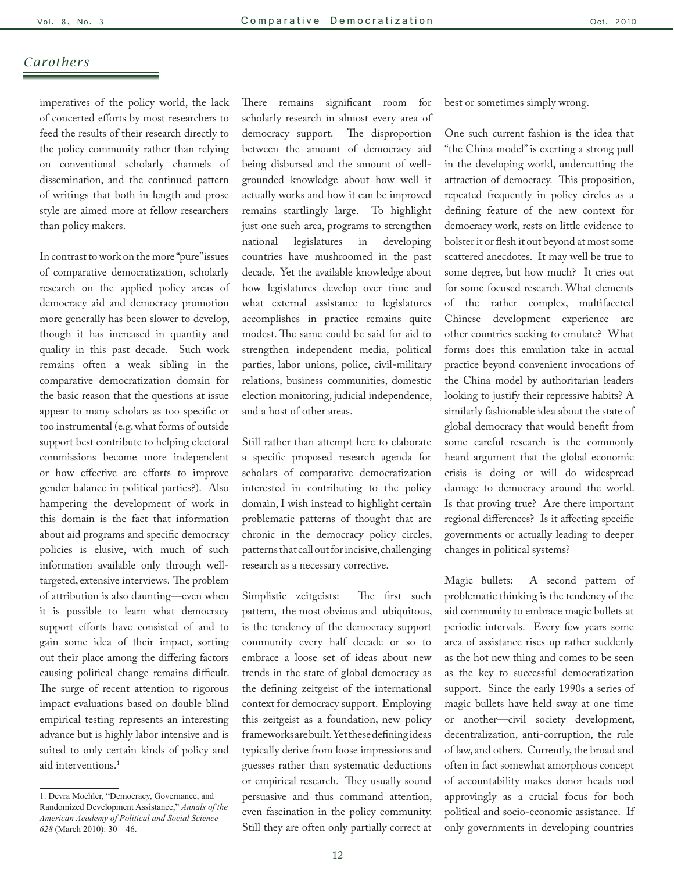## *Carothers*

imperatives of the policy world, the lack of concerted efforts by most researchers to feed the results of their research directly to the policy community rather than relying on conventional scholarly channels of dissemination, and the continued pattern of writings that both in length and prose style are aimed more at fellow researchers than policy makers.

In contrast to work on the more "pure" issues of comparative democratization, scholarly research on the applied policy areas of democracy aid and democracy promotion more generally has been slower to develop, though it has increased in quantity and quality in this past decade. Such work remains often a weak sibling in the comparative democratization domain for the basic reason that the questions at issue appear to many scholars as too specific or too instrumental (e.g. what forms of outside support best contribute to helping electoral commissions become more independent or how effective are efforts to improve gender balance in political parties?). Also hampering the development of work in this domain is the fact that information about aid programs and specific democracy policies is elusive, with much of such information available only through welltargeted, extensive interviews. The problem of attribution is also daunting—even when it is possible to learn what democracy support efforts have consisted of and to gain some idea of their impact, sorting out their place among the differing factors causing political change remains difficult. The surge of recent attention to rigorous impact evaluations based on double blind empirical testing represents an interesting advance but is highly labor intensive and is suited to only certain kinds of policy and aid interventions.<sup>1</sup>

There remains significant room for scholarly research in almost every area of democracy support. The disproportion between the amount of democracy aid being disbursed and the amount of wellgrounded knowledge about how well it actually works and how it can be improved remains startlingly large. To highlight just one such area, programs to strengthen national legislatures in developing countries have mushroomed in the past decade. Yet the available knowledge about how legislatures develop over time and what external assistance to legislatures accomplishes in practice remains quite modest. The same could be said for aid to strengthen independent media, political parties, labor unions, police, civil-military relations, business communities, domestic election monitoring, judicial independence, and a host of other areas.

Still rather than attempt here to elaborate a specific proposed research agenda for scholars of comparative democratization interested in contributing to the policy domain, I wish instead to highlight certain problematic patterns of thought that are chronic in the democracy policy circles, patterns that call out for incisive, challenging research as a necessary corrective.

Simplistic zeitgeists: The first such pattern, the most obvious and ubiquitous, is the tendency of the democracy support community every half decade or so to embrace a loose set of ideas about new trends in the state of global democracy as the defining zeitgeist of the international context for democracy support. Employing this zeitgeist as a foundation, new policy frameworks are built. Yet these defining ideas typically derive from loose impressions and guesses rather than systematic deductions or empirical research. They usually sound persuasive and thus command attention, even fascination in the policy community. Still they are often only partially correct at best or sometimes simply wrong.

One such current fashion is the idea that "the China model" is exerting a strong pull in the developing world, undercutting the attraction of democracy. This proposition, repeated frequently in policy circles as a defining feature of the new context for democracy work, rests on little evidence to bolster it or flesh it out beyond at most some scattered anecdotes. It may well be true to some degree, but how much? It cries out for some focused research. What elements of the rather complex, multifaceted Chinese development experience are other countries seeking to emulate? What forms does this emulation take in actual practice beyond convenient invocations of the China model by authoritarian leaders looking to justify their repressive habits? A similarly fashionable idea about the state of global democracy that would benefit from some careful research is the commonly heard argument that the global economic crisis is doing or will do widespread damage to democracy around the world. Is that proving true? Are there important regional differences? Is it affecting specific governments or actually leading to deeper changes in political systems?

Magic bullets: A second pattern of problematic thinking is the tendency of the aid community to embrace magic bullets at periodic intervals. Every few years some area of assistance rises up rather suddenly as the hot new thing and comes to be seen as the key to successful democratization support. Since the early 1990s a series of magic bullets have held sway at one time or another—civil society development, decentralization, anti-corruption, the rule of law, and others. Currently, the broad and often in fact somewhat amorphous concept of accountability makes donor heads nod approvingly as a crucial focus for both political and socio-economic assistance. If only governments in developing countries

<sup>1.</sup> Devra Moehler, "Democracy, Governance, and Randomized Development Assistance," *Annals of the American Academy of Political and Social Science 628* (March 2010): 30 – 46.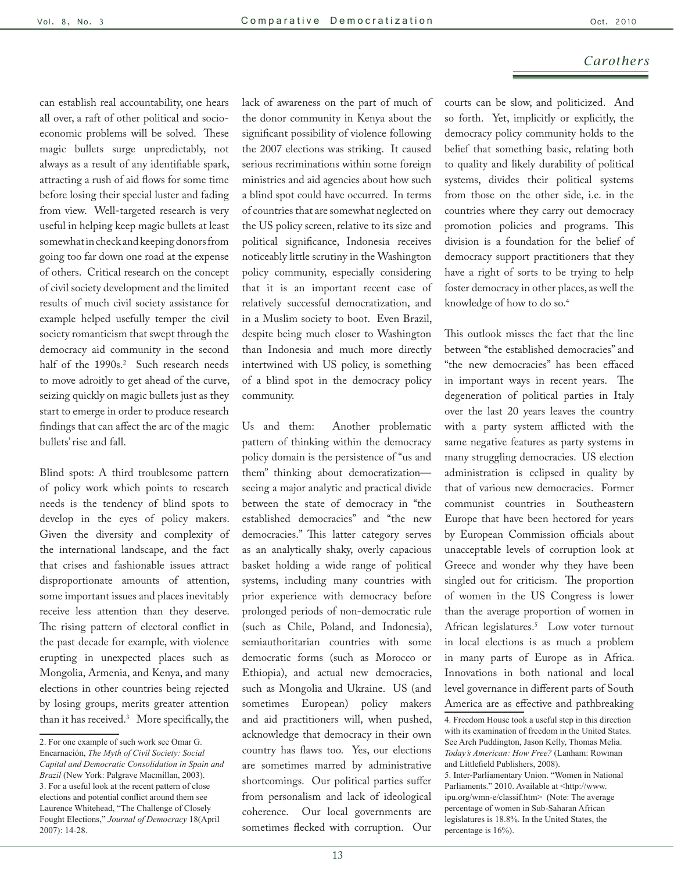## *Carothers*

can establish real accountability, one hears all over, a raft of other political and socioeconomic problems will be solved. These magic bullets surge unpredictably, not always as a result of any identifiable spark, attracting a rush of aid flows for some time before losing their special luster and fading from view. Well-targeted research is very useful in helping keep magic bullets at least somewhat in check and keeping donors from going too far down one road at the expense of others. Critical research on the concept of civil society development and the limited results of much civil society assistance for example helped usefully temper the civil society romanticism that swept through the democracy aid community in the second half of the 1990s.<sup>2</sup> Such research needs to move adroitly to get ahead of the curve, seizing quickly on magic bullets just as they start to emerge in order to produce research findings that can affect the arc of the magic bullets' rise and fall.

Blind spots: A third troublesome pattern of policy work which points to research needs is the tendency of blind spots to develop in the eyes of policy makers. Given the diversity and complexity of the international landscape, and the fact that crises and fashionable issues attract disproportionate amounts of attention, some important issues and places inevitably receive less attention than they deserve. The rising pattern of electoral conflict in the past decade for example, with violence erupting in unexpected places such as Mongolia, Armenia, and Kenya, and many elections in other countries being rejected by losing groups, merits greater attention than it has received.3 More specifically, the lack of awareness on the part of much of the donor community in Kenya about the significant possibility of violence following the 2007 elections was striking. It caused serious recriminations within some foreign ministries and aid agencies about how such a blind spot could have occurred. In terms of countries that are somewhat neglected on the US policy screen, relative to its size and political significance, Indonesia receives noticeably little scrutiny in the Washington policy community, especially considering that it is an important recent case of relatively successful democratization, and in a Muslim society to boot. Even Brazil, despite being much closer to Washington than Indonesia and much more directly intertwined with US policy, is something of a blind spot in the democracy policy community.

Us and them: Another problematic pattern of thinking within the democracy policy domain is the persistence of "us and them" thinking about democratization seeing a major analytic and practical divide between the state of democracy in "the established democracies" and "the new democracies." This latter category serves as an analytically shaky, overly capacious basket holding a wide range of political systems, including many countries with prior experience with democracy before prolonged periods of non-democratic rule (such as Chile, Poland, and Indonesia), semiauthoritarian countries with some democratic forms (such as Morocco or Ethiopia), and actual new democracies, such as Mongolia and Ukraine. US (and sometimes European) policy makers and aid practitioners will, when pushed, acknowledge that democracy in their own country has flaws too. Yes, our elections are sometimes marred by administrative shortcomings. Our political parties suffer from personalism and lack of ideological coherence. Our local governments are sometimes flecked with corruption. Our courts can be slow, and politicized. And so forth. Yet, implicitly or explicitly, the democracy policy community holds to the belief that something basic, relating both to quality and likely durability of political systems, divides their political systems from those on the other side, i.e. in the countries where they carry out democracy promotion policies and programs. This division is a foundation for the belief of democracy support practitioners that they have a right of sorts to be trying to help foster democracy in other places, as well the knowledge of how to do so.4

This outlook misses the fact that the line between "the established democracies" and "the new democracies" has been effaced in important ways in recent years. The degeneration of political parties in Italy over the last 20 years leaves the country with a party system afflicted with the same negative features as party systems in many struggling democracies. US election administration is eclipsed in quality by that of various new democracies. Former communist countries in Southeastern Europe that have been hectored for years by European Commission officials about unacceptable levels of corruption look at Greece and wonder why they have been singled out for criticism. The proportion of women in the US Congress is lower than the average proportion of women in African legislatures.5 Low voter turnout in local elections is as much a problem in many parts of Europe as in Africa. Innovations in both national and local level governance in different parts of South America are as effective and pathbreaking

<sup>2.</sup> For one example of such work see Omar G. Encarnación, *The Myth of Civil Society: Social Capital and Democratic Consolidation in Spain and Brazil* (New York: Palgrave Macmillan, 2003). 3. For a useful look at the recent pattern of close elections and potential conflict around them see Laurence Whitehead, "The Challenge of Closely Fought Elections," *Journal of Democracy* 18(April 2007): 14-28.

<sup>4.</sup> Freedom House took a useful step in this direction with its examination of freedom in the United States. See Arch Puddington, Jason Kelly, Thomas Melia. *Today's American: How Free?* (Lanham: Rowman and Littlefield Publishers, 2008). 5. Inter-Parliamentary Union. "Women in National Parliaments." 2010. Available at <http://www. ipu.org/wmn-e/classif.htm> (Note: The average percentage of women in Sub-Saharan African legislatures is 18.8%. In the United States, the percentage is 16%).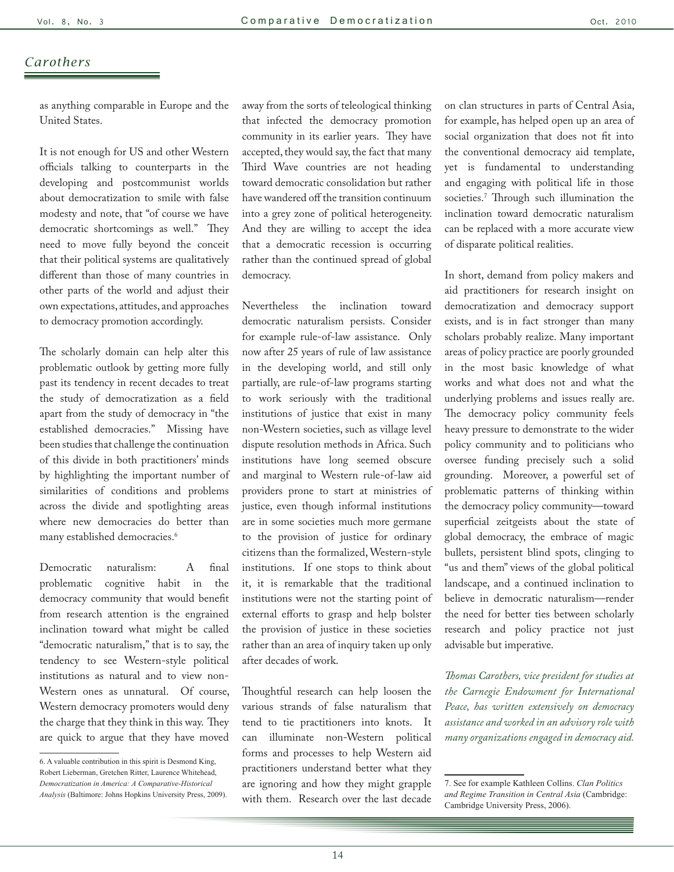## *Carothers*

as anything comparable in Europe and the United States.

It is not enough for US and other Western officials talking to counterparts in the developing and postcommunist worlds about democratization to smile with false modesty and note, that "of course we have democratic shortcomings as well." They need to move fully beyond the conceit that their political systems are qualitatively different than those of many countries in other parts of the world and adjust their own expectations, attitudes, and approaches to democracy promotion accordingly.

The scholarly domain can help alter this problematic outlook by getting more fully past its tendency in recent decades to treat the study of democratization as a field apart from the study of democracy in "the established democracies." Missing have been studies that challenge the continuation of this divide in both practitioners' minds by highlighting the important number of similarities of conditions and problems across the divide and spotlighting areas where new democracies do better than many established democracies.6

Democratic naturalism: A final problematic cognitive habit in the democracy community that would benefit from research attention is the engrained inclination toward what might be called "democratic naturalism," that is to say, the tendency to see Western-style political institutions as natural and to view non-Western ones as unnatural. Of course, Western democracy promoters would deny the charge that they think in this way. They are quick to argue that they have moved away from the sorts of teleological thinking that infected the democracy promotion community in its earlier years. They have accepted, they would say, the fact that many Third Wave countries are not heading toward democratic consolidation but rather have wandered off the transition continuum into a grey zone of political heterogeneity. And they are willing to accept the idea that a democratic recession is occurring rather than the continued spread of global democracy.

Nevertheless the inclination toward democratic naturalism persists. Consider for example rule-of-law assistance. Only now after 25 years of rule of law assistance in the developing world, and still only partially, are rule-of-law programs starting to work seriously with the traditional institutions of justice that exist in many non-Western societies, such as village level dispute resolution methods in Africa. Such institutions have long seemed obscure and marginal to Western rule-of-law aid providers prone to start at ministries of justice, even though informal institutions are in some societies much more germane to the provision of justice for ordinary citizens than the formalized, Western-style institutions. If one stops to think about it, it is remarkable that the traditional institutions were not the starting point of external efforts to grasp and help bolster the provision of justice in these societies rather than an area of inquiry taken up only after decades of work.

Thoughtful research can help loosen the various strands of false naturalism that tend to tie practitioners into knots. It can illuminate non-Western political forms and processes to help Western aid practitioners understand better what they are ignoring and how they might grapple with them. Research over the last decade on clan structures in parts of Central Asia, for example, has helped open up an area of social organization that does not fit into the conventional democracy aid template, yet is fundamental to understanding and engaging with political life in those societies.7 Through such illumination the inclination toward democratic naturalism can be replaced with a more accurate view of disparate political realities.

In short, demand from policy makers and aid practitioners for research insight on democratization and democracy support exists, and is in fact stronger than many scholars probably realize. Many important areas of policy practice are poorly grounded in the most basic knowledge of what works and what does not and what the underlying problems and issues really are. The democracy policy community feels heavy pressure to demonstrate to the wider policy community and to politicians who oversee funding precisely such a solid grounding. Moreover, a powerful set of problematic patterns of thinking within the democracy policy community—toward superficial zeitgeists about the state of global democracy, the embrace of magic bullets, persistent blind spots, clinging to "us and them" views of the global political landscape, and a continued inclination to believe in democratic naturalism—render the need for better ties between scholarly research and policy practice not just advisable but imperative.

*Thomas Carothers, vice president for studies at the Carnegie Endowment for International Peace, has written extensively on democracy assistance and worked in an advisory role with many organizations engaged in democracy aid.* 

<sup>6.</sup> A valuable contribution in this spirit is Desmond King, Robert Lieberman, Gretchen Ritter, Laurence Whitehead, *Democratization in America: A Comparative-Historical Analysis* (Baltimore: Johns Hopkins University Press, 2009).

<sup>7.</sup> See for example Kathleen Collins. *Clan Politics and Regime Transition in Central Asia* (Cambridge: Cambridge University Press, 2006).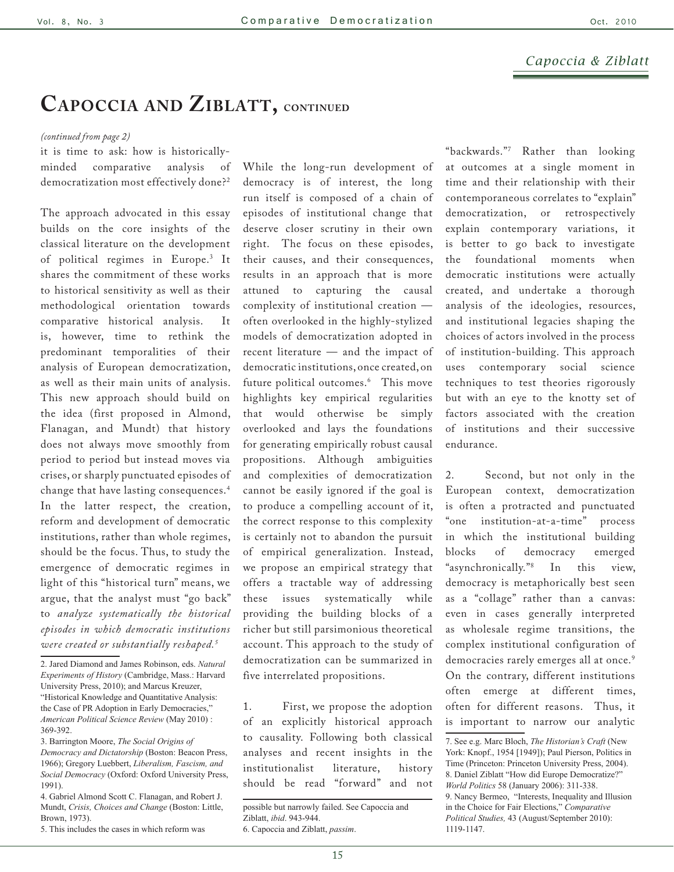## **Capoccia and Ziblatt, continued**

#### *(continued from page 2)*

it is time to ask: how is historicallyminded comparative analysis of democratization most effectively done?2

The approach advocated in this essay builds on the core insights of the classical literature on the development of political regimes in Europe.3 It shares the commitment of these works to historical sensitivity as well as their methodological orientation towards comparative historical analysis. It is, however, time to rethink the predominant temporalities of their analysis of European democratization, as well as their main units of analysis. This new approach should build on the idea (first proposed in Almond, Flanagan, and Mundt) that history does not always move smoothly from period to period but instead moves via crises, or sharply punctuated episodes of change that have lasting consequences.4 In the latter respect, the creation, reform and development of democratic institutions, rather than whole regimes, should be the focus. Thus, to study the emergence of democratic regimes in light of this "historical turn" means, we argue, that the analyst must "go back" to *analyze systematically the historical episodes in which democratic institutions were created or substantially reshaped.5*

While the long-run development of democracy is of interest, the long run itself is composed of a chain of episodes of institutional change that deserve closer scrutiny in their own right. The focus on these episodes, their causes, and their consequences, results in an approach that is more attuned to capturing the causal complexity of institutional creation often overlooked in the highly-stylized models of democratization adopted in recent literature — and the impact of democratic institutions, once created, on future political outcomes.6 This move highlights key empirical regularities that would otherwise be simply overlooked and lays the foundations for generating empirically robust causal propositions. Although ambiguities and complexities of democratization cannot be easily ignored if the goal is to produce a compelling account of it, the correct response to this complexity is certainly not to abandon the pursuit of empirical generalization. Instead, we propose an empirical strategy that offers a tractable way of addressing these issues systematically while providing the building blocks of a richer but still parsimonious theoretical account. This approach to the study of democratization can be summarized in five interrelated propositions.

1. First, we propose the adoption of an explicitly historical approach to causality. Following both classical analyses and recent insights in the institutionalist literature, history should be read "forward" and not

"backwards."7 Rather than looking at outcomes at a single moment in time and their relationship with their contemporaneous correlates to "explain" democratization, or retrospectively explain contemporary variations, it is better to go back to investigate the foundational moments when democratic institutions were actually created, and undertake a thorough analysis of the ideologies, resources, and institutional legacies shaping the choices of actors involved in the process of institution-building. This approach uses contemporary social science techniques to test theories rigorously but with an eye to the knotty set of factors associated with the creation of institutions and their successive endurance.

2. Second, but not only in the European context, democratization is often a protracted and punctuated "one institution-at-a-time" process in which the institutional building blocks of democracy emerged "asynchronically."8 In this view, democracy is metaphorically best seen as a "collage" rather than a canvas: even in cases generally interpreted as wholesale regime transitions, the complex institutional configuration of democracies rarely emerges all at once.<sup>9</sup> On the contrary, different institutions often emerge at different times, often for different reasons. Thus, it is important to narrow our analytic

<sup>2.</sup> Jared Diamond and James Robinson, eds. *Natural Experiments of History* (Cambridge, Mass.: Harvard University Press, 2010); and Marcus Kreuzer, "Historical Knowledge and Quantitative Analysis: the Case of PR Adoption in Early Democracies," *American Political Science Review* (May 2010) : 369-392.

<sup>3.</sup> Barrington Moore, *The Social Origins of Democracy and Dictatorship* (Boston: Beacon Press, 1966); Gregory Luebbert, *Liberalism, Fascism, and Social Democracy* (Oxford: Oxford University Press, 1991).

<sup>4.</sup> Gabriel Almond Scott C. Flanagan, and Robert J. Mundt, *Crisis, Choices and Change* (Boston: Little, Brown, 1973).

<sup>5.</sup> This includes the cases in which reform was

possible but narrowly failed. See Capoccia and Ziblatt, *ibid*. 943-944. 6. Capoccia and Ziblatt, *passim*.

<sup>7.</sup> See e.g. Marc Bloch, *The Historian's Craft* (New York: Knopf., 1954 [1949]); Paul Pierson, Politics in Time (Princeton: Princeton University Press, 2004). 8. Daniel Ziblatt "How did Europe Democratize?" *World Politics* 58 (January 2006): 311-338. 9. Nancy Bermeo, "Interests, Inequality and Illusion in the Choice for Fair Elections," *Comparative Political Studies,* 43 (August/September 2010): 1119-1147.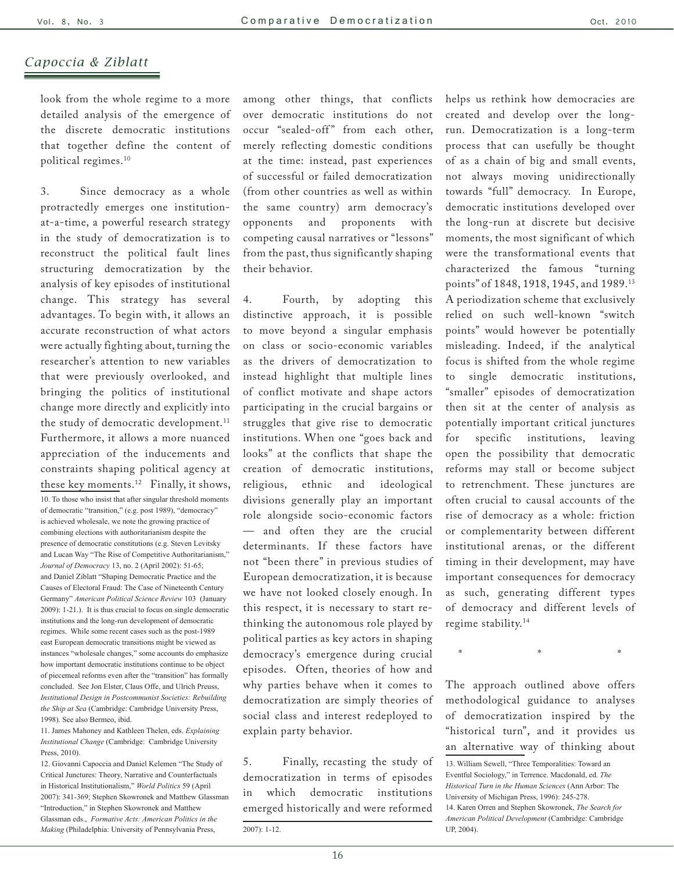look from the whole regime to a more detailed analysis of the emergence of the discrete democratic institutions that together define the content of political regimes.10

3. Since democracy as a whole protractedly emerges one institutionat-a-time, a powerful research strategy in the study of democratization is to reconstruct the political fault lines structuring democratization by the analysis of key episodes of institutional change. This strategy has several advantages. To begin with, it allows an accurate reconstruction of what actors were actually fighting about, turning the researcher's attention to new variables that were previously overlooked, and bringing the politics of institutional change more directly and explicitly into the study of democratic development.<sup>11</sup> Furthermore, it allows a more nuanced appreciation of the inducements and constraints shaping political agency at these key moments.12 Finally, it shows, 10. To those who insist that after singular threshold moments of democratic "transition," (e.g. post 1989), "democracy" is achieved wholesale, we note the growing practice of combining elections with authoritarianism despite the presence of democratic constitutions (e.g. Steven Levitsky and Lucan Way "The Rise of Competitive Authoritarianism," *Journal of Democracy* 13, no. 2 (April 2002): 51-65; and Daniel Ziblatt "Shaping Democratic Practice and the Causes of Electoral Fraud: The Case of Nineteenth Century Germany" *American Political Science Review* 103 (January 2009): 1-21.). It is thus crucial to focus on single democratic institutions and the long-run development of democratic regimes. While some recent cases such as the post-1989 east European democratic transitions might be viewed as instances "wholesale changes," some accounts do emphasize how important democratic institutions continue to be object of piecemeal reforms even after the "transition" has formally concluded. See Jon Elster, Claus Offe, and Ulrich Preuss, *Institutional Design in Postcommunist Societies: Rebuilding the Ship at Sea* (Cambridge: Cambridge University Press, 1998). See also Bermeo, ibid.

11. James Mahoney and Kathleen Thelen, eds. *Explaining Institutional Change* (Cambridge: Cambridge University Press, 2010).

12. Giovanni Capoccia and Daniel Kelemen "The Study of Critical Junctures: Theory, Narrative and Counterfactuals in Historical Institutionalism," *World Politics* 59 (April 2007): 341-369; Stephen Skowronek and Matthew Glassman "Introduction," in Stephen Skowronek and Matthew Glassman eds., *Formative Acts: American Politics in the Making* (Philadelphia: University of Pennsylvania Press,

among other things, that conflicts over democratic institutions do not occur "sealed-off" from each other, merely reflecting domestic conditions at the time: instead, past experiences of successful or failed democratization (from other countries as well as within the same country) arm democracy's opponents and proponents with competing causal narratives or "lessons" from the past, thus significantly shaping their behavior.

4. Fourth, by adopting this distinctive approach, it is possible to move beyond a singular emphasis on class or socio-economic variables as the drivers of democratization to instead highlight that multiple lines of conflict motivate and shape actors participating in the crucial bargains or struggles that give rise to democratic institutions. When one "goes back and looks" at the conflicts that shape the creation of democratic institutions, religious, ethnic and ideological divisions generally play an important role alongside socio-economic factors — and often they are the crucial determinants. If these factors have not "been there" in previous studies of European democratization, it is because we have not looked closely enough. In this respect, it is necessary to start rethinking the autonomous role played by political parties as key actors in shaping democracy's emergence during crucial episodes. Often, theories of how and why parties behave when it comes to democratization are simply theories of social class and interest redeployed to explain party behavior.

5. Finally, recasting the study of democratization in terms of episodes in which democratic institutions emerged historically and were reformed

helps us rethink how democracies are created and develop over the longrun. Democratization is a long-term process that can usefully be thought of as a chain of big and small events, not always moving unidirectionally towards "full" democracy. In Europe, democratic institutions developed over the long-run at discrete but decisive moments, the most significant of which were the transformational events that characterized the famous "turning points" of 1848, 1918, 1945, and 1989.13 A periodization scheme that exclusively relied on such well-known "switch points" would however be potentially misleading. Indeed, if the analytical focus is shifted from the whole regime to single democratic institutions, "smaller" episodes of democratization then sit at the center of analysis as potentially important critical junctures for specific institutions, leaving open the possibility that democratic reforms may stall or become subject to retrenchment. These junctures are often crucial to causal accounts of the rise of democracy as a whole: friction or complementarity between different institutional arenas, or the different timing in their development, may have important consequences for democracy as such, generating different types of democracy and different levels of regime stability.14

 $\mathcal{X} = \mathcal{X} = \mathcal{X} = \mathcal{X} = \mathcal{X} = \mathcal{X} = \mathcal{X} = \mathcal{X} = \mathcal{X} = \mathcal{X} = \mathcal{X} = \mathcal{X} = \mathcal{X} = \mathcal{X} = \mathcal{X} = \mathcal{X} = \mathcal{X} = \mathcal{X} = \mathcal{X} = \mathcal{X} = \mathcal{X} = \mathcal{X} = \mathcal{X} = \mathcal{X} = \mathcal{X} = \mathcal{X} = \mathcal{X} = \mathcal{X} = \mathcal{X} = \mathcal{X} = \mathcal{X} = \mathcal$ 

The approach outlined above offers methodological guidance to analyses of democratization inspired by the "historical turn", and it provides us an alternative way of thinking about

<sup>2007): 1-12.</sup>

<sup>13.</sup> William Sewell, "Three Temporalities: Toward an Eventful Sociology," in Terrence. Macdonald, ed. *The Historical Turn in the Human Sciences* (Ann Arbor: The University of Michigan Press, 1996): 245-278. 14. Karen Orren and Stephen Skowronek, *The Search for American Political Development* (Cambridge: Cambridge UP, 2004).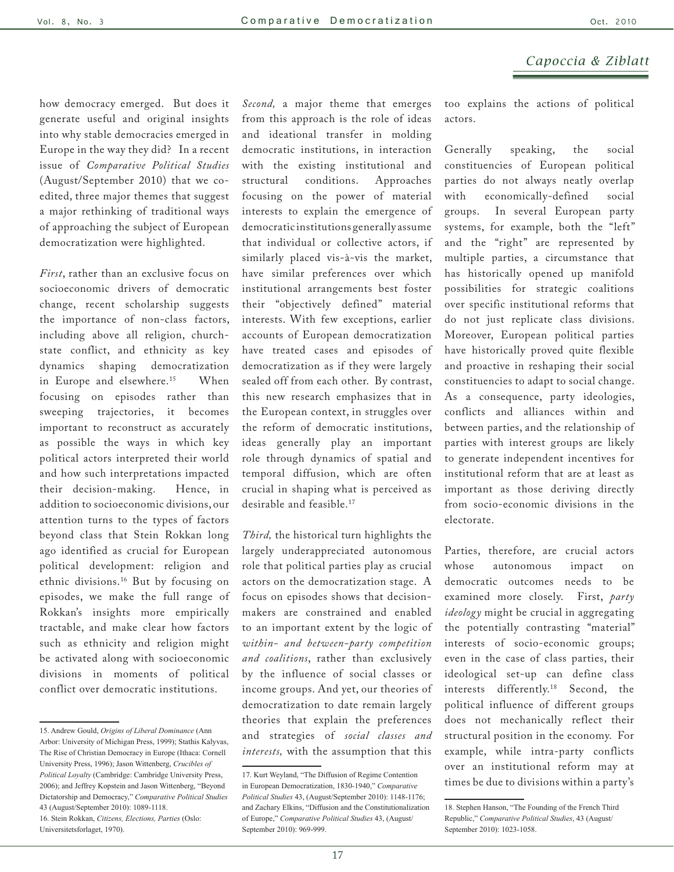how democracy emerged. But does it generate useful and original insights into why stable democracies emerged in Europe in the way they did? In a recent issue of *Comparative Political Studies* (August/September 2010) that we coedited, three major themes that suggest a major rethinking of traditional ways of approaching the subject of European democratization were highlighted.

*First*, rather than an exclusive focus on socioeconomic drivers of democratic change, recent scholarship suggests the importance of non-class factors, including above all religion, churchstate conflict, and ethnicity as key dynamics shaping democratization in Europe and elsewhere.<sup>15</sup> When focusing on episodes rather than sweeping trajectories, it becomes important to reconstruct as accurately as possible the ways in which key political actors interpreted their world and how such interpretations impacted their decision-making. Hence, in addition to socioeconomic divisions, our attention turns to the types of factors beyond class that Stein Rokkan long ago identified as crucial for European political development: religion and ethnic divisions.16 But by focusing on episodes, we make the full range of Rokkan's insights more empirically tractable, and make clear how factors such as ethnicity and religion might be activated along with socioeconomic divisions in moments of political conflict over democratic institutions.

*Second,* a major theme that emerges from this approach is the role of ideas and ideational transfer in molding democratic institutions, in interaction with the existing institutional and structural conditions. Approaches focusing on the power of material interests to explain the emergence of democratic institutions generally assume that individual or collective actors, if similarly placed vis-à-vis the market, have similar preferences over which institutional arrangements best foster their "objectively defined" material interests. With few exceptions, earlier accounts of European democratization have treated cases and episodes of democratization as if they were largely sealed off from each other. By contrast, this new research emphasizes that in the European context, in struggles over the reform of democratic institutions, ideas generally play an important role through dynamics of spatial and temporal diffusion, which are often crucial in shaping what is perceived as desirable and feasible.17

*Third,* the historical turn highlights the largely underappreciated autonomous role that political parties play as crucial actors on the democratization stage. A focus on episodes shows that decisionmakers are constrained and enabled to an important extent by the logic of *within- and between-party competition and coalitions*, rather than exclusively by the influence of social classes or income groups. And yet, our theories of democratization to date remain largely theories that explain the preferences and strategies of *social classes and interests,* with the assumption that this too explains the actions of political actors.

Generally speaking, the social constituencies of European political parties do not always neatly overlap with economically-defined social groups. In several European party systems, for example, both the "left" and the "right" are represented by multiple parties, a circumstance that has historically opened up manifold possibilities for strategic coalitions over specific institutional reforms that do not just replicate class divisions. Moreover, European political parties have historically proved quite flexible and proactive in reshaping their social constituencies to adapt to social change. As a consequence, party ideologies, conflicts and alliances within and between parties, and the relationship of parties with interest groups are likely to generate independent incentives for institutional reform that are at least as important as those deriving directly from socio-economic divisions in the electorate.

Parties, therefore, are crucial actors whose autonomous impact on democratic outcomes needs to be examined more closely. First, *party ideology* might be crucial in aggregating the potentially contrasting "material" interests of socio-economic groups; even in the case of class parties, their ideological set-up can define class interests differently.18 Second, the political influence of different groups does not mechanically reflect their structural position in the economy. For example, while intra-party conflicts over an institutional reform may at times be due to divisions within a party's

<sup>15.</sup> Andrew Gould, *Origins of Liberal Dominance* (Ann Arbor: University of Michigan Press, 1999); Stathis Kalyvas, The Rise of Christian Democracy in Europe (Ithaca: Cornell University Press, 1996); Jason Wittenberg, *Crucibles of Political Loyalty* (Cambridge: Cambridge University Press, 2006); and Jeffrey Kopstein and Jason Wittenberg, "Beyond Dictatorship and Democracy," *Comparative Political Studies* 43 (August/September 2010): 1089-1118. 16. Stein Rokkan, *Citizens, Elections, Parties* (Oslo: Universitetsforlaget, 1970).

<sup>17.</sup> Kurt Weyland, "The Diffusion of Regime Contention in European Democratization, 1830-1940," *Comparative Political Studies* 43, (August/September 2010): 1148-1176; and Zachary Elkins, "Diffusion and the Constitutionalization of Europe," *Comparative Political Studies* 43, (August/ September 2010): 969-999.

<sup>18.</sup> Stephen Hanson, "The Founding of the French Third Republic," *Comparative Political Studies*, 43 (August/ September 2010): 1023-1058.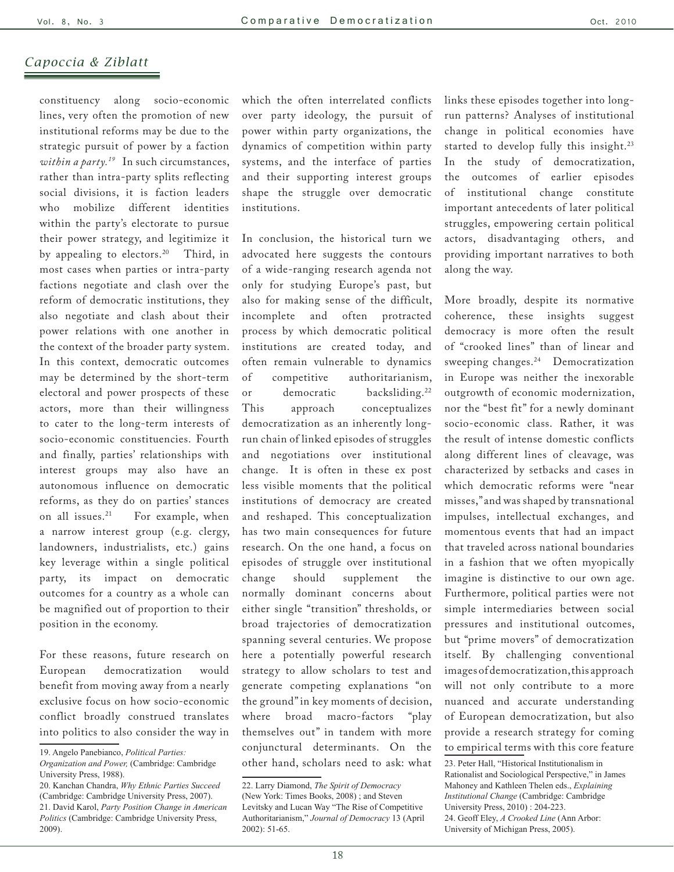constituency along socio-economic lines, very often the promotion of new institutional reforms may be due to the strategic pursuit of power by a faction *within a party.19* In such circumstances, rather than intra-party splits reflecting social divisions, it is faction leaders who mobilize different identities within the party's electorate to pursue their power strategy, and legitimize it by appealing to electors.<sup>20</sup> Third, in most cases when parties or intra-party factions negotiate and clash over the reform of democratic institutions, they also negotiate and clash about their power relations with one another in the context of the broader party system. In this context, democratic outcomes may be determined by the short-term electoral and power prospects of these actors, more than their willingness to cater to the long-term interests of socio-economic constituencies. Fourth and finally, parties' relationships with interest groups may also have an autonomous influence on democratic reforms, as they do on parties' stances on all issues.<sup>21</sup> For example, when a narrow interest group (e.g. clergy, landowners, industrialists, etc.) gains key leverage within a single political party, its impact on democratic outcomes for a country as a whole can be magnified out of proportion to their position in the economy.

For these reasons, future research on European democratization would benefit from moving away from a nearly exclusive focus on how socio-economic conflict broadly construed translates into politics to also consider the way in

which the often interrelated conflicts over party ideology, the pursuit of power within party organizations, the dynamics of competition within party systems, and the interface of parties and their supporting interest groups shape the struggle over democratic institutions.

In conclusion, the historical turn we advocated here suggests the contours of a wide-ranging research agenda not only for studying Europe's past, but also for making sense of the difficult, incomplete and often protracted process by which democratic political institutions are created today, and often remain vulnerable to dynamics of competitive authoritarianism, or democratic backsliding.22 This approach conceptualizes democratization as an inherently longrun chain of linked episodes of struggles and negotiations over institutional change. It is often in these ex post less visible moments that the political institutions of democracy are created and reshaped. This conceptualization has two main consequences for future research. On the one hand, a focus on episodes of struggle over institutional change should supplement the normally dominant concerns about either single "transition" thresholds, or broad trajectories of democratization spanning several centuries. We propose here a potentially powerful research strategy to allow scholars to test and generate competing explanations "on the ground" in key moments of decision, where broad macro-factors "play themselves out" in tandem with more conjunctural determinants. On the other hand, scholars need to ask: what links these episodes together into longrun patterns? Analyses of institutional change in political economies have started to develop fully this insight.<sup>23</sup> In the study of democratization, the outcomes of earlier episodes of institutional change constitute important antecedents of later political struggles, empowering certain political actors, disadvantaging others, and providing important narratives to both along the way.

More broadly, despite its normative coherence, these insights suggest democracy is more often the result of "crooked lines" than of linear and sweeping changes.<sup>24</sup> Democratization in Europe was neither the inexorable outgrowth of economic modernization, nor the "best fit" for a newly dominant socio-economic class. Rather, it was the result of intense domestic conflicts along different lines of cleavage, was characterized by setbacks and cases in which democratic reforms were "near misses," and was shaped by transnational impulses, intellectual exchanges, and momentous events that had an impact that traveled across national boundaries in a fashion that we often myopically imagine is distinctive to our own age. Furthermore, political parties were not simple intermediaries between social pressures and institutional outcomes, but "prime movers" of democratization itself. By challenging conventional images of democratization, this approach will not only contribute to a more nuanced and accurate understanding of European democratization, but also provide a research strategy for coming to empirical terms with this core feature

<sup>19.</sup> Angelo Panebianco, *Political Parties:* 

*Organization and Power,* (Cambridge: Cambridge University Press, 1988).

<sup>20.</sup> Kanchan Chandra, *Why Ethnic Parties Succeed*  (Cambridge: Cambridge University Press, 2007). 21. David Karol, *Party Position Change in American Politics* (Cambridge: Cambridge University Press, 2009).

<sup>22.</sup> Larry Diamond, *The Spirit of Democracy* (New York: Times Books, 2008) ; and Steven Levitsky and Lucan Way "The Rise of Competitive Authoritarianism," *Journal of Democracy* 13 (April 2002): 51-65.

<sup>23.</sup> Peter Hall, "Historical Institutionalism in Rationalist and Sociological Perspective," in James Mahoney and Kathleen Thelen eds., *Explaining Institutional Change* (Cambridge: Cambridge University Press, 2010) : 204-223. 24. Geoff Eley, *A Crooked Line* (Ann Arbor: University of Michigan Press, 2005).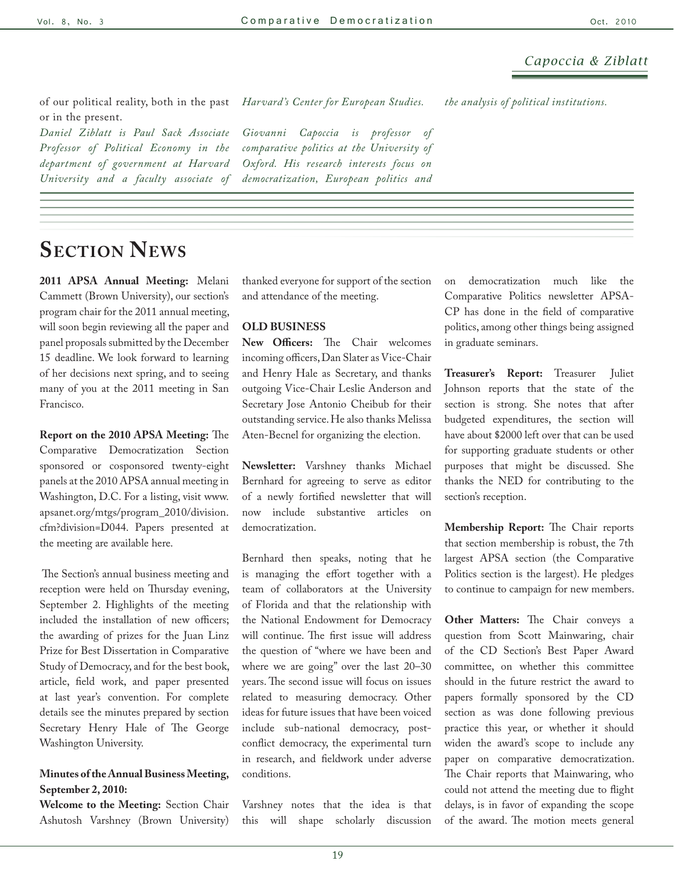of our political reality, both in the past or in the present. *Harvard 's Center for European Studies.* 

*Daniel Ziblatt is Paul Sack Associate Professor of Political Economy in the department of government at Harvard University and a faculty associate of* 

*Giovanni Capoccia is professor of comparative politics at the University of Oxford. His research interests focus on democratization, European politics and* 

*the analysis of political institutions.* 

# **Section News**

**2011 APSA Annual Meeting:** Melani Cammett (Brown University), our section's program chair for the 2011 annual meeting, will soon begin reviewing all the paper and panel proposals submitted by the December 15 deadline. We look forward to learning of her decisions next spring, and to seeing many of you at the 2011 meeting in San Francisco.

**Report on the 2010 APSA Meeting:** The Comparative Democratization Section sponsored or cosponsored twenty-eight panels at the 2010 APSA annual meeting in Washington, D.C. For a listing, visit [www.](http://www.apsanet.org/mtgs/program_2010/division.cfm?division=D044) [apsanet.org/mtgs/program\\_2010/division.](http://www.apsanet.org/mtgs/program_2010/division.cfm?division=D044) [cfm?division=D044](http://www.apsanet.org/mtgs/program_2010/division.cfm?division=D044). Papers presented at the meeting are available [here.](http://www.apsanet.org/conferencepapers/)

 The Section's annual business meeting and reception were held on Thursday evening, September 2. Highlights of the meeting included the installation of new officers; the awarding of prizes for the Juan Linz Prize for Best Dissertation in Comparative Study of Democracy, and for the best book, article, field work, and paper presented at last year's convention. For complete details see the minutes prepared by section Secretary Henry Hale of The George Washington University.

#### **Minutes of the Annual Business Meeting, September 2, 2010:**

**Welcome to the Meeting:** Section Chair Ashutosh Varshney (Brown University)

thanked everyone for support of the section and attendance of the meeting.

#### **OLD BUSINESS**

**New Officers:** The Chair welcomes incoming officers, Dan Slater as Vice-Chair and Henry Hale as Secretary, and thanks outgoing Vice-Chair Leslie Anderson and Secretary Jose Antonio Cheibub for their outstanding service. He also thanks Melissa Aten-Becnel for organizing the election.

**Newsletter:** Varshney thanks Michael Bernhard for agreeing to serve as editor of a newly fortified newsletter that will now include substantive articles on democratization.

Bernhard then speaks, noting that he is managing the effort together with a team of collaborators at the University of Florida and that the relationship with the National Endowment for Democracy will continue. The first issue will address the question of "where we have been and where we are going" over the last 20–30 years. The second issue will focus on issues related to measuring democracy. Other ideas for future issues that have been voiced include sub-national democracy, postconflict democracy, the experimental turn in research, and fieldwork under adverse conditions.

Varshney notes that the idea is that this will shape scholarly discussion on democratization much like the Comparative Politics newsletter APSA-CP has done in the field of comparative politics, among other things being assigned in graduate seminars.

**Treasurer's Report:** Treasurer Juliet Johnson reports that the state of the section is strong. She notes that after budgeted expenditures, the section will have about \$2000 left over that can be used for supporting graduate students or other purposes that might be discussed. She thanks the NED for contributing to the section's reception.

**Membership Report:** The Chair reports that section membership is robust, the 7th largest APSA section (the Comparative Politics section is the largest). He pledges to continue to campaign for new members.

**Other Matters:** The Chair conveys a question from Scott Mainwaring, chair of the CD Section's Best Paper Award committee, on whether this committee should in the future restrict the award to papers formally sponsored by the CD section as was done following previous practice this year, or whether it should widen the award's scope to include any paper on comparative democratization. The Chair reports that Mainwaring, who could not attend the meeting due to flight delays, is in favor of expanding the scope of the award. The motion meets general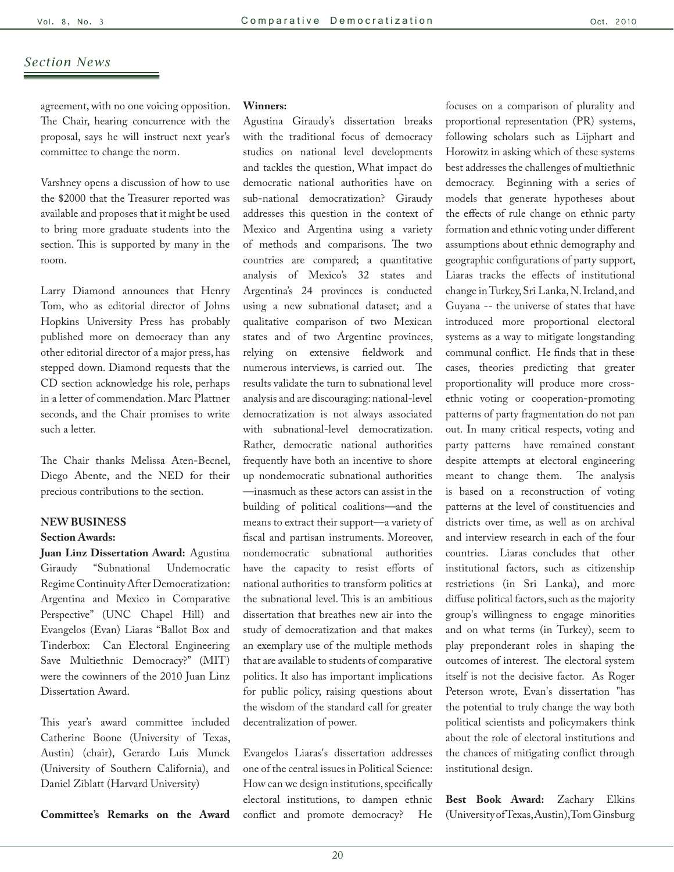agreement, with no one voicing opposition. The Chair, hearing concurrence with the proposal, says he will instruct next year's committee to change the norm.

Varshney opens a discussion of how to use the \$2000 that the Treasurer reported was available and proposes that it might be used to bring more graduate students into the section. This is supported by many in the room.

Larry Diamond announces that Henry Tom, who as editorial director of Johns Hopkins University Press has probably published more on democracy than any other editorial director of a major press, has stepped down. Diamond requests that the CD section acknowledge his role, perhaps in a letter of commendation. Marc Plattner seconds, and the Chair promises to write such a letter.

The Chair thanks Melissa Aten-Becnel, Diego Abente, and the NED for their precious contributions to the section.

## **NEW BUSINESS**

#### **Section Awards:**

**Juan Linz Dissertation Award:** Agustina Giraudy "Subnational Undemocratic Regime Continuity After Democratization: Argentina and Mexico in Comparative Perspective" (UNC Chapel Hill) and Evangelos (Evan) Liaras "Ballot Box and Tinderbox: Can Electoral Engineering Save Multiethnic Democracy?" (MIT) were the cowinners of the 2010 Juan Linz Dissertation Award.

This year's award committee included Catherine Boone (University of Texas, Austin) (chair), Gerardo Luis Munck (University of Southern California), and Daniel Ziblatt (Harvard University)

**Committee's Remarks on the Award** 

#### **Winners:**

Agustina Giraudy's dissertation breaks with the traditional focus of democracy studies on national level developments and tackles the question, What impact do democratic national authorities have on sub-national democratization? Giraudy addresses this question in the context of Mexico and Argentina using a variety of methods and comparisons. The two countries are compared; a quantitative analysis of Mexico's 32 states and Argentina's 24 provinces is conducted using a new subnational dataset; and a qualitative comparison of two Mexican states and of two Argentine provinces, relying on extensive fieldwork and numerous interviews, is carried out. The results validate the turn to subnational level analysis and are discouraging: national-level democratization is not always associated with subnational-level democratization. Rather, democratic national authorities frequently have both an incentive to shore up nondemocratic subnational authorities —inasmuch as these actors can assist in the building of political coalitions—and the means to extract their support—a variety of fiscal and partisan instruments. Moreover, nondemocratic subnational authorities have the capacity to resist efforts of national authorities to transform politics at the subnational level. This is an ambitious dissertation that breathes new air into the study of democratization and that makes an exemplary use of the multiple methods that are available to students of comparative politics. It also has important implications for public policy, raising questions about the wisdom of the standard call for greater decentralization of power.

Evangelos Liaras's dissertation addresses one of the central issues in Political Science: How can we design institutions, specifically electoral institutions, to dampen ethnic conflict and promote democracy? He

focuses on a comparison of plurality and proportional representation (PR) systems, following scholars such as Lijphart and Horowitz in asking which of these systems best addresses the challenges of multiethnic democracy. Beginning with a series of models that generate hypotheses about the effects of rule change on ethnic party formation and ethnic voting under different assumptions about ethnic demography and geographic configurations of party support, Liaras tracks the effects of institutional change in Turkey, Sri Lanka, N. Ireland, and Guyana -- the universe of states that have introduced more proportional electoral systems as a way to mitigate longstanding communal conflict. He finds that in these cases, theories predicting that greater proportionality will produce more crossethnic voting or cooperation-promoting patterns of party fragmentation do not pan out. In many critical respects, voting and party patterns have remained constant despite attempts at electoral engineering meant to change them. The analysis is based on a reconstruction of voting patterns at the level of constituencies and districts over time, as well as on archival and interview research in each of the four countries. Liaras concludes that other institutional factors, such as citizenship restrictions (in Sri Lanka), and more diffuse political factors, such as the majority group's willingness to engage minorities and on what terms (in Turkey), seem to play preponderant roles in shaping the outcomes of interest. The electoral system itself is not the decisive factor. As Roger Peterson wrote, Evan's dissertation "has the potential to truly change the way both political scientists and policymakers think about the role of electoral institutions and the chances of mitigating conflict through institutional design.

**Best Book Award:** Zachary Elkins (University of Texas, Austin), Tom Ginsburg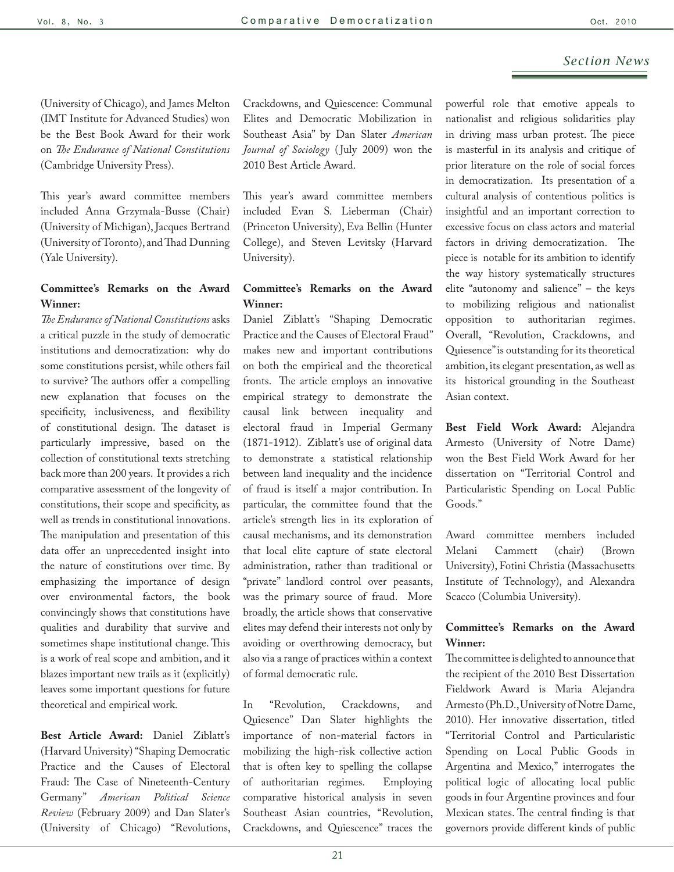(University of Chicago), and James Melton (IMT Institute for Advanced Studies) won be the Best Book Award for their work on *The Endurance of National Constitutions* (Cambridge University Press).

This year's award committee members included Anna Grzymala-Busse (Chair) (University of Michigan), Jacques Bertrand (University of Toronto), and Thad Dunning (Yale University).

## **Committee's Remarks on the Award Winner:**

*The Endurance of National Constitutions* asks a critical puzzle in the study of democratic institutions and democratization: why do some constitutions persist, while others fail to survive? The authors offer a compelling new explanation that focuses on the specificity, inclusiveness, and flexibility of constitutional design. The dataset is particularly impressive, based on the collection of constitutional texts stretching back more than 200 years. It provides a rich comparative assessment of the longevity of constitutions, their scope and specificity, as well as trends in constitutional innovations. The manipulation and presentation of this data offer an unprecedented insight into the nature of constitutions over time. By emphasizing the importance of design over environmental factors, the book convincingly shows that constitutions have qualities and durability that survive and sometimes shape institutional change. This is a work of real scope and ambition, and it blazes important new trails as it (explicitly) leaves some important questions for future theoretical and empirical work.

**Best Article Award:** Daniel Ziblatt's (Harvard University) "Shaping Democratic Practice and the Causes of Electoral Fraud: The Case of Nineteenth-Century Germany" *American Political Science Review* (February 2009) and Dan Slater's (University of Chicago) "Revolutions,

Crackdowns, and Quiescence: Communal Elites and Democratic Mobilization in Southeast Asia" by Dan Slater *American Journal of Sociology* ( July 2009) won the 2010 Best Article Award.

This year's award committee members included Evan S. Lieberman (Chair) (Princeton University), Eva Bellin (Hunter College), and Steven Levitsky (Harvard University).

#### **Committee's Remarks on the Award Winner:**

Daniel Ziblatt's "Shaping Democratic Practice and the Causes of Electoral Fraud" makes new and important contributions on both the empirical and the theoretical fronts. The article employs an innovative empirical strategy to demonstrate the causal link between inequality and electoral fraud in Imperial Germany (1871-1912). Ziblatt's use of original data to demonstrate a statistical relationship between land inequality and the incidence of fraud is itself a major contribution. In particular, the committee found that the article's strength lies in its exploration of causal mechanisms, and its demonstration that local elite capture of state electoral administration, rather than traditional or "private" landlord control over peasants, was the primary source of fraud. More broadly, the article shows that conservative elites may defend their interests not only by avoiding or overthrowing democracy, but also via a range of practices within a context of formal democratic rule.

In "Revolution, Crackdowns, and Quiesence" Dan Slater highlights the importance of non-material factors in mobilizing the high-risk collective action that is often key to spelling the collapse of authoritarian regimes. Employing comparative historical analysis in seven Southeast Asian countries, "Revolution, Crackdowns, and Quiescence" traces the

powerful role that emotive appeals to nationalist and religious solidarities play in driving mass urban protest. The piece is masterful in its analysis and critique of prior literature on the role of social forces in democratization. Its presentation of a cultural analysis of contentious politics is insightful and an important correction to excessive focus on class actors and material factors in driving democratization. The piece is notable for its ambition to identify the way history systematically structures elite "autonomy and salience" – the keys to mobilizing religious and nationalist opposition to authoritarian regimes. Overall, "Revolution, Crackdowns, and Quiesence" is outstanding for its theoretical ambition, its elegant presentation, as well as its historical grounding in the Southeast Asian context.

**Best Field Work Award:** Alejandra Armesto (University of Notre Dame) won the Best Field Work Award for her dissertation on "Territorial Control and Particularistic Spending on Local Public Goods."

Award committee members included Melani Cammett (chair) (Brown University), Fotini Christia (Massachusetts Institute of Technology), and Alexandra Scacco (Columbia University).

## **Committee's Remarks on the Award Winner:**

The committee is delighted to announce that the recipient of the 2010 Best Dissertation Fieldwork Award is Maria Alejandra Armesto (Ph.D., University of Notre Dame, 2010). Her innovative dissertation, titled "Territorial Control and Particularistic Spending on Local Public Goods in Argentina and Mexico," interrogates the political logic of allocating local public goods in four Argentine provinces and four Mexican states. The central finding is that governors provide different kinds of public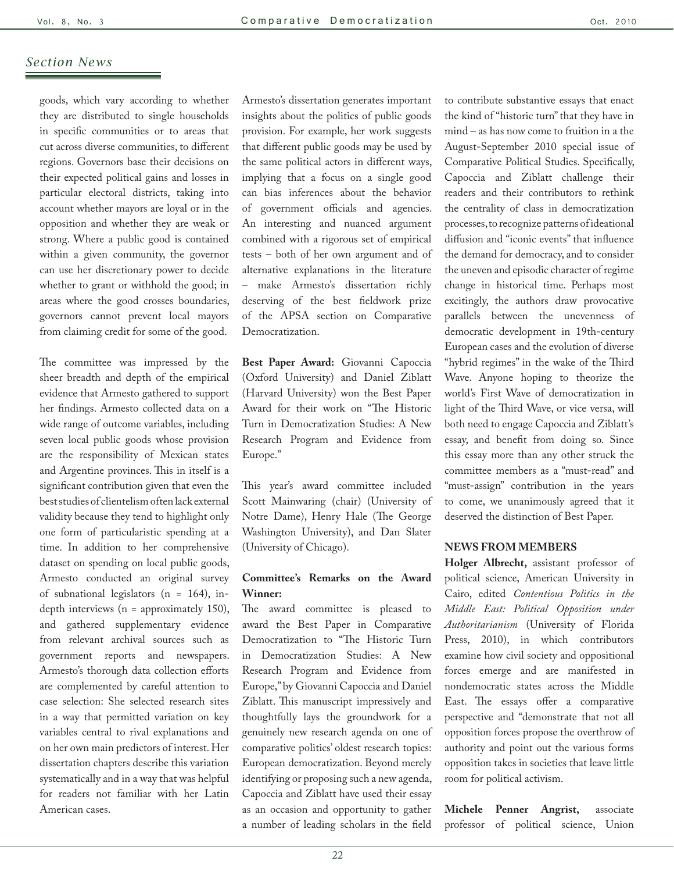goods, which vary according to whether they are distributed to single households in specific communities or to areas that cut across diverse communities, to different regions. Governors base their decisions on their expected political gains and losses in particular electoral districts, taking into account whether mayors are loyal or in the opposition and whether they are weak or strong. Where a public good is contained within a given community, the governor can use her discretionary power to decide whether to grant or withhold the good; in areas where the good crosses boundaries, governors cannot prevent local mayors from claiming credit for some of the good.

The committee was impressed by the sheer breadth and depth of the empirical evidence that Armesto gathered to support her findings. Armesto collected data on a wide range of outcome variables, including seven local public goods whose provision are the responsibility of Mexican states and Argentine provinces. This in itself is a significant contribution given that even the best studies of clientelism often lack external validity because they tend to highlight only one form of particularistic spending at a time. In addition to her comprehensive dataset on spending on local public goods, Armesto conducted an original survey of subnational legislators (n = 164), indepth interviews (n = approximately 150), and gathered supplementary evidence from relevant archival sources such as government reports and newspapers. Armesto's thorough data collection efforts are complemented by careful attention to case selection: She selected research sites in a way that permitted variation on key variables central to rival explanations and on her own main predictors of interest. Her dissertation chapters describe this variation systematically and in a way that was helpful for readers not familiar with her Latin American cases.

Armesto's dissertation generates important insights about the politics of public goods provision. For example, her work suggests that different public goods may be used by the same political actors in different ways, implying that a focus on a single good can bias inferences about the behavior of government officials and agencies. An interesting and nuanced argument combined with a rigorous set of empirical tests – both of her own argument and of alternative explanations in the literature – make Armesto's dissertation richly deserving of the best fieldwork prize of the APSA section on Comparative Democratization.

**Best Paper Award:** Giovanni Capoccia (Oxford University) and Daniel Ziblatt (Harvard University) won the Best Paper Award for their work on "The Historic Turn in Democratization Studies: A New Research Program and Evidence from Europe."

This year's award committee included Scott Mainwaring (chair) (University of Notre Dame), Henry Hale (The George Washington University), and Dan Slater (University of Chicago).

## **Committee's Remarks on the Award Winner:**

The award committee is pleased to award the Best Paper in Comparative Democratization to "The Historic Turn in Democratization Studies: A New Research Program and Evidence from Europe," by Giovanni Capoccia and Daniel Ziblatt. This manuscript impressively and thoughtfully lays the groundwork for a genuinely new research agenda on one of comparative politics' oldest research topics: European democratization. Beyond merely identifying or proposing such a new agenda, Capoccia and Ziblatt have used their essay as an occasion and opportunity to gather a number of leading scholars in the field

to contribute substantive essays that enact the kind of "historic turn" that they have in mind – as has now come to fruition in a the August-September 2010 special issue of Comparative Political Studies. Specifically, Capoccia and Ziblatt challenge their readers and their contributors to rethink the centrality of class in democratization processes, to recognize patterns of ideational diffusion and "iconic events" that influence the demand for democracy, and to consider the uneven and episodic character of regime change in historical time. Perhaps most excitingly, the authors draw provocative parallels between the unevenness of democratic development in 19th-century European cases and the evolution of diverse "hybrid regimes" in the wake of the Third Wave. Anyone hoping to theorize the world's First Wave of democratization in light of the Third Wave, or vice versa, will both need to engage Capoccia and Ziblatt's essay, and benefit from doing so. Since this essay more than any other struck the committee members as a "must-read" and "must-assign" contribution in the years to come, we unanimously agreed that it deserved the distinction of Best Paper.

#### **NEWS FROM MEMBERS**

**Holger Albrecht,** assistant professor of political science, American University in Cairo, edited *Contentious Politics in the Middle East: Political Opposition under Authoritarianism* (University of Florida Press, 2010), in which contributors examine how civil society and oppositional forces emerge and are manifested in nondemocratic states across the Middle East. The essays offer a comparative perspective and "demonstrate that not all opposition forces propose the overthrow of authority and point out the various forms opposition takes in societies that leave little room for political activism.

**Michele Penner Angrist,** associate professor of political science, Union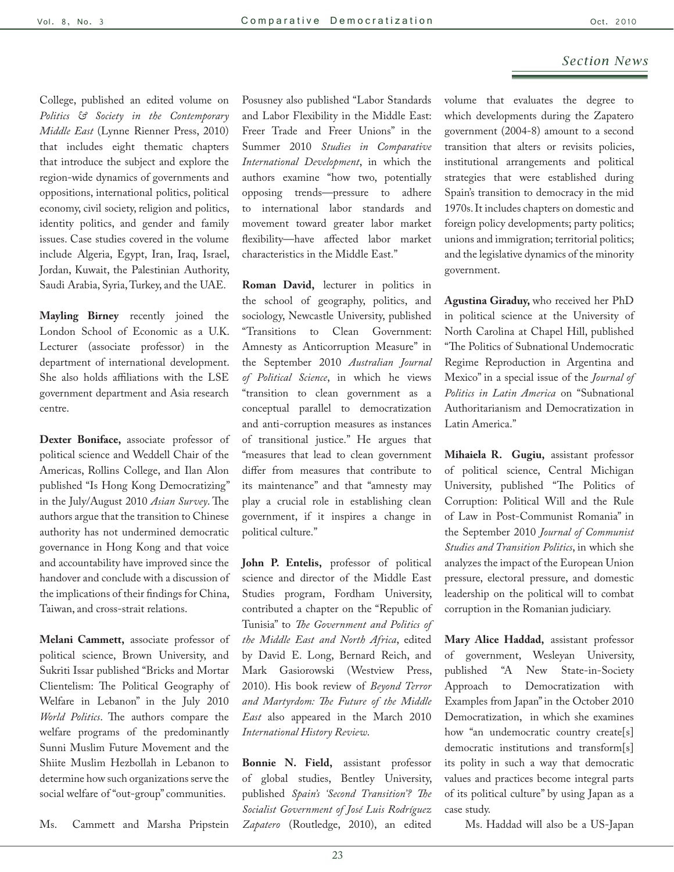College, published an edited volume on *Politics & Society in the Contemporary Middle East* (Lynne Rienner Press, 2010) that includes eight thematic chapters that introduce the subject and explore the region-wide dynamics of governments and oppositions, international politics, political economy, civil society, religion and politics, identity politics, and gender and family issues. Case studies covered in the volume include Algeria, Egypt, Iran, Iraq, Israel, Jordan, Kuwait, the Palestinian Authority, Saudi Arabia, Syria, Turkey, and the UAE.

**Mayling Birney** recently joined the London School of Economic as a U.K. Lecturer (associate professor) in the department of international development. She also holds affiliations with the LSE government department and Asia research centre.

**Dexter Boniface,** associate professor of political science and Weddell Chair of the Americas, Rollins College, and Ilan Alon published "Is Hong Kong Democratizing" in the July/August 2010 *Asian Survey*. The authors argue that the transition to Chinese authority has not undermined democratic governance in Hong Kong and that voice and accountability have improved since the handover and conclude with a discussion of the implications of their findings for China, Taiwan, and cross-strait relations.

**Melani Cammett,** associate professor of political science, Brown University, and Sukriti Issar published "Bricks and Mortar Clientelism: The Political Geography of Welfare in Lebanon" in the July 2010 *World Politics*. The authors compare the welfare programs of the predominantly Sunni Muslim Future Movement and the Shiite Muslim Hezbollah in Lebanon to determine how such organizations serve the social welfare of "out-group" communities.

Ms. Cammett and Marsha Pripstein

Posusney also published "Labor Standards and Labor Flexibility in the Middle East: Freer Trade and Freer Unions" in the Summer 2010 *Studies in Comparative International Development*, in which the authors examine "how two, potentially opposing trends—pressure to adhere to international labor standards and movement toward greater labor market flexibility—have affected labor market characteristics in the Middle East."

**Roman David,** lecturer in politics in the school of geography, politics, and sociology, Newcastle University, published "Transitions to Clean Government: Amnesty as Anticorruption Measure" in the September 2010 *Australian Journal of Political Science*, in which he views "transition to clean government as a conceptual parallel to democratization and anti-corruption measures as instances of transitional justice." He argues that "measures that lead to clean government differ from measures that contribute to its maintenance" and that "amnesty may play a crucial role in establishing clean government, if it inspires a change in political culture."

**John P. Entelis,** professor of political science and director of the Middle East Studies program, Fordham University, contributed a chapter on the "Republic of Tunisia" to *The Government and Politics of the Middle East and North Africa*, edited by David E. Long, Bernard Reich, and Mark Gasiorowski (Westview Press, 2010). His book review of *Beyond Terror and Martyrdom: The Future of the Middle East* also appeared in the March 2010 *International History Review*.

**Bonnie N. Field,** assistant professor of global studies, Bentley University, published *Spain's 'Second Transition'? The Socialist Government of José Luis Rodríguez Zapatero* (Routledge, 2010), an edited

volume that evaluates the degree to which developments during the Zapatero government (2004-8) amount to a second transition that alters or revisits policies, institutional arrangements and political strategies that were established during Spain's transition to democracy in the mid 1970s. It includes chapters on domestic and foreign policy developments; party politics; unions and immigration; territorial politics; and the legislative dynamics of the minority government.

**Agustina Giraduy,** who received her PhD in political science at the University of North Carolina at Chapel Hill, published "The Politics of Subnational Undemocratic Regime Reproduction in Argentina and Mexico" in a special issue of the *Journal of Politics in Latin America* on "Subnational Authoritarianism and Democratization in Latin America."

**Mihaiela R. Gugiu,** assistant professor of political science, Central Michigan University, published "The Politics of Corruption: Political Will and the Rule of Law in Post-Communist Romania" in the September 2010 *Journal of Communist Studies and Transition Politics*, in which she analyzes the impact of the European Union pressure, electoral pressure, and domestic leadership on the political will to combat corruption in the Romanian judiciary.

**Mary Alice Haddad,** assistant professor of government, Wesleyan University, published "A New State-in-Society Approach to Democratization with Examples from Japan" in the October 2010 Democratization, in which she examines how "an undemocratic country create[s] democratic institutions and transform[s] its polity in such a way that democratic values and practices become integral parts of its political culture" by using Japan as a case study.

Ms. Haddad will also be a US-Japan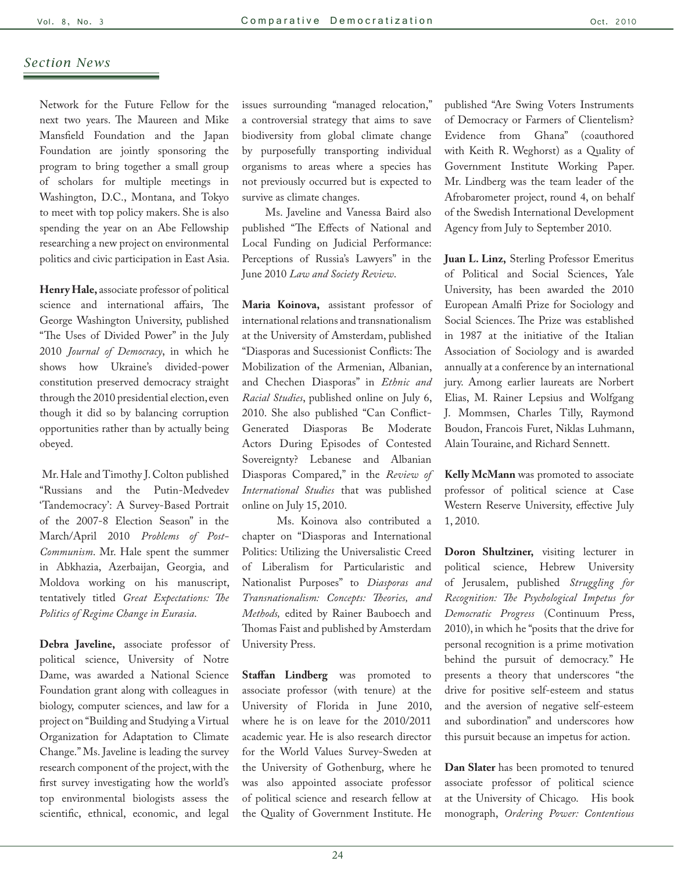Network for the Future Fellow for the next two years. The Maureen and Mike Mansfield Foundation and the Japan Foundation are jointly sponsoring the program to bring together a small group of scholars for multiple meetings in Washington, D.C., Montana, and Tokyo to meet with top policy makers. She is also spending the year on an Abe Fellowship researching a new project on environmental politics and civic participation in East Asia.

**Henry Hale,** associate professor of political science and international affairs, The George Washington University, published "The Uses of Divided Power" in the July 2010 *Journal of Democracy*, in which he shows how Ukraine's divided-power constitution preserved democracy straight through the 2010 presidential election, even though it did so by balancing corruption opportunities rather than by actually being obeyed.

 Mr. Hale and Timothy J. Colton published "Russians and the Putin-Medvedev 'Tandemocracy': A Survey-Based Portrait of the 2007-8 Election Season" in the March/April 2010 *Problems of Post-Communism*. Mr. Hale spent the summer in Abkhazia, Azerbaijan, Georgia, and Moldova working on his manuscript, tentatively titled *Great Expectations: The Politics of Regime Change in Eurasia*.

**Debra Javeline,** associate professor of political science, University of Notre Dame, was awarded a National Science Foundation grant along with colleagues in biology, computer sciences, and law for a project on "Building and Studying a Virtual Organization for Adaptation to Climate Change." Ms. Javeline is leading the survey research component of the project, with the first survey investigating how the world's top environmental biologists assess the scientific, ethnical, economic, and legal

issues surrounding "managed relocation," a controversial strategy that aims to save biodiversity from global climate change by purposefully transporting individual organisms to areas where a species has not previously occurred but is expected to survive as climate changes.

 Ms. Javeline and Vanessa Baird also published "The Effects of National and Local Funding on Judicial Performance: Perceptions of Russia's Lawyers" in the June 2010 *Law and Society Review*.

**Maria Koinova,** assistant professor of international relations and transnationalism at the University of Amsterdam, published "Diasporas and Sucessionist Conflicts: The Mobilization of the Armenian, Albanian, and Chechen Diasporas" in *Ethnic and Racial Studies*, published online on July 6, 2010. She also published "Can Conflict-Generated Diasporas Be Moderate Actors During Episodes of Contested Sovereignty? Lebanese and Albanian Diasporas Compared," in the *Review of International Studies* that was published online on July 15, 2010.

 Ms. Koinova also contributed a chapter on "Diasporas and International Politics: Utilizing the Universalistic Creed of Liberalism for Particularistic and Nationalist Purposes" to *Diasporas and Transnationalism: Concepts: Theories, and Methods,* edited by Rainer Bauboech and Thomas Faist and published by Amsterdam University Press.

**Staffan Lindberg** was promoted to associate professor (with tenure) at the University of Florida in June 2010, where he is on leave for the 2010/2011 academic year. He is also research director for the World Values Survey-Sweden at the University of Gothenburg, where he was also appointed associate professor of political science and research fellow at the Quality of Government Institute. He

published "Are Swing Voters Instruments of Democracy or Farmers of Clientelism? Evidence from Ghana" (coauthored with Keith R. Weghorst) as a Quality of Government Institute Working Paper. Mr. Lindberg was the team leader of the Afrobarometer project, round 4, on behalf of the Swedish International Development Agency from July to September 2010.

**Juan L. Linz,** Sterling Professor Emeritus of Political and Social Sciences, Yale University, has been awarded the 2010 European Amalfi Prize for Sociology and Social Sciences. The Prize was established in 1987 at the initiative of the Italian Association of Sociology and is awarded annually at a conference by an international jury. Among earlier laureats are Norbert Elias, M. Rainer Lepsius and Wolfgang J. Mommsen, Charles Tilly, Raymond Boudon, Francois Furet, Niklas Luhmann, Alain Touraine, and Richard Sennett.

**Kelly McMann** was promoted to associate professor of political science at Case Western Reserve University, effective July 1, 2010.

**Doron Shultziner,** visiting lecturer in political science, Hebrew University of Jerusalem, published *Struggling for Recognition: The Psychological Impetus for Democratic Progress* (Continuum Press, 2010), in which he "posits that the drive for personal recognition is a prime motivation behind the pursuit of democracy." He presents a theory that underscores "the drive for positive self-esteem and status and the aversion of negative self-esteem and subordination" and underscores how this pursuit because an impetus for action.

**Dan Slater** has been promoted to tenured associate professor of political science at the University of Chicago. His book monograph, *Ordering Power: Contentious*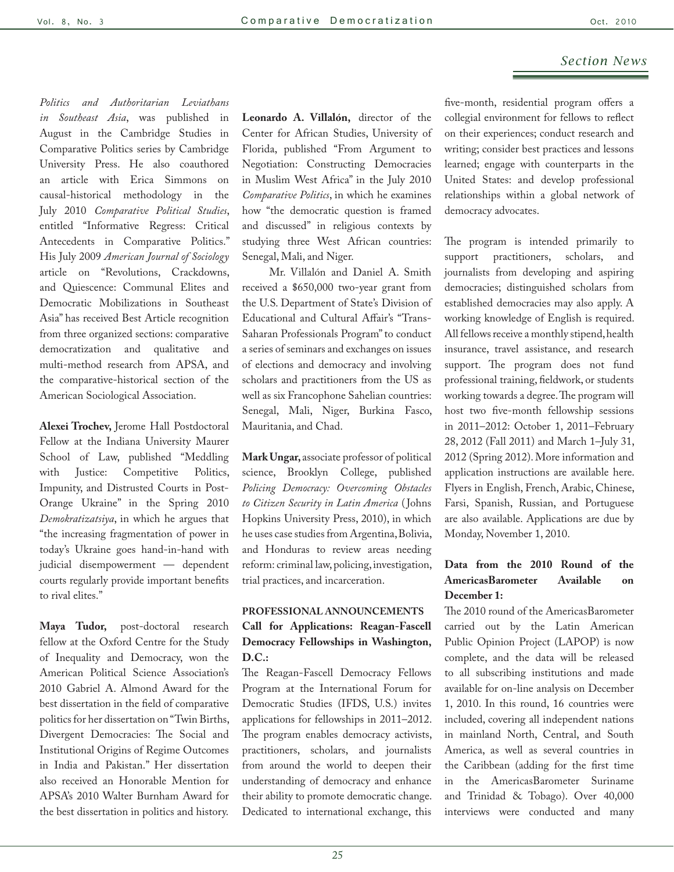*Politics and Authoritarian Leviathans in Southeast Asia*, was published in August in the Cambridge Studies in Comparative Politics series by Cambridge University Press. He also coauthored an article with Erica Simmons on causal-historical methodology in the July 2010 *Comparative Political Studies*, entitled "Informative Regress: Critical Antecedents in Comparative Politics." His July 2009 *American Journal of Sociology*  article on "Revolutions, Crackdowns, and Quiescence: Communal Elites and Democratic Mobilizations in Southeast Asia" has received Best Article recognition from three organized sections: comparative democratization and qualitative and multi-method research from APSA, and the comparative-historical section of the American Sociological Association.

**Alexei Trochev,** Jerome Hall Postdoctoral Fellow at the Indiana University Maurer School of Law, published "Meddling with Justice: Competitive Politics, Impunity, and Distrusted Courts in Post-Orange Ukraine" in the Spring 2010 *Demokratizatsiya*, in which he argues that "the increasing fragmentation of power in today's Ukraine goes hand-in-hand with judicial disempowerment — dependent courts regularly provide important benefits to rival elites."

**Maya Tudor,** post-doctoral research fellow at the Oxford Centre for the Study of Inequality and Democracy, won the American Political Science Association's 2010 Gabriel A. Almond Award for the best dissertation in the field of comparative politics for her dissertation on "Twin Births, Divergent Democracies: The Social and Institutional Origins of Regime Outcomes in India and Pakistan." Her dissertation also received an Honorable Mention for APSA's 2010 Walter Burnham Award for the best dissertation in politics and history.

**Leonardo A. Villalón,** director of the Center for African Studies, University of Florida, published "From Argument to Negotiation: Constructing Democracies in Muslim West Africa" in the July 2010 *Comparative Politics*, in which he examines how "the democratic question is framed and discussed" in religious contexts by studying three West African countries: Senegal, Mali, and Niger.

 Mr. Villalón and Daniel A. Smith received a \$650,000 two-year grant from the U.S. Department of State's Division of Educational and Cultural Affair's "Trans-Saharan Professionals Program" to conduct a series of seminars and exchanges on issues of elections and democracy and involving scholars and practitioners from the US as well as six Francophone Sahelian countries: Senegal, Mali, Niger, Burkina Fasco, Mauritania, and Chad.

**Mark Ungar,** associate professor of political science, Brooklyn College, published *Policing Democracy: Overcoming Obstacles to Citizen Security in Latin America* ( Johns Hopkins University Press, 2010), in which he uses case studies from Argentina, Bolivia, and Honduras to review areas needing reform: criminal law, policing, investigation, trial practices, and incarceration.

## **PROFESSIONAL ANNOUNCEMENTS Call for Applications: Reagan-Fascell Democracy Fellowships in Washington, D.C.:**

The Reagan-Fascell Democracy Fellows Program at the International Forum for Democratic Studies (IFDS, U.S.) invites applications for fellowships in 2011–2012. The program enables democracy activists, practitioners, scholars, and journalists from around the world to deepen their understanding of democracy and enhance their ability to promote democratic change. Dedicated to international exchange, this

five-month, residential program offers a collegial environment for fellows to reflect on their experiences; conduct research and writing; consider best practices and lessons learned; engage with counterparts in the United States: and develop professional relationships within a global network of democracy advocates.

The program is intended primarily to support practitioners, scholars, and journalists from developing and aspiring democracies; distinguished scholars from established democracies may also apply. A working knowledge of English is required. All fellows receive a monthly stipend, health insurance, travel assistance, and research support. The program does not fund professional training, fieldwork, or students working towards a degree. The program will host two five-month fellowship sessions in 2011–2012: October 1, 2011–February 28, 2012 (Fall 2011) and March 1–July 31, 2012 (Spring 2012). More information and application instructions are available [here](http://r20.rs6.net/tn.jsp?et=1103611498753&s=2262&e=001qGyVZUEbzDRdHt1TSPj9SXMqszQccieE-tPdumIlvZUO5bCiFe0s4oz5lZlSNiR_ur7Cx5rimmWMJD7NpDqDLu0XVyWs2QgCBL0N_qyNyJCQg-AAsbYb_YmoDwmwsm9F4xvUD-KVAX8j1l9DJHz79wgM-Cn-utreEcs2ajAqxIXAO9Mz6G2OnQ==). Flyers in English, French, Arabic, Chinese, Farsi, Spanish, Russian, and Portuguese are also available. Applications are due by Monday, November 1, 2010.

## **Data from the 2010 Round of the AmericasBarometer Available on December 1:**

The 2010 round of the AmericasBarometer carried out by the Latin American Public Opinion Project (LAPOP) is now complete, and the data will be released to all subscribing institutions and made available for on-line analysis on December 1, 2010. In this round, 16 countries were included, covering all independent nations in mainland North, Central, and South America, as well as several countries in the Caribbean (adding for the first time in the AmericasBarometer Suriname and Trinidad & Tobago). Over 40,000 interviews were conducted and many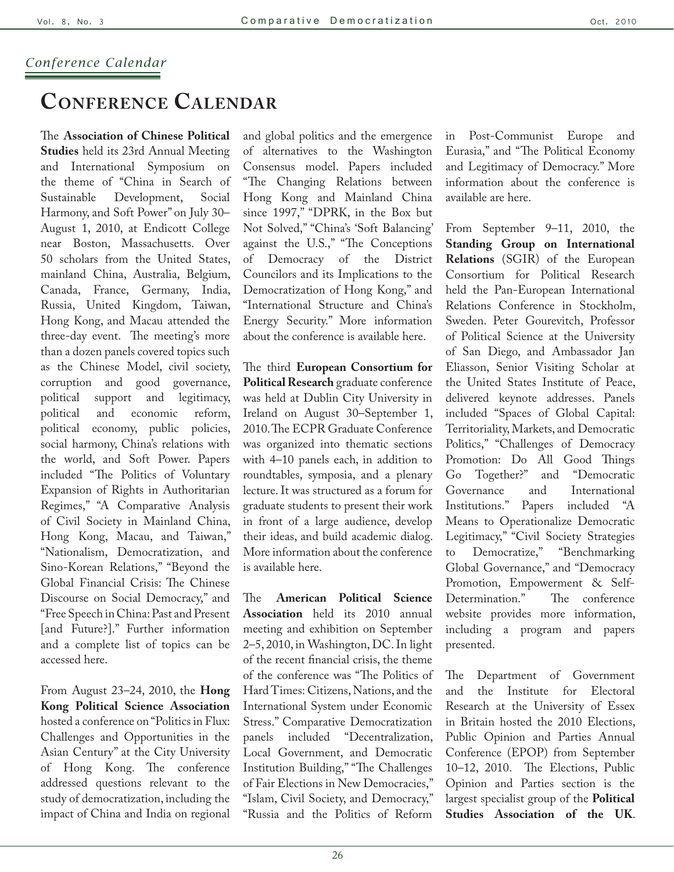## *Conference Calendar*

## **Conference Calendar**

The **Association of Chinese Political Studies** held its 23rd Annual Meeting and International Symposium on the theme of "China in Search of Sustainable Development, Social Harmony, and Soft Power" on July 30– August 1, 2010, at Endicott College near Boston, Massachusetts. Over 50 scholars from the United States, mainland China, Australia, Belgium, Canada, France, Germany, India, Russia, United Kingdom, Taiwan, Hong Kong, and Macau attended the three-day event. The meeting's more than a dozen panels covered topics such as the Chinese Model, civil society, corruption and good governance, political support and legitimacy, political and economic reform, political economy, public policies, social harmony, China's relations with the world, and Soft Power. Papers included "The Politics of Voluntary Expansion of Rights in Authoritarian Regimes," "A Comparative Analysis of Civil Society in Mainland China, Hong Kong, Macau, and Taiwan," "Nationalism, Democratization, and Sino-Korean Relations," "Beyond the Global Financial Crisis: The Chinese Discourse on Social Democracy," and "Free Speech in China: Past and Present [and Future?]." Further information and a complete list of topics can be accessed [here](http://www.acpsus.org/cNewsInfo.asp?cid=1).

From August 23–24, 2010, the **Hong Kong Political Science Association**  hosted a conference on "Politics in Flux: Challenges and Opportunities in the Asian Century" at the City University of Hong Kong. The conference addressed questions relevant to the study of democratization, including the impact of China and India on regional

and global politics and the emergence of alternatives to the Washington Consensus model. Papers included "The Changing Relations between Hong Kong and Mainland China since 1997," "DPRK, in the Box but Not Solved," "China's 'Soft Balancing' against the U.S.," "The Conceptions of Democracy of the District Councilors and its Implications to the Democratization of Hong Kong," and "International Structure and China's Energy Security." More information about the conference is available [here](http://www.hkpsa.org/).

The third **European Consortium for Political Research** graduate conference was held at Dublin City University in Ireland on August 30–September 1, 2010. The ECPR Graduate Conference was organized into thematic sections with 4–10 panels each, in addition to roundtables, symposia, and a plenary lecture. It was structured as a forum for graduate students to present their work in front of a large audience, develop their ideas, and build academic dialog. More information about the conference is available [here.](http://www.ecprnet.eu/conferences/graduate_conference/dublin/)

The **American Political Science Association** held its 2010 annual meeting and exhibition on September 2–5, 2010, in Washington, DC. In light of the recent financial crisis, the theme of the conference was "The Politics of Hard Times: Citizens, Nations, and the International System under Economic Stress." Comparative Democratization panels included "Decentralization, Local Government, and Democratic Institution Building," "The Challenges of Fair Elections in New Democracies," "Islam, Civil Society, and Democracy," "Russia and the Politics of Reform

in Post-Communist Europe and Eurasia," and "The Political Economy and Legitimacy of Democracy." More information about the conference is available are [here.](http://www.apsanet.org/content_65547.cfm?navID=193)

From September 9–11, 2010, the **Standing Group on International Relations** (SGIR) of the European Consortium for Political Research held the Pan-European International Relations Conference in Stockholm, Sweden. Peter Gourevitch, Professor of Political Science at the University of San Diego, and Ambassador Jan Eliasson, Senior Visiting Scholar at the United States Institute of Peace, delivered keynote addresses. Panels included "Spaces of Global Capital: Territoriality, Markets, and Democratic Politics," "Challenges of Democracy Promotion: Do All Good Things Go Together?" and "Democratic Governance and International Institutions." Papers included "A Means to Operationalize Democratic Legitimacy," "Civil Society Strategies to Democratize," "Benchmarking Global Governance," and "Democracy Promotion, Empowerment & Self-Determination." The [conference](http://www.gesellschaftswissenschaften.uni-frankfurt.de/index.pl/sgir2010)  [website](http://www.gesellschaftswissenschaften.uni-frankfurt.de/index.pl/sgir2010) provides more information, including a program and papers presented.

The Department of Government and the Institute for Electoral Research at the University of Essex in Britain hosted the 2010 Elections, Public Opinion and Parties Annual Conference (EPOP) from September 10–12, 2010. The Elections, Public Opinion and Parties section is the largest specialist group of the **Political Studies Association of the UK**.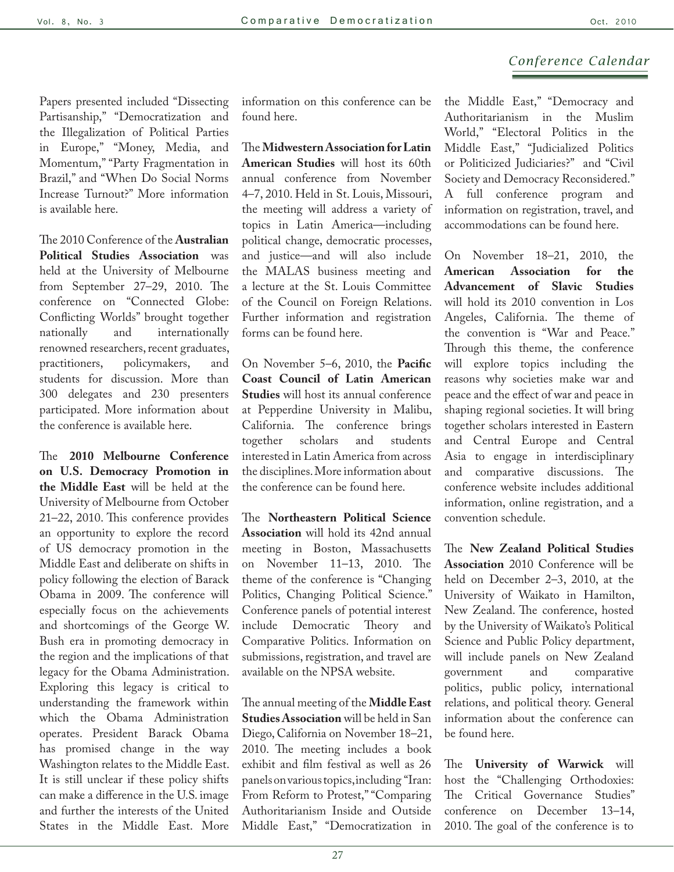## *Conference Calendar*

Papers presented included "Dissecting Partisanship," "Democratization and the Illegalization of Political Parties in Europe," "Money, Media, and Momentum," "Party Fragmentation in Brazil," and "When Do Social Norms Increase Turnout?" More information is available [here.](http://www.essex.ac.uk/government/epop/)

The 2010 Conference of the **Australian Political Studies Association** was held at the University of Melbourne from September 27–29, 2010. The conference on "Connected Globe: Conflicting Worlds" brought together nationally and internationally renowned researchers, recent graduates, practitioners, policymakers, and students for discussion. More than 300 delegates and 230 presenters participated. More information about the conference is available [here.](http://apsa2010.com.au/index.php)

The **2010 Melbourne Conference on U.S. Democracy Promotion in the Middle East** will be held at the University of Melbourne from October 21–22, 2010. This conference provides an opportunity to explore the record of US democracy promotion in the Middle East and deliberate on shifts in policy following the election of Barack Obama in 2009. The conference will especially focus on the achievements and shortcomings of the George W. Bush era in promoting democracy in the region and the implications of that legacy for the Obama Administration. Exploring this legacy is critical to understanding the framework within which the Obama Administration operates. President Barack Obama has promised change in the way Washington relates to the Middle East. It is still unclear if these policy shifts can make a difference in the U.S. image and further the interests of the United States in the Middle East. More information on this conference can be found [here.](http://www.asiainstitute.unimelb.edu.au/events/2010/democracy_in_mid_east/index.php)

The **Midwestern Association for Latin American Studies** will host its 60th annual conference from November 4–7, 2010. Held in St. Louis, Missouri, the meeting will address a variety of topics in Latin America—including political change, democratic processes, and justice—and will also include the MALAS business meeting and a lecture at the St. Louis Committee of the Council on Foreign Relations. Further information and registration forms can be found [here.](http://www.malasnet.org/7401.html)

On November 5–6, 2010, the **Pacific Coast Council of Latin American Studies** will host its annual conference at Pepperdine University in Malibu, California. The conference brings together scholars and students interested in Latin America from across the disciplines. More information about the conference can be found [here.](http://www.pcclas.org/)

The **Northeastern Political Science Association** will hold its 42nd annual meeting in Boston, Massachusetts on November 11–13, 2010. The theme of the conference is "Changing Politics, Changing Political Science." Conference panels of potential interest include Democratic Theory and Comparative Politics. Information on submissions, registration, and travel are available on the [NPSA website](http://www.northeasternpsa.com/index.html).

The annual meeting of the **Middle East Studies Association** will be held in San Diego, California on November 18–21, 2010. The meeting includes a book exhibit and film festival as well as 26 panels on various topics, including "Iran: From Reform to Protest," "Comparing Authoritarianism Inside and Outside Middle East," "Democratization in

the Middle East," "Democracy and Authoritarianism in the Muslim World," "Electoral Politics in the Middle East," "Judicialized Politics or Politicized Judiciaries?" and "Civil Society and Democracy Reconsidered." A full conference program and information on registration, travel, and accommodations can be found [here.](http://mesa.wns.ccit.arizona.edu/annual/current.htm)

On November 18–21, 2010, the **American Association for the Advancement of Slavic Studies** will hold its 2010 convention in Los Angeles, California. The theme of the convention is "War and Peace." Through this theme, the conference will explore topics including the reasons why societies make war and peace and the effect of war and peace in shaping regional societies. It will bring together scholars interested in Eastern and Central Europe and Central Asia to engage in interdisciplinary and comparative discussions. The [conference website](http://www.fas.harvard.edu/~aaass/convention.html) includes additional information, online registration, and a convention schedule.

The **New Zealand Political Studies Association** 2010 Conference will be held on December 2–3, 2010, at the University of Waikato in Hamilton, New Zealand. The conference, hosted by the University of Waikato's Political Science and Public Policy department, will include panels on New Zealand government and comparative politics, public policy, international relations, and political theory. General information about the conference can be found [here.](http://www.waikato.ac.nz/wfass/NZPSA2010/index.shtml)

The **University of Warwick** will host the "Challenging Orthodoxies: The Critical Governance Studies" conference on December 13–14, 2010. The goal of the conference is to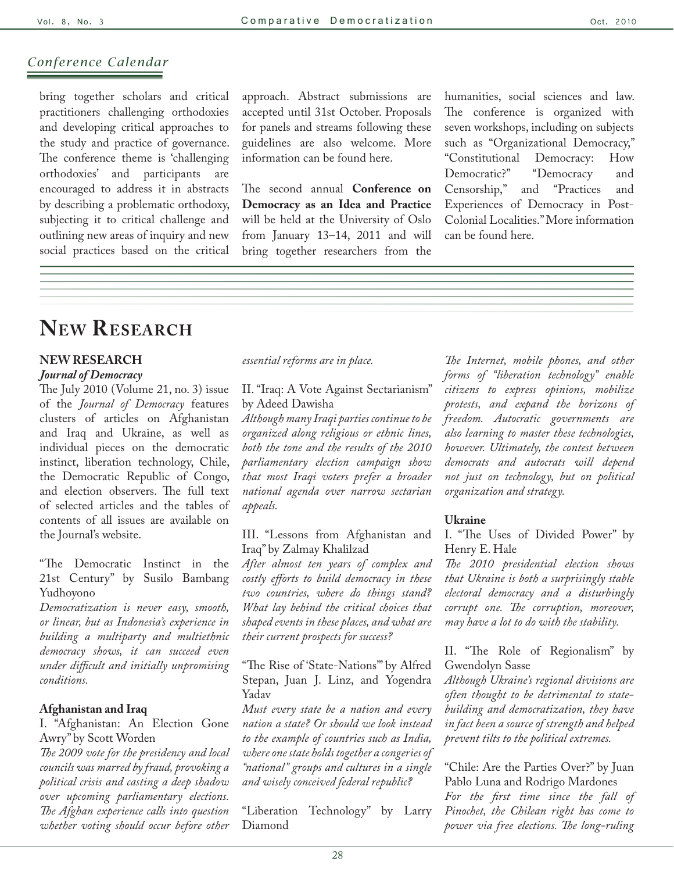## *Conference Calendar*

bring together scholars and critical practitioners challenging orthodoxies and developing critical approaches to the study and practice of governance. The conference theme is 'challenging orthodoxies' and participants encouraged to address it in abstracts by describing a problematic orthodoxy, subjecting it to critical challenge and outlining new areas of inquiry and new social practices based on the critical approach. Abstract submissions are accepted until 31st October. Proposals for panels and streams following these guidelines are also welcome. More information can be found [here](http://www2.warwick.ac.uk/fac/soc/wbs/projects/orthodoxies/).

The second annual **Conference on Democracy as an Idea and Practice**  will be held at the University of Oslo from January 13–14, 2011 and will bring together researchers from the humanities, social sciences and law. The conference is organized with seven workshops, including on subjects such as "Organizational Democracy," "Constitutional Democracy: How Democratic?" "Democracy and Censorship," and "Practices and Experiences of Democracy in Post-Colonial Localities." More information can be found [here.](http://www.demokrati.uio.no/arrangementer/konferanser/2011/2nd-Democracy-as-idea-and-practice-jan-2011)

## **New Research**

## **NEW RESEARCH**

#### *[Journal of Democracy](http://www.journalofdemocracy.org)*

The July 2010 (Volume 21, no. 3) issue of the *Journal of Democracy* features clusters of articles on Afghanistan and Iraq and Ukraine, as well as individual pieces on the democratic instinct, liberation technology, Chile, the Democratic Republic of Congo, and election observers. The full text of selected articles and the tables of contents of all issues are available on the Journal's [website.](http://www.journalofdemocracy.org)

"The Democratic Instinct in the 21st Century" by Susilo Bambang Yudhoyono

*Democratization is never easy, smooth, or linear, but as Indonesia's experience in building a multiparty and multiethnic democracy shows, it can succeed even under difficult and initially unpromising conditions.*

#### **Afghanistan and Iraq**

I. "Afghanistan: An Election Gone Awry" by Scott Worden

*The 2009 vote for the presidency and local councils was marred by fraud, provoking a political crisis and casting a deep shadow over upcoming parliamentary elections. The Afghan experience calls into question whether voting should occur before other* 

*essential reforms are in place.*

II. "Iraq: A Vote Against Sectarianism" by Adeed Dawisha

*Although many Iraqi parties continue to be organized along religious or ethnic lines, both the tone and the results of the 2010 parliamentary election campaign show that most Iraqi voters prefer a broader national agenda over narrow sectarian appeals.*

III. "Lessons from Afghanistan and Iraq" by Zalmay Khalilzad

*After almost ten years of complex and costly efforts to build democracy in these two countries, where do things stand? What lay behind the critical choices that shaped events in these places, and what are their current prospects for success?*

"The Rise of 'State-Nations'" by Alfred Stepan, Juan J. Linz, and Yogendra Yadav

*Must every state be a nation and every nation a state? Or should we look instead to the example of countries such as India, where one state holds together a congeries of "national" groups and cultures in a single and wisely conceived federal republic?*

"Liberation Technology" by Larry Diamond

*The Internet, mobile phones, and other forms of "liberation technology" enable citizens to express opinions, mobilize protests, and expand the horizons of freedom. Autocratic governments are also learning to master these technologies, however. Ultimately, the contest between democrats and autocrats will depend not just on technology, but on political organization and strategy.*

#### **Ukraine**

I. "The Uses of Divided Power" by Henry E. Hale

*The 2010 presidential election shows that Ukraine is both a surprisingly stable electoral democracy and a disturbingly corrupt one. The corruption, moreover, may have a lot to do with the stability.*

II. "The Role of Regionalism" by Gwendolyn Sasse

*Although Ukraine's regional divisions are often thought to be detrimental to statebuilding and democratization, they have in fact been a source of strength and helped prevent tilts to the political extremes.*

"Chile: Are the Parties Over?" by Juan Pablo Luna and Rodrigo Mardones *For the first time since the fall of Pinochet, the Chilean right has come to power via free elections. The long-ruling*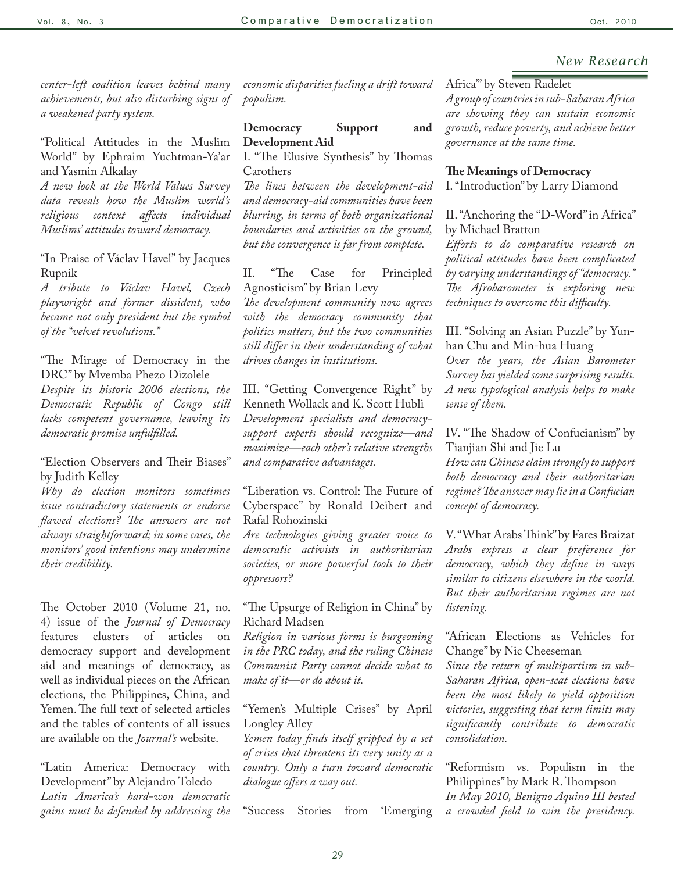*center-left coalition leaves behind many achievements, but also disturbing signs of a weakened party system.*

"Political Attitudes in the Muslim World" by Ephraim Yuchtman-Ya'ar and Yasmin Alkalay

*A new look at the World Values Survey data reveals how the Muslim world's religious context affects individual Muslims' attitudes toward democracy.*

"In Praise of Václav Havel" by Jacques Rupnik

*A tribute to Václav Havel, Czech playwright and former dissident, who became not only president but the symbol of the "velvet revolutions."*

"The Mirage of Democracy in the DRC" by Mvemba Phezo Dizolele *Despite its historic 2006 elections, the Democratic Republic of Congo still lacks competent governance, leaving its democratic promise unfulfilled.*

"Election Observers and Their Biases" by Judith Kelley

*Why do election monitors sometimes issue contradictory statements or endorse flawed elections? The answers are not always straightforward; in some cases, the monitors' good intentions may undermine their credibility.* 

The October 2010 (Volume 21, no. 4) issue of the *Journal of Democracy* features clusters of articles on democracy support and development aid and meanings of democracy, as well as individual pieces on the African elections, the Philippines, China, and Yemen. The full text of selected articles and the tables of contents of all issues are available on the *Journal's* website.

"Latin America: Democracy with Development" by Alejandro Toledo *Latin America's hard-won democratic gains must be defended by addressing the*  *economic disparities fueling a drift toward populism.*

### **Democracy Support and Development Aid**

I. "The Elusive Synthesis" by Thomas Carothers

*The lines between the development-aid and democracy-aid communities have been blurring, in terms of both organizational boundaries and activities on the ground, but the convergence is far from complete.*

II. "The Case for Principled Agnosticism" by Brian Levy

*The development community now agrees with the democracy community that politics matters, but the two communities still differ in their understanding of what drives changes in institutions.*

III. "Getting Convergence Right" by Kenneth Wollack and K. Scott Hubli *Development specialists and democracysupport experts should recognize—and maximize—each other's relative strengths and comparative advantages.*

"Liberation vs. Control: The Future of Cyberspace" by Ronald Deibert and Rafal Rohozinski

*Are technologies giving greater voice to democratic activists in authoritarian societies, or more powerful tools to their oppressors?*

"The Upsurge of Religion in China" by Richard Madsen

*Religion in various forms is burgeoning in the PRC today, and the ruling Chinese Communist Party cannot decide what to make of it—or do about it.*

"Yemen's Multiple Crises" by April Longley Alley

*Yemen today finds itself gripped by a set of crises that threatens its very unity as a country. Only a turn toward democratic dialogue offers a way out.*

"Success Stories from 'Emerging

## Africa'" by Steven Radelet

*A group of countries in sub-Saharan Africa are showing they can sustain economic growth, reduce poverty, and achieve better governance at the same time.*

#### **The Meanings of Democracy**

I. "Introduction" by Larry Diamond

II. "Anchoring the "D-Word" in Africa" by Michael Bratton

*Efforts to do comparative research on political attitudes have been complicated by varying understandings of "democracy." The Afrobarometer is exploring new techniques to overcome this difficulty.*

III. "Solving an Asian Puzzle" by Yunhan Chu and Min-hua Huang *Over the years, the Asian Barometer Survey has yielded some surprising results. A new typological analysis helps to make sense of them.*

IV. "The Shadow of Confucianism" by Tianjian Shi and Jie Lu

*How can Chinese claim strongly to support both democracy and their authoritarian regime? The answer may lie in a Confucian concept of democracy.*

V. "What Arabs Think" by Fares Braizat *Arabs express a clear preference for democracy, which they define in ways similar to citizens elsewhere in the world. But their authoritarian regimes are not listening.*

"African Elections as Vehicles for Change" by Nic Cheeseman

*Since the return of multipartism in sub-Saharan Africa, open-seat elections have been the most likely to yield opposition victories, suggesting that term limits may significantly contribute to democratic consolidation.*

"Reformism vs. Populism in the Philippines" by Mark R. Thompson *In May 2010, Benigno Aquino III bested a crowded field to win the presidency.*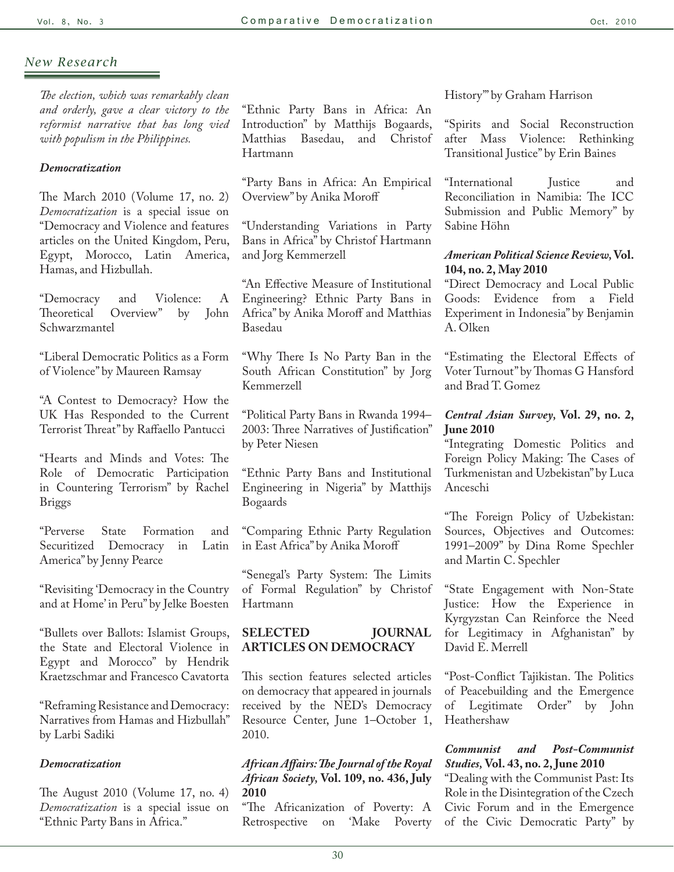*The election, which was remarkably clean and orderly, gave a clear victory to the reformist narrative that has long vied with populism in the Philippines.*

#### *[Democratization](http://www.tandf.co.uk/journals/titles/13510347.asp)*

The March 2010 (Volume 17, no. 2) *[Democratization](http://www.informaworld.com/smpp/title~db=all~content=g919779646)* is a special issue on "Democracy and Violence and features articles on the United Kingdom, Peru, Egypt, Morocco, Latin America, Hamas, and Hizbullah.

"Democracy and Violence: A Theoretical Overview" by Schwarzmantel

"Liberal Democratic Politics as a Form of Violence" by Maureen Ramsay

"A Contest to Democracy? How the UK Has Responded to the Current Terrorist Threat" by Raffaello Pantucci

"Hearts and Minds and Votes: The Role of Democratic Participation in Countering Terrorism" by Rachel Briggs

"Perverse State Formation and Securitized Democracy in Latin America" by Jenny Pearce

"Revisiting 'Democracy in the Country and at Home' in Peru" by Jelke Boesten

"Bullets over Ballots: Islamist Groups, the State and Electoral Violence in Egypt and Morocco" by Hendrik Kraetzschmar and Francesco Cavatorta

"Reframing Resistance and Democracy: Narratives from Hamas and Hizbullah" by Larbi Sadiki

#### *Democratization*

The August 2010 (Volume 17, no. 4) *[Democratization](http://www.informaworld.com/smpp/title~db=all~content=g924637238)* is a special issue on "Ethnic Party Bans in Africa."

"Ethnic Party Bans in Africa: An Introduction" by Matthijs Bogaards, Matthias Basedau, Hartmann

"Party Bans in Africa: An Empirical Overview" by Anika Moroff

"Understanding Variations in Party Bans in Africa" by Christof Hartmann and Jorg Kemmerzell

"An Effective Measure of Institutional Engineering? Ethnic Party Bans in Africa" by Anika Moroff and Matthias Basedau

"Why There Is No Party Ban in the South African Constitution" by Jorg Kemmerzell

"Political Party Bans in Rwanda 1994– 2003: Three Narratives of Justification" by Peter Niesen

"Ethnic Party Bans and Institutional Engineering in Nigeria" by Matthijs Bogaards

"Comparing Ethnic Party Regulation in East Africa" by Anika Moroff

"Senegal's Party System: The Limits of Formal Regulation" by Christof Hartmann

## **SELECTED JOURNAL ARTICLES ON DEMOCRACY**

This section features selected articles on democracy that appeared in journals received by the NED's Democracy Resource Center, June 1–October 1, 2010.

*African Affairs: The Journal of the Royal African Society,* **Vol. 109, no. 436, July 2010**

"The Africanization of Poverty: A Retrospective on 'Make Poverty History'" by Graham Harrison

"Spirits and Social Reconstruction after Mass Violence: Rethinking Transitional Justice" by Erin Baines

"International Justice and Reconciliation in Namibia: The ICC Submission and Public Memory" by Sabine Höhn

## *American Political Science Review,* **Vol. 104, no. 2, May 2010**

"Direct Democracy and Local Public Goods: Evidence from a Field Experiment in Indonesia" by Benjamin A. Olken

"Estimating the Electoral Effects of Voter Turnout" by Thomas G Hansford and Brad T. Gomez

## *Central Asian Survey,* **Vol. 29, no. 2, June 2010**

"Integrating Domestic Politics and Foreign Policy Making: The Cases of Turkmenistan and Uzbekistan" by Luca Anceschi

"The Foreign Policy of Uzbekistan: Sources, Objectives and Outcomes: 1991–2009" by Dina Rome Spechler and Martin C. Spechler

"State Engagement with Non-State Justice: How the Experience in Kyrgyzstan Can Reinforce the Need for Legitimacy in Afghanistan" by David E. Merrell

"Post-Conflict Tajikistan. The Politics of Peacebuilding and the Emergence of Legitimate Order" by John Heathershaw

## *Communist and Post-Communist Studies,* **Vol. 43, no. 2, June 2010**

"Dealing with the Communist Past: Its Role in the Disintegration of the Czech Civic Forum and in the Emergence of the Civic Democratic Party" by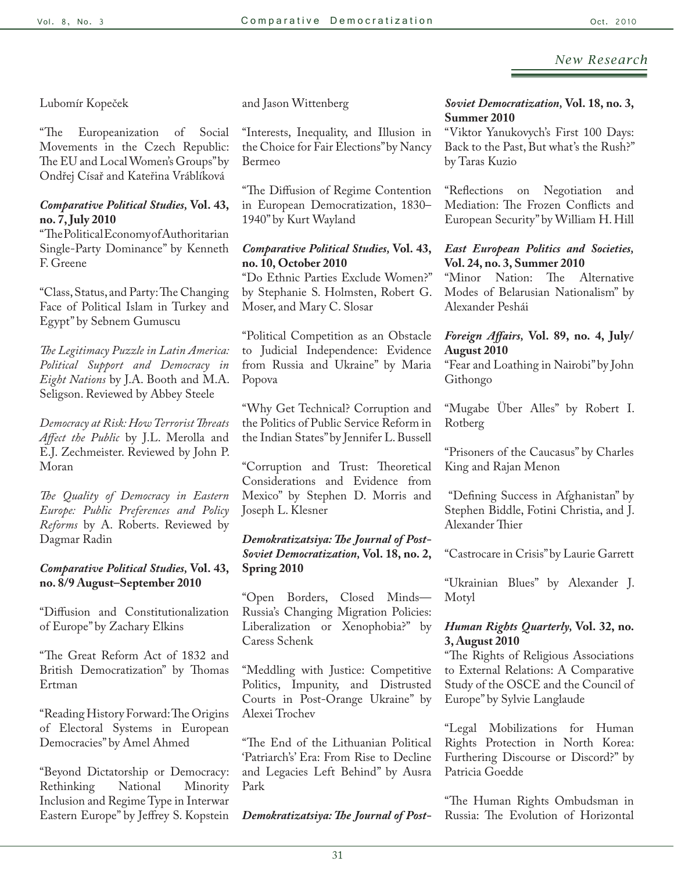Lubomír Kopeček

"The Europeanization of Social Movements in the Czech Republic: The EU and Local Women's Groups" by Ondřej Císař and Kateřina Vráblíková

## *Comparative Political Studies,* **Vol. 43, no. 7, July 2010**

"The Political Economy of Authoritarian Single-Party Dominance" by Kenneth F. Greene

"Class, Status, and Party: The Changing Face of Political Islam in Turkey and Egypt" by Sebnem Gumuscu

*The Legitimacy Puzzle in Latin America: Political Support and Democracy in Eight Nations* by J.A. Booth and M.A. Seligson. Reviewed by Abbey Steele

*Democracy at Risk: How Terrorist Threats Affect the Public* by J.L. Merolla and E.J. Zechmeister. Reviewed by John P. Moran

*The Quality of Democracy in Eastern Europe: Public Preferences and Policy Reforms* by A. Roberts. Reviewed by Dagmar Radin

## *Comparative Political Studies,* **Vol. 43, no. 8/9 August–September 2010**

"Diffusion and Constitutionalization of Europe" by Zachary Elkins

"The Great Reform Act of 1832 and British Democratization" by Thomas Ertman

"Reading History Forward: The Origins of Electoral Systems in European Democracies" by Amel Ahmed

"Beyond Dictatorship or Democracy: Rethinking Inclusion and Regime Type in Interwar Eastern Europe" by Jeffrey S. Kopstein

and Jason Wittenberg

"Interests, Inequality, and Illusion in the Choice for Fair Elections" by Nancy Bermeo

"The Diffusion of Regime Contention in European Democratization, 1830– 1940" by Kurt Wayland

## *Comparative Political Studies,* **Vol. 43, no. 10, October 2010**

"Do Ethnic Parties Exclude Women?" by Stephanie S. Holmsten, Robert G. Moser, and Mary C. Slosar

"Political Competition as an Obstacle to Judicial Independence: Evidence from Russia and Ukraine" by Maria Popova

"Why Get Technical? Corruption and the Politics of Public Service Reform in the Indian States" by Jennifer L. Bussell

"Corruption and Trust: Theoretical Considerations and Evidence from Mexico" by Stephen D. Morris and Joseph L. Klesner

## *Demokratizatsiya: The Journal of Post-Soviet Democratization,* **Vol. 18, no. 2, Spring 2010**

"Open Borders, Closed Minds— Russia's Changing Migration Policies: Liberalization or Xenophobia?" by Caress Schenk

"Meddling with Justice: Competitive Politics, Impunity, and Distrusted Courts in Post-Orange Ukraine" by Alexei Trochev

"The End of the Lithuanian Political 'Patriarch's' Era: From Rise to Decline and Legacies Left Behind" by Ausra Park

*Demokratizatsiya: The Journal of Post-*

## *Soviet Democratization,* **Vol. 18, no. 3, Summer 2010**

"Viktor Yanukovych's First 100 Days: Back to the Past, But what's the Rush?" by Taras Kuzio

"Reflections on Negotiation and Mediation: The Frozen Conflicts and European Security" by William H. Hill

## *East European Politics and Societies,* **Vol. 24, no. 3, Summer 2010**

"Minor Nation: The Alternative Modes of Belarusian Nationalism" by Alexander Peshái

## *Foreign Affairs,* **Vol. 89, no. 4, July/ August 2010**

"Fear and Loathing in Nairobi" by John Githongo

"Mugabe Über Alles" by Robert I. Rotberg

"Prisoners of the Caucasus" by Charles King and Rajan Menon

 "Defining Success in Afghanistan" by Stephen Biddle, Fotini Christia, and J. Alexander Thier

"Castrocare in Crisis" by Laurie Garrett

"Ukrainian Blues" by Alexander J. Motyl

## *Human Rights Quarterly,* **Vol. 32, no. 3, August 2010**

"The Rights of Religious Associations to External Relations: A Comparative Study of the OSCE and the Council of Europe" by Sylvie Langlaude

"Legal Mobilizations for Human Rights Protection in North Korea: Furthering Discourse or Discord?" by Patricia Goedde

"The Human Rights Ombudsman in Russia: The Evolution of Horizontal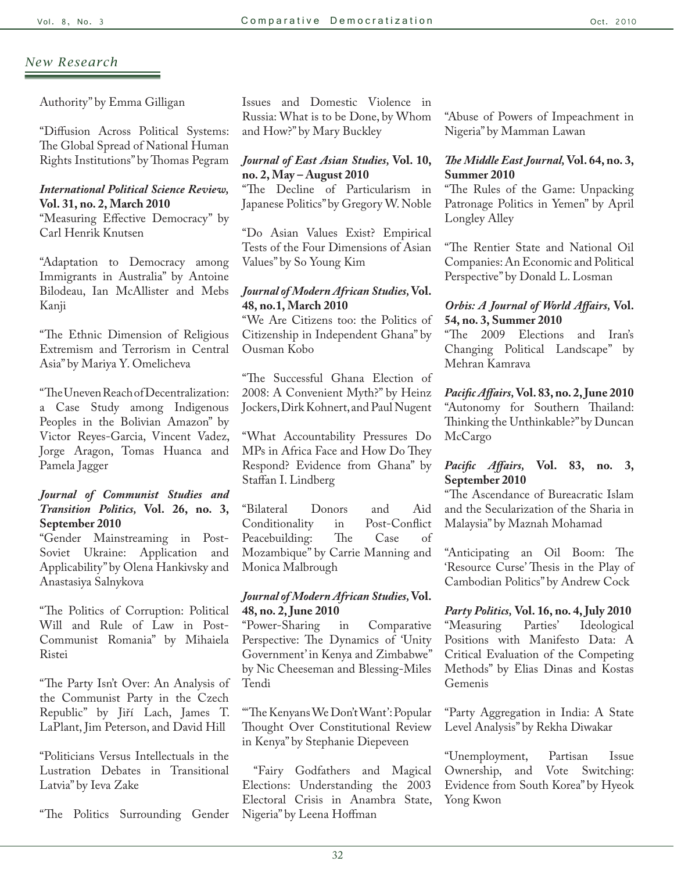Authority" by Emma Gilligan

"Diffusion Across Political Systems: The Global Spread of National Human Rights Institutions" by Thomas Pegram

## *International Political Science Review,* **Vol. 31, no. 2, March 2010**

"Measuring Effective Democracy" by Carl Henrik Knutsen

"Adaptation to Democracy among Immigrants in Australia" by Antoine Bilodeau, Ian McAllister and Mebs Kanji

"The Ethnic Dimension of Religious Extremism and Terrorism in Central Asia" by Mariya Y. Omelicheva

"The Uneven Reach of Decentralization: a Case Study among Indigenous Peoples in the Bolivian Amazon" by Victor Reyes-Garcia, Vincent Vadez, Jorge Aragon, Tomas Huanca and Pamela Jagger

## *Journal of Communist Studies and Transition Politics,* **Vol. 26, no. 3, September 2010**

"Gender Mainstreaming in Post-Soviet Ukraine: Application and Applicability" by Olena Hankivsky and Anastasiya Salnykova

"The Politics of Corruption: Political Will and Rule of Law in Post-Communist Romania" by Mihaiela Ristei

"The Party Isn't Over: An Analysis of the Communist Party in the Czech Republic" by Jiří Lach, James T. LaPlant, Jim Peterson, and David Hill

"Politicians Versus Intellectuals in the Lustration Debates in Transitional Latvia" by Ieva Zake

"The Politics Surrounding Gender

Issues and Domestic Violence in Russia: What is to be Done, by Whom and How?" by Mary Buckley

## *Journal of East Asian Studies,* **Vol. 10, no. 2, May – August 2010**

"The Decline of Particularism in Japanese Politics" by Gregory W. Noble

"Do Asian Values Exist? Empirical Tests of the Four Dimensions of Asian Values" by So Young Kim

## *Journal of Modern African Studies,* **Vol. 48, no.1, March 2010**

"We Are Citizens too: the Politics of Citizenship in Independent Ghana" by Ousman Kobo

"The Successful Ghana Election of 2008: A Convenient Myth?" by Heinz Jockers, Dirk Kohnert, and Paul Nugent

"What Accountability Pressures Do MPs in Africa Face and How Do They Respond? Evidence from Ghana" by Staffan I. Lindberg

"Bilateral Donors and Aid Conditionality in Post-Conflict Peacebuilding: The Case of Mozambique" by Carrie Manning and Monica Malbrough

## *Journal of Modern African Studies,* **Vol. 48, no. 2, June 2010**

"Power-Sharing in Comparative Perspective: The Dynamics of 'Unity Government' in Kenya and Zimbabwe" by Nic Cheeseman and Blessing-Miles Tendi

"'The Kenyans We Don't Want': Popular Thought Over Constitutional Review in Kenya" by Stephanie Diepeveen

 "Fairy Godfathers and Magical Elections: Understanding the 2003 Electoral Crisis in Anambra State, Nigeria" by Leena Hoffman

"Abuse of Powers of Impeachment in Nigeria" by Mamman Lawan

## *The Middle East Journal,* **Vol. 64, no. 3, Summer 2010**

"The Rules of the Game: Unpacking Patronage Politics in Yemen" by April Longley Alley

"The Rentier State and National Oil Companies: An Economic and Political Perspective" by Donald L. Losman

## *Orbis: A Journal of World Affairs,* **Vol. 54, no. 3, Summer 2010**

"The 2009 Elections and Iran's Changing Political Landscape" by Mehran Kamrava

## *Pacific Affairs,* **Vol. 83, no. 2, June 2010** "Autonomy for Southern Thailand: Thinking the Unthinkable?" by Duncan McCargo

## *Pacific Affairs,* **Vol. 83, no. 3, September 2010**

"The Ascendance of Bureacratic Islam and the Secularization of the Sharia in Malaysia" by Maznah Mohamad

"Anticipating an Oil Boom: The 'Resource Curse' Thesis in the Play of Cambodian Politics" by Andrew Cock

*Party Politics,* **Vol. 16, no. 4, July 2010** "Measuring Parties' Ideological Positions with Manifesto Data: A Critical Evaluation of the Competing Methods" by Elias Dinas and Kostas Gemenis

"Party Aggregation in India: A State Level Analysis" by Rekha Diwakar

"Unemployment, Partisan Issue Ownership, and Vote Switching: Evidence from South Korea" by Hyeok Yong Kwon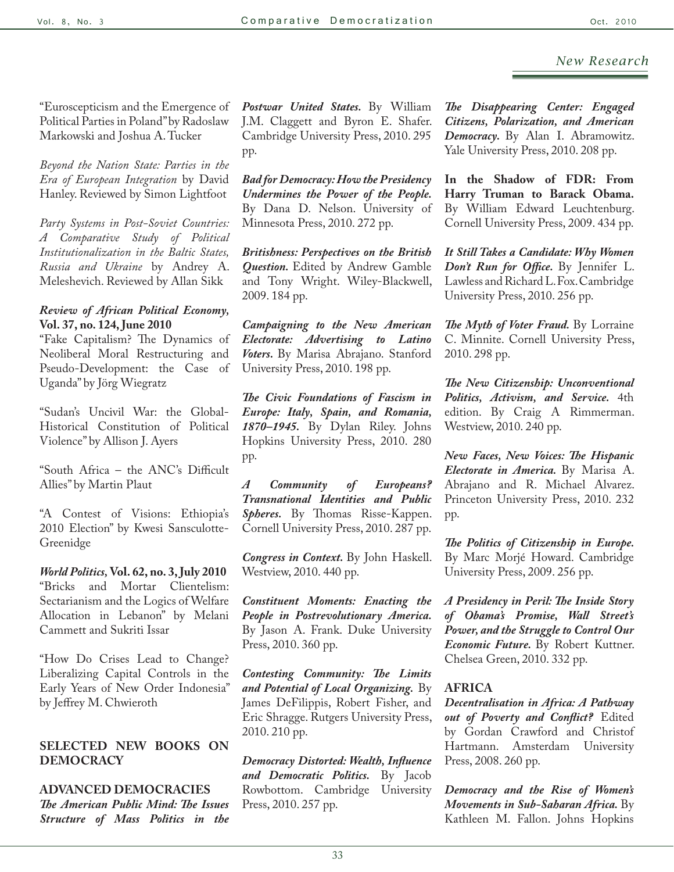"Euroscepticism and the Emergence of Political Parties in Poland" by Radoslaw Markowski and Joshua A. Tucker

*Beyond the Nation State: Parties in the Era of European Integration* by David Hanley. Reviewed by Simon Lightfoot

*Party Systems in Post-Soviet Countries: A Comparative Study of Political Institutionalization in the Baltic States, Russia and Ukraine* by Andrey A. Meleshevich. Reviewed by Allan Sikk

## *Review of African Political Economy,*  **Vol. 37, no. 124, June 2010**

"Fake Capitalism? The Dynamics of Neoliberal Moral Restructuring and Pseudo-Development: the Case of Uganda" by Jörg Wiegratz

"Sudan's Uncivil War: the Global-Historical Constitution of Political Violence" by Allison J. Ayers

"South Africa – the ANC's Difficult Allies" by Martin Plaut

"A Contest of Visions: Ethiopia's 2010 Election" by Kwesi Sansculotte-Greenidge

*World Politics,* **Vol. 62, no. 3, July 2010** "Bricks and Mortar Clientelism: Sectarianism and the Logics of Welfare Allocation in Lebanon" by Melani Cammett and Sukriti Issar

"How Do Crises Lead to Change? Liberalizing Capital Controls in the Early Years of New Order Indonesia" by Jeffrey M. Chwieroth

## **SELECTED NEW BOOKS ON DEMOCRACY**

**ADVANCED DEMOCRACIES** *The American Public Mind: The Issues Structure of Mass Politics in the*  *Postwar United States.* By William J.M. Claggett and Byron E. Shafer. Cambridge University Press, 2010. 295 pp.

*Bad for Democracy: How the Presidency Undermines the Power of the People.*  By Dana D. Nelson. University of Minnesota Press, 2010. 272 pp.

*Britishness: Perspectives on the British Question.* Edited by Andrew Gamble and Tony Wright. Wiley-Blackwell, 2009. 184 pp.

*Campaigning to the New American Electorate: Advertising to Latino Voters.* By Marisa Abrajano. Stanford University Press, 2010. 198 pp.

*The Civic Foundations of Fascism in Europe: Italy, Spain, and Romania, 1870–1945.* By Dylan Riley. Johns Hopkins University Press, 2010. 280 pp.

*A Community of Europeans? Transnational Identities and Public Spheres.* By Thomas Risse-Kappen. Cornell University Press, 2010. 287 pp.

*Congress in Context.* By John Haskell. Westview, 2010. 440 pp.

*Constituent Moments: Enacting the People in Postrevolutionary America.*  By Jason A. Frank. Duke University Press, 2010. 360 pp.

*Contesting Community: The Limits and Potential of Local Organizing.* By James DeFilippis, Robert Fisher, and Eric Shragge. Rutgers University Press, 2010. 210 pp.

*Democracy Distorted: Wealth, Influence and Democratic Politics.* By Jacob Rowbottom. Cambridge University Press, 2010. 257 pp.

*The Disappearing Center: Engaged Citizens, Polarization, and American Democracy.* By Alan I. Abramowitz. Yale University Press, 2010. 208 pp.

**In the Shadow of FDR: From Harry Truman to Barack Obama.**  By William Edward Leuchtenburg. Cornell University Press, 2009. 434 pp.

*It Still Takes a Candidate: Why Women Don't Run for Office.* By Jennifer L. Lawless and Richard L. Fox. Cambridge University Press, 2010. 256 pp.

*The Myth of Voter Fraud.* By Lorraine C. Minnite. Cornell University Press, 2010. 298 pp.

*The New Citizenship: Unconventional Politics, Activism, and Service.* 4th edition. By Craig A Rimmerman. Westview, 2010. 240 pp.

*New Faces, New Voices: The Hispanic Electorate in America.* By Marisa A. Abrajano and R. Michael Alvarez. Princeton University Press, 2010. 232 pp.

*The Politics of Citizenship in Europe.*  By Marc Morjé Howard. Cambridge University Press, 2009. 256 pp.

*A Presidency in Peril: The Inside Story of Obama's Promise, Wall Street's Power, and the Struggle to Control Our Economic Future.* By Robert Kuttner. Chelsea Green, 2010. 332 pp.

#### **AFRICA**

*Decentralisation in Africa: A Pathway out of Poverty and Conflict?* Edited by Gordan Crawford and Christof Hartmann. Amsterdam University Press, 2008. 260 pp.

*Democracy and the Rise of Women's Movements in Sub-Saharan Africa.* By Kathleen M. Fallon. Johns Hopkins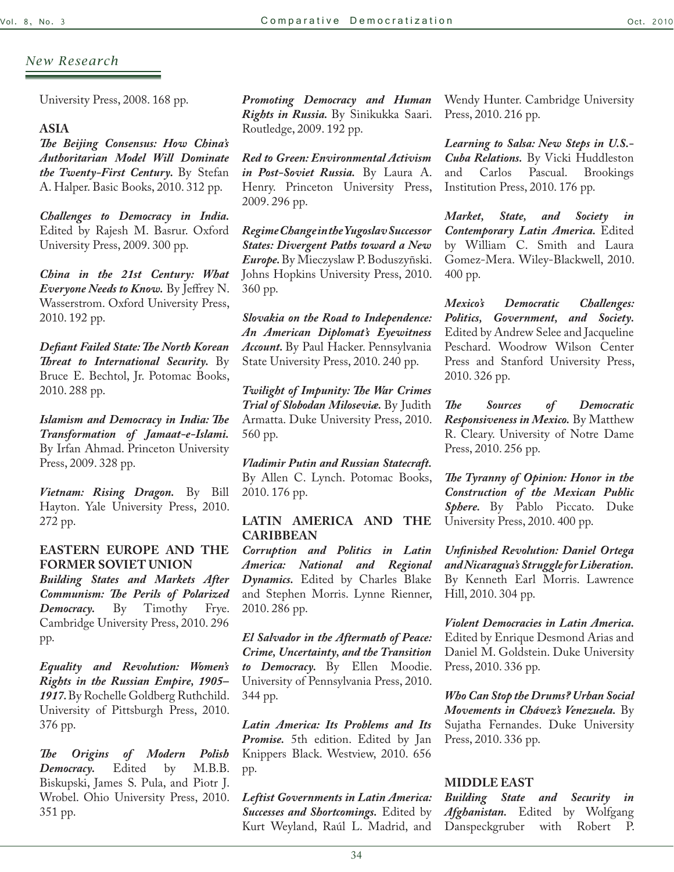University Press, 2008. 168 pp.

## **ASIA**

*The Beijing Consensus: How China's Authoritarian Model Will Dominate the Twenty-First Century.* By Stefan A. Halper. Basic Books, 2010. 312 pp.

*Challenges to Democracy in India.*  Edited by Rajesh M. Basrur. Oxford University Press, 2009. 300 pp.

*China in the 21st Century: What Everyone Needs to Know.* By Jeffrey N. Wasserstrom. Oxford University Press, 2010. 192 pp.

*Defiant Failed State: The North Korean Threat to International Security.* By Bruce E. Bechtol, Jr. Potomac Books, 2010. 288 pp.

*Islamism and Democracy in India: The Transformation of Jamaat-e-Islami.* By Irfan Ahmad. Princeton University Press, 2009. 328 pp.

*Vietnam: Rising Dragon.* By Bill Hayton. Yale University Press, 2010. 272 pp.

## **EASTERN EUROPE AND THE FORMER SOVIET UNION**

*Building States and Markets After Communism: The Perils of Polarized Democracy.* By Timothy Frye. Cambridge University Press, 2010. 296 pp.

*Equality and Revolution: Women's Rights in the Russian Empire, 1905– 1917.* By Rochelle Goldberg Ruthchild. University of Pittsburgh Press, 2010. 376 pp.

*The Origins of Modern Polish*  Democracy. Edited by Biskupski, James S. Pula, and Piotr J. Wrobel. Ohio University Press, 2010. 351 pp.

*Promoting Democracy and Human Rights in Russia.* By Sinikukka Saari. Routledge, 2009. 192 pp.

*Red to Green: Environmental Activism in Post-Soviet Russia.* By Laura A. Henry. Princeton University Press, 2009. 296 pp.

*Regime Change in the Yugoslav Successor States: Divergent Paths toward a New Europe.* By Mieczyslaw P. Boduszyñski. Johns Hopkins University Press, 2010. 360 pp.

*Slovakia on the Road to Independence: An American Diplomat's Eyewitness Account.* By Paul Hacker. Pennsylvania State University Press, 2010. 240 pp.

*Twilight of Impunity: The War Crimes Trial of Slobodan Miloseviæ.* By Judith Armatta. Duke University Press, 2010. 560 pp.

*Vladimir Putin and Russian Statecraft.*  By Allen C. Lynch. Potomac Books, 2010. 176 pp.

## **LATIN AMERICA AND THE CARIBBEAN**

*Corruption and Politics in Latin America: National and Regional Dynamics.* Edited by Charles Blake and Stephen Morris. Lynne Rienner, 2010. 286 pp.

*El Salvador in the Aftermath of Peace: Crime, Uncertainty, and the Transition to Democracy.* By Ellen Moodie. University of Pennsylvania Press, 2010. 344 pp.

*Latin America: Its Problems and Its Promise.* 5th edition. Edited by Jan Knippers Black. Westview, 2010. 656 pp.

*Leftist Governments in Latin America: Successes and Shortcomings.* Edited by Kurt Weyland, Raúl L. Madrid, and

Wendy Hunter. Cambridge University Press, 2010. 216 pp.

*Learning to Salsa: New Steps in U.S.- Cuba Relations.* By Vicki Huddleston and Carlos Pascual. Brookings Institution Press, 2010. 176 pp.

*Market, State, and Society in Contemporary Latin America.* Edited by William C. Smith and Laura Gomez-Mera. Wiley-Blackwell, 2010. 400 pp.

*Mexico's Democratic Challenges: Politics, Government, and Society.*  Edited by Andrew Selee and Jacqueline Peschard. Woodrow Wilson Center Press and Stanford University Press, 2010. 326 pp.

*The Sources of Democratic Responsiveness in Mexico.* By Matthew R. Cleary. University of Notre Dame Press, 2010. 256 pp.

*The Tyranny of Opinion: Honor in the Construction of the Mexican Public Sphere.* By Pablo Piccato. Duke University Press, 2010. 400 pp.

*Unfinished Revolution: Daniel Ortega and Nicaragua's Struggle for Liberation.* By Kenneth Earl Morris. Lawrence Hill, 2010. 304 pp.

*Violent Democracies in Latin America.*  Edited by Enrique Desmond Arias and Daniel M. Goldstein. Duke University Press, 2010. 336 pp.

*Who Can Stop the Drums? Urban Social Movements in Chávez's Venezuela.* By Sujatha Fernandes. Duke University Press, 2010. 336 pp.

#### **MIDDLE EAST**

*Building State and Security in Afghanistan.* Edited by Wolfgang Danspeckgruber with Robert P.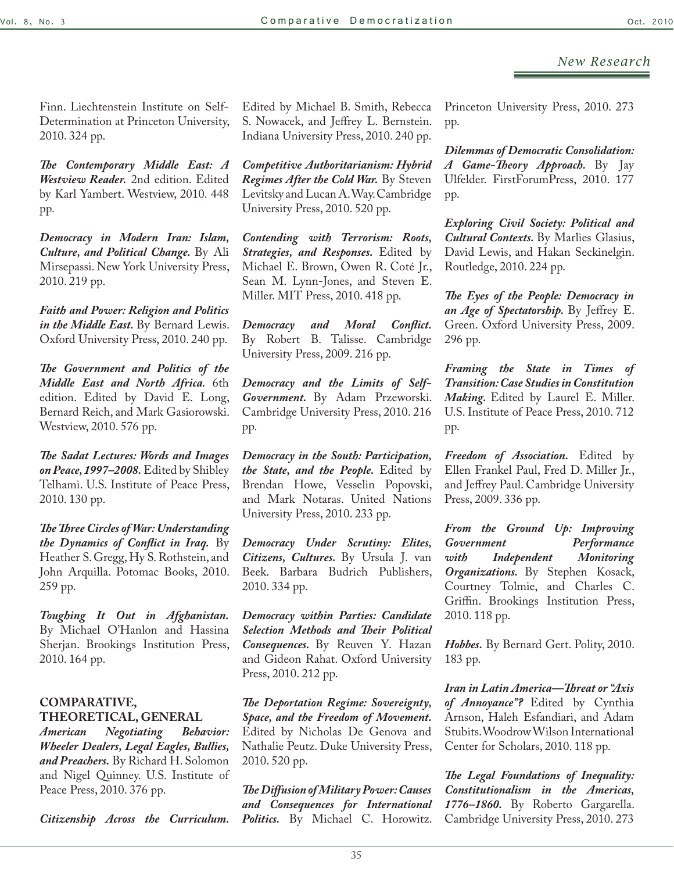Finn. Liechtenstein Institute on Self-Determination at Princeton University, 2010. 324 pp.

*The Contemporary Middle East: A Westview Reader.* 2nd edition. Edited by Karl Yambert. Westview, 2010. 448 pp.

*Democracy in Modern Iran: Islam, Culture, and Political Change.* By Ali Mirsepassi. New York University Press, 2010. 219 pp.

*Faith and Power: Religion and Politics in the Middle East.* By Bernard Lewis. Oxford University Press, 2010. 240 pp.

*The Government and Politics of the Middle East and North Africa.* 6th edition. Edited by David E. Long, Bernard Reich, and Mark Gasiorowski. Westview, 2010. 576 pp.

*The Sadat Lectures: Words and Images on Peace, 1997–2008.* Edited by Shibley Telhami. U.S. Institute of Peace Press, 2010. 130 pp.

*The Three Circles of War: Understanding the Dynamics of Conflict in Iraq.* By Heather S. Gregg, Hy S. Rothstein, and John Arquilla. Potomac Books, 2010. 259 pp.

*Toughing It Out in Afghanistan.* By Michael O'Hanlon and Hassina Sherjan. Brookings Institution Press, 2010. 164 pp.

## **COMPARATIVE, THEORETICAL, GENERAL**

*American Negotiating Behavior: Wheeler Dealers, Legal Eagles, Bullies, and Preachers.* By Richard H. Solomon and Nigel Quinney. U.S. Institute of Peace Press, 2010. 376 pp.

*Citizenship Across the Curriculum.* 

Edited by Michael B. Smith, Rebecca S. Nowacek, and Jeffrey L. Bernstein. Indiana University Press, 2010. 240 pp.

*Competitive Authoritarianism: Hybrid Regimes After the Cold War.* By Steven Levitsky and Lucan A. Way. Cambridge University Press, 2010. 520 pp.

*Contending with Terrorism: Roots, Strategies, and Responses.* Edited by Michael E. Brown, Owen R. Coté Jr., Sean M. Lynn-Jones, and Steven E. Miller. MIT Press, 2010. 418 pp.

*Democracy and Moral Conflict.*  By Robert B. Talisse. Cambridge University Press, 2009. 216 pp.

*Democracy and the Limits of Self-Government.* By Adam Przeworski. Cambridge University Press, 2010. 216 pp.

*Democracy in the South: Participation, the State, and the People.* Edited by Brendan Howe, Vesselin Popovski, and Mark Notaras. United Nations University Press, 2010. 233 pp.

*Democracy Under Scrutiny: Elites, Citizens, Cultures.* By Ursula J. van Beek. Barbara Budrich Publishers, 2010. 334 pp.

*Democracy within Parties: Candidate Selection Methods and Their Political Consequences.* By Reuven Y. Hazan and Gideon Rahat. Oxford University Press, 2010. 212 pp.

*The Deportation Regime: Sovereignty, Space, and the Freedom of Movement.*  Edited by Nicholas De Genova and Nathalie Peutz. Duke University Press, 2010. 520 pp.

*The Diffusion of Military Power: Causes and Consequences for International Politics.* By Michael C. Horowitz. Princeton University Press, 2010. 273 pp.

*Dilemmas of Democratic Consolidation: A Game-Theory Approach.* By Jay Ulfelder. FirstForumPress, 2010. 177 pp.

*Exploring Civil Society: Political and Cultural Contexts.* By Marlies Glasius, David Lewis, and Hakan Seckinelgin. Routledge, 2010. 224 pp.

*The Eyes of the People: Democracy in an Age of Spectatorship.* By Jeffrey E. Green. Oxford University Press, 2009. 296 pp.

*Framing the State in Times of Transition: Case Studies in Constitution Making.* Edited by Laurel E. Miller. U.S. Institute of Peace Press, 2010. 712 pp.

*Freedom of Association.* Edited by Ellen Frankel Paul, Fred D. Miller Jr., and Jeffrey Paul. Cambridge University Press, 2009. 336 pp.

*From the Ground Up: Improving Government Performance with Independent Monitoring Organizations.* By Stephen Kosack, Courtney Tolmie, and Charles C. Griffin. Brookings Institution Press, 2010. 118 pp.

*Hobbes.* By Bernard Gert. Polity, 2010. 183 pp.

*Iran in Latin America—Threat or "Axis of Annoyance"?* Edited by Cynthia Arnson, Haleh Esfandiari, and Adam Stubits. Woodrow Wilson International Center for Scholars, 2010. 118 pp.

*The Legal Foundations of Inequality: Constitutionalism in the Americas, 1776–1860.* By Roberto Gargarella. Cambridge University Press, 2010. 273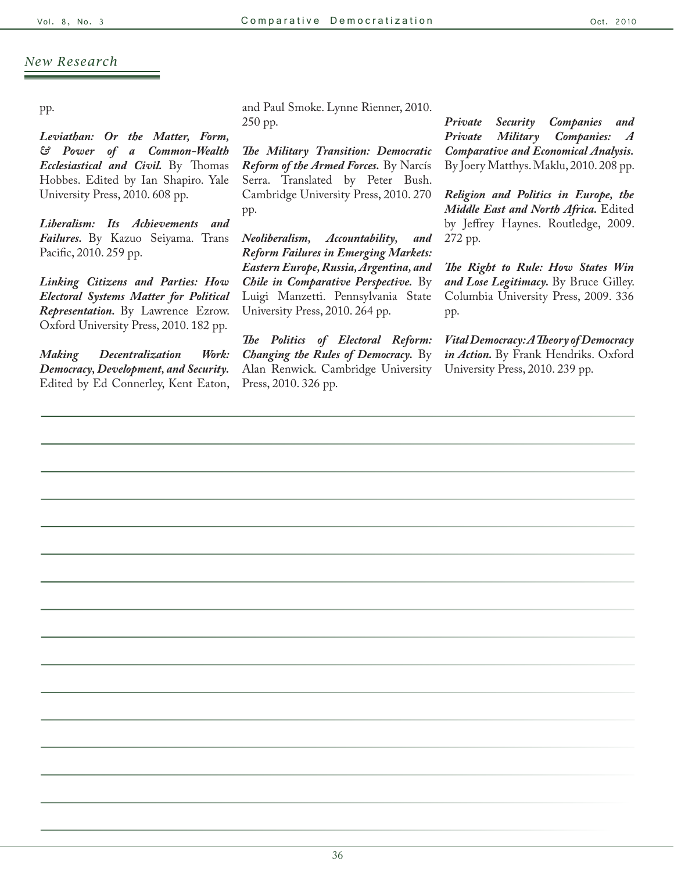pp.

*Leviathan: Or the Matter, Form, & Power of a Common-Wealth Ecclesiastical and Civil.* By Thomas Hobbes. Edited by Ian Shapiro. Yale University Press, 2010. 608 pp.

*Liberalism: Its Achievements and Failures.* By Kazuo Seiyama. Trans Pacific, 2010. 259 pp.

*Linking Citizens and Parties: How Electoral Systems Matter for Political Representation.* By Lawrence Ezrow. Oxford University Press, 2010. 182 pp.

*Making Decentralization Work: Democracy, Development, and Security.*  Edited by Ed Connerley, Kent Eaton,

and Paul Smoke. Lynne Rienner, 2010. 250 pp.

*The Military Transition: Democratic Reform of the Armed Forces.* By Narcís Serra. Translated by Peter Bush. Cambridge University Press, 2010. 270 pp.

*Neoliberalism, Accountability, and Reform Failures in Emerging Markets: Eastern Europe, Russia, Argentina, and Chile in Comparative Perspective.* By Luigi Manzetti. Pennsylvania State University Press, 2010. 264 pp.

*The Politics of Electoral Reform: Changing the Rules of Democracy.* By Alan Renwick. Cambridge University Press, 2010. 326 pp.

*Private Security Companies and Private Military Companies: A Comparative and Economical Analysis.* By Joery Matthys. Maklu, 2010. 208 pp.

*Religion and Politics in Europe, the Middle East and North Africa.* Edited by Jeffrey Haynes. Routledge, 2009. 272 pp.

*The Right to Rule: How States Win*  and Lose Legitimacy. By Bruce Gilley. Columbia University Press, 2009. 336 pp.

*Vital Democracy: A Theory of Democracy in Action.* By Frank Hendriks. Oxford University Press, 2010. 239 pp.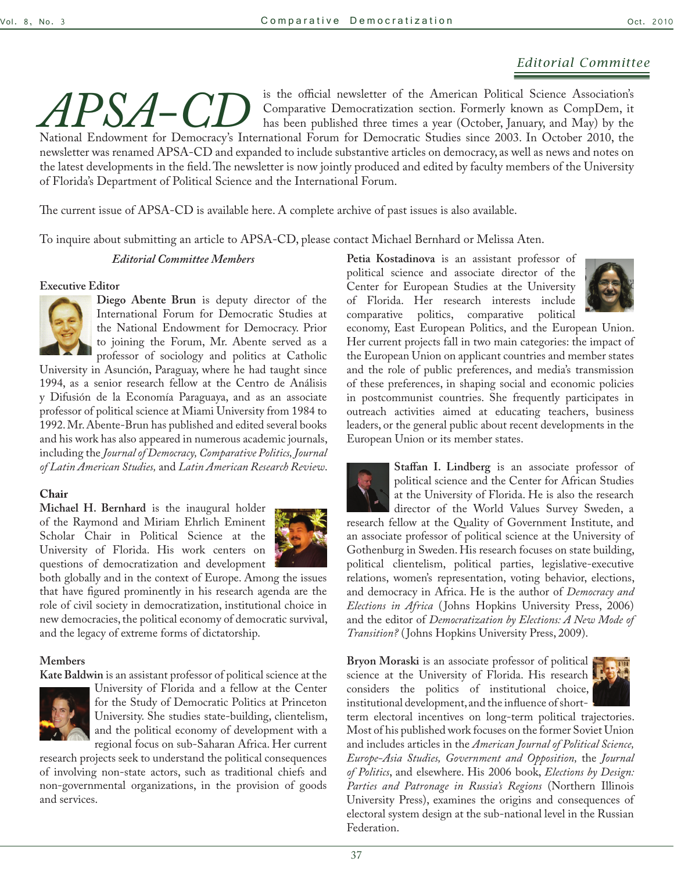## *Editorial Committee*

*APSA-CD* is the official newsletter of the American Political Science Association's compDem, it has been published three times a year (October, January, and May) by the National Endowment for Democracy's International For Comparative Democratization section. Formerly known as CompDem, it has been published three times a year (October, January, and May) by the newsletter was renamed APSA-CD and expanded to include substantive articles on democracy, as well as news and notes on the latest developments in the field. The newsletter is now jointly produced and edited by faculty members of the University of Florida's Department of Political Science and the International Forum.

The current issue of APSA-CD is available here. A complete archive of past issues is also available.

To inquire about submitting an article to APSA-CD, please contact Michael Bernhard or Melissa Aten.

#### *Editorial Committee Members*

#### **Executive Editor**



**Diego Abente Brun** is deputy director of the International Forum for Democratic Studies at the National Endowment for Democracy. Prior to joining the Forum, Mr. Abente served as a professor of sociology and politics at Catholic

University in Asunción, Paraguay, where he had taught since 1994, as a senior research fellow at the Centro de Análisis y Difusión de la Economía Paraguaya, and as an associate professor of political science at Miami University from 1984 to 1992. Mr. Abente-Brun has published and edited several books and his work has also appeared in numerous academic journals, including the *Journal of Democracy, Comparative Politics, Journal of Latin American Studies,* and *Latin American Research Review*.

#### **Chair**

**Michael H. Bernhard** is the inaugural holder of the Raymond and Miriam Ehrlich Eminent Scholar Chair in Political Science at the University of Florida. His work centers on questions of democratization and development



both globally and in the context of Europe. Among the issues that have figured prominently in his research agenda are the role of civil society in democratization, institutional choice in new democracies, the political economy of democratic survival, and the legacy of extreme forms of dictatorship.

#### **Members**

**Kate Baldwin** is an assistant professor of political science at the



University of Florida and a fellow at the Center for the Study of Democratic Politics at Princeton University. She studies state-building, clientelism, and the political economy of development with a regional focus on sub-Saharan Africa. Her current

research projects seek to understand the political consequences of involving non-state actors, such as traditional chiefs and non-governmental organizations, in the provision of goods and services.

**Petia Kostadinova** is an assistant professor of political science and associate director of the Center for European Studies at the University of Florida. Her research interests include comparative politics, comparative political



economy, East European Politics, and the European Union. Her current projects fall in two main categories: the impact of the European Union on applicant countries and member states and the role of public preferences, and media's transmission of these preferences, in shaping social and economic policies in postcommunist countries. She frequently participates in outreach activities aimed at educating teachers, business leaders, or the general public about recent developments in the European Union or its member states.

**Staffan I. Lindberg** is an associate professor of political science and the Center for African Studies at the University of Florida. He is also the research director of the World Values Survey Sweden, a research fellow at the Quality of Government Institute, and an associate professor of political science at the University of Gothenburg in Sweden. His research focuses on state building, political clientelism, political parties, legislative-executive relations, women's representation, voting behavior, elections, and democracy in Africa. He is the author of *Democracy and Elections in Africa* ( Johns Hopkins University Press, 2006) and the editor of *Democratization by Elections: A New Mode of Transition?* ( Johns Hopkins University Press, 2009).

**Bryon Moraski** is an associate professor of political science at the University of Florida. His research considers the politics of institutional choice, institutional development, and the influence of short-



term electoral incentives on long-term political trajectories. Most of his published work focuses on the former Soviet Union and includes articles in the *American Journal of Political Science, Europe-Asia Studies, Government and Opposition,* the *Journal of Politics*, and elsewhere. His 2006 book, *Elections by Design: Parties and Patronage in Russia's Regions* (Northern Illinois University Press), examines the origins and consequences of electoral system design at the sub-national level in the Russian Federation.